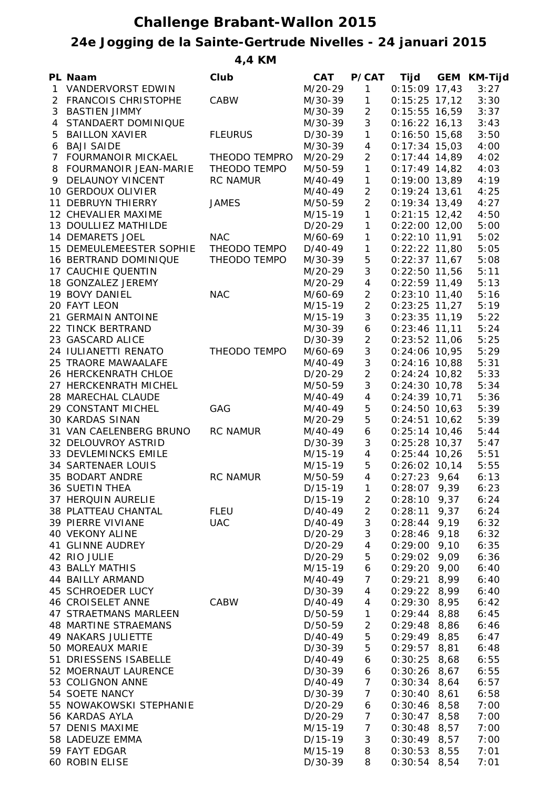## **Challenge Brabant-Wallon 2015**

## **24e Jogging de la Sainte-Gertrude Nivelles - 24 januari 2015**

**4,4 KM**

|              | PL Naam                     | Club            | <b>CAT</b> | P/CAT                    | Tijd             | <b>GEM KM-Tijd</b> |
|--------------|-----------------------------|-----------------|------------|--------------------------|------------------|--------------------|
| $\mathbf{1}$ | <b>VANDERVORST EDWIN</b>    |                 | M/20-29    | 1                        | $0:15:09$ 17,43  | 3:27               |
|              | 2 FRANCOIS CHRISTOPHE       | CABW            | M/30-39    | $\mathbf{1}$             | $0:15:25$ 17,12  | 3:30               |
| 3            | <b>BASTIEN JIMMY</b>        |                 | M/30-39    | $\overline{2}$           | $0:15:55$ 16,59  | 3:37               |
| 4            | STANDAERT DOMINIQUE         |                 | M/30-39    | 3                        | $0:16:22$ 16,13  | 3:43               |
| 5            | <b>BAILLON XAVIER</b>       | <b>FLEURUS</b>  | $D/30-39$  | $\mathbf{1}$             | $0:16:50$ 15,68  | 3:50               |
|              | 6 BAJI SAIDE                |                 | M/30-39    | $\overline{\mathcal{A}}$ | $0:17:34$ 15,03  | 4:00               |
|              | 7 FOURMANOIR MICKAEL        | THEODO TEMPRO   | M/20-29    | $\overline{2}$           | $0:17:44$ 14,89  | 4:02               |
|              | 8 FOURMANOIR JEAN-MARIE     | THEODO TEMPO    | M/50-59    | $\mathbf{1}$             | $0:17:49$ 14,82  | 4:03               |
|              | 9 DELAUNOY VINCENT          | <b>RC NAMUR</b> | M/40-49    | $\mathbf{1}$             | $0:19:00$ 13,89  | 4:19               |
|              | 10 GERDOUX OLIVIER          |                 | M/40-49    | $\overline{2}$           | $0:19:24$ 13,61  | 4:25               |
|              | 11 DEBRUYN THIERRY          | <b>JAMES</b>    | M/50-59    | $\overline{2}$           | $0:19:34$ 13,49  | 4:27               |
|              | 12 CHEVALIER MAXIME         |                 | M/15-19    | 1                        | $0:21:15$ 12,42  | 4:50               |
|              | 13 DOULLIEZ MATHILDE        |                 | $D/20-29$  | 1                        | $0:22:00$ 12,00  | 5:00               |
|              | 14 DEMARETS JOEL            | <b>NAC</b>      | M/60-69    | 1                        | $0:22:10$ 11,91  | 5:02               |
|              | 15 DEMEULEMEESTER SOPHIE    | THEODO TEMPO    | D/40-49    | 1                        | $0:22:22$ 11,80  | 5:05               |
|              | 16 BERTRAND DOMINIQUE       | THEODO TEMPO    | M/30-39    | 5                        | $0:22:37$ 11,67  | 5:08               |
|              | 17 CAUCHIE QUENTIN          |                 | M/20-29    | 3                        | $0:22:50$ 11,56  | 5:11               |
|              | 18 GONZALEZ JEREMY          |                 | M/20-29    | $\overline{\mathcal{A}}$ | $0:22:59$ 11,49  | 5:13               |
|              | 19 BOVY DANIEL              | <b>NAC</b>      | M/60-69    | $\overline{2}$           | $0:23:10$ 11,40  | 5:16               |
|              | 20 FAYT LEON                |                 | M/15-19    | $\overline{2}$           | $0:23:25$ 11,27  | 5:19               |
|              | 21 GERMAIN ANTOINE          |                 | $M/15-19$  | 3                        | $0:23:35$ 11,19  | 5:22               |
|              | 22 TINCK BERTRAND           |                 | M/30-39    | 6                        | $0:23:46$ 11,11  | 5:24               |
|              | 23 GASCARD ALICE            |                 | D/30-39    | $\overline{2}$           | $0:23:52$ 11,06  | 5:25               |
|              | 24 IULIANETTI RENATO        | THEODO TEMPO    |            | 3                        | $0:24:06$ 10,95  | 5:29               |
|              |                             |                 | M/60-69    | 3                        |                  |                    |
|              | 25 TRAORE MAWAALAFE         |                 | M/40-49    |                          | $0:24:16$ 10,88  | 5:31               |
|              | 26 HERCKENRATH CHLOE        |                 | $D/20-29$  | $\overline{2}$           | $0:24:24$ 10,82  | 5:33               |
|              | 27 HERCKENRATH MICHEL       |                 | M/50-59    | 3                        | $0:24:30$ 10,78  | 5:34               |
|              | 28 MARECHAL CLAUDE          |                 | M/40-49    | $\overline{\mathcal{A}}$ | $0:24:39$ 10,71  | 5:36               |
|              | 29 CONSTANT MICHEL          | GAG             | M/40-49    | 5                        | $0:24:50$ 10,63  | 5:39               |
|              | <b>30 KARDAS SINAN</b>      |                 | M/20-29    | 5                        | $0:24:51$ 10,62  | 5:39               |
|              | 31 VAN CAELENBERG BRUNO     | <b>RC NAMUR</b> | M/40-49    | 6                        | $0:25:14$ 10,46  | 5:44               |
|              | 32 DELOUVROY ASTRID         |                 | D/30-39    | 3                        | $0:25:28$ 10,37  | 5:47               |
|              | 33 DEVLEMINCKS EMILE        |                 | M/15-19    | 4                        | $0:25:44$ 10,26  | 5:51               |
|              | <b>34 SARTENAER LOUIS</b>   |                 | M/15-19    | 5                        | $0:26:02$ 10,14  | 5:55               |
|              | 35 BODART ANDRE             | <b>RC NAMUR</b> | M/50-59    | $\overline{4}$           | $0:27:23$ 9,64   | 6:13               |
|              | <b>36 SUETIN THEA</b>       |                 | $D/15-19$  | $\overline{1}$           | $0:28:07$ 9,39   | 6:23               |
|              | 37 HERQUIN AURELIE          |                 | $D/15-19$  | 2                        | $0:28:10$ 9,37   | 6:24               |
|              | 38 PLATTEAU CHANTAL         | FLEU            | D/40-49    | $\overline{2}$           | $0:28:11$ 9,37   | 6:24               |
|              | 39 PIERRE VIVIANE           | <b>UAC</b>      | D/40-49    | 3                        | $0:28:44$ 9,19   | 6:32               |
|              | <b>40 VEKONY ALINE</b>      |                 | D/20-29    | 3                        | $0:28:46$ 9,18   | 6:32               |
|              | 41 GLINNE AUDREY            |                 | D/20-29    | $\overline{4}$           | $0:29:00$ 9,10   | 6:35               |
|              | 42 RIO JULIE                |                 | D/20-29    | 5                        | $0:29:02$ 9,09   | 6:36               |
|              | <b>43 BALLY MATHIS</b>      |                 | M/15-19    | 6                        | $0:29:20$ $9,00$ | 6:40               |
|              | 44 BAILLY ARMAND            |                 | M/40-49    | $\overline{7}$           | $0:29:21$ 8,99   | 6:40               |
|              | 45 SCHROEDER LUCY           |                 | $D/30-39$  | $\overline{4}$           | $0:29:22$ 8,99   | 6:40               |
|              | 46 CROISELET ANNE           | CABW            | D/40-49    | $\overline{4}$           | $0:29:30$ 8,95   | 6:42               |
|              | 47 STRAETMANS MARLEEN       |                 | D/50-59    | $\mathbf{1}$             | $0:29:44$ 8,88   | 6:45               |
|              | <b>48 MARTINE STRAEMANS</b> |                 | D/50-59    | $\overline{c}$           | $0:29:48$ 8,86   | 6:46               |
|              | <b>49 NAKARS JULIETTE</b>   |                 | D/40-49    | $\mathbf 5$              | $0:29:49$ 8,85   | 6:47               |
|              | 50 MOREAUX MARIE            |                 | D/30-39    | 5                        | $0:29:57$ 8,81   | 6:48               |
|              | 51 DRIESSENS ISABELLE       |                 | D/40-49    | $\boldsymbol{6}$         | $0:30:25$ 8,68   | 6:55               |
|              | 52 MOERNAUT LAURENCE        |                 | D/30-39    | $\boldsymbol{6}$         | $0:30:26$ 8,67   | 6:55               |
|              | 53 COLIGNON ANNE            |                 | D/40-49    | $\boldsymbol{7}$         | $0:30:34$ 8,64   | 6:57               |
|              | 54 SOETE NANCY              |                 | D/30-39    | $\overline{7}$           | $0:30:40$ 8,61   | 6:58               |
|              | 55 NOWAKOWSKI STEPHANIE     |                 | D/20-29    | 6                        | $0:30:46$ 8,58   | 7:00               |
|              | 56 KARDAS AYLA              |                 | D/20-29    | $\overline{7}$           | $0:30:47$ 8,58   | 7:00               |
|              | 57 DENIS MAXIME             |                 | M/15-19    | $\overline{7}$           | $0:30:48$ 8,57   | 7:00               |
|              | 58 LADEUZE EMMA             |                 | $D/15-19$  | 3                        | $0:30:49$ 8,57   | 7:00               |
|              | 59 FAYT EDGAR               |                 | M/15-19    | 8                        | $0:30:53$ 8,55   | 7:01               |
|              | 60 ROBIN ELISE              |                 | D/30-39    | 8                        | $0:30:54$ 8,54   | 7:01               |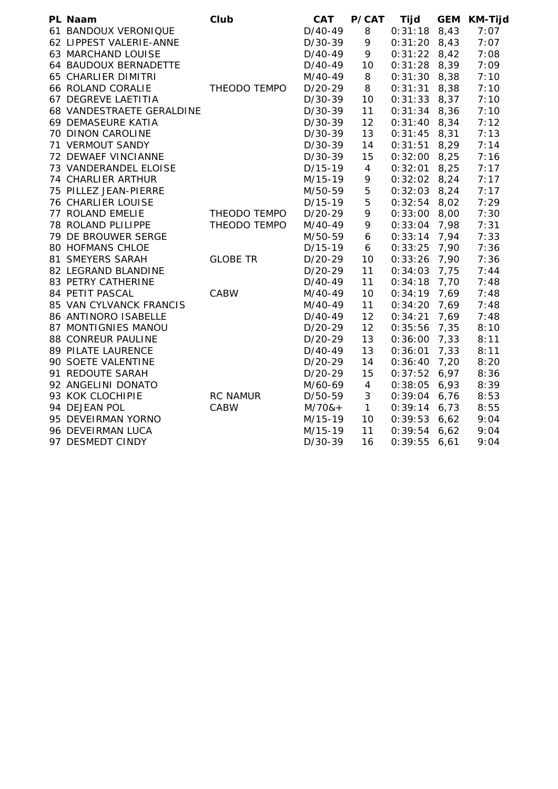| PL Naam                    | Club            | <b>CAT</b> | P/CAT            | <b>Tijd</b>    |      | GEM KM-Tijd |
|----------------------------|-----------------|------------|------------------|----------------|------|-------------|
| 61 BANDOUX VERONIQUE       |                 | $D/40-49$  | 8                | $0:31:18$ 8,43 |      | 7:07        |
| 62 LIPPEST VALERIE-ANNE    |                 | D/30-39    | 9                | $0:31:20$ 8,43 |      | 7:07        |
| 63 MARCHAND LOUISE         |                 | D/40-49    | 9                | $0:31:22$ 8,42 |      | 7:08        |
| 64 BAUDOUX BERNADETTE      |                 | $D/40-49$  | 10               | $0:31:28$ 8,39 |      | 7:09        |
| <b>65 CHARLIER DIMITRI</b> |                 | M/40-49    | 8                | $0:31:30$ 8,38 |      | 7:10        |
| 66 ROLAND CORALIE          | THEODO TEMPO    | $D/20-29$  | 8                | $0:31:31$ 8,38 |      | 7:10        |
| 67 DEGREVE LAETITIA        |                 | D/30-39    | 10               | $0:31:33$ 8,37 |      | 7:10        |
| 68 VANDESTRAETE GERALDINE  |                 | $D/30-39$  | 11               | $0:31:34$ 8,36 |      | 7:10        |
| 69 DEMASEURE KATIA         |                 | $D/30-39$  | 12               | $0:31:40$ 8,34 |      | 7:12        |
| 70 DINON CAROLINE          |                 | D/30-39    | 13               | $0:31:45$ 8,31 |      | 7:13        |
| 71 VERMOUT SANDY           |                 | D/30-39    | 14               | $0:31:51$ 8,29 |      | 7:14        |
| 72 DEWAEF VINCIANNE        |                 | D/30-39    | 15               | $0:32:00$ 8,25 |      | 7:16        |
| 73 VANDERANDEL ELOISE      |                 | $D/15-19$  | $\overline{4}$   | $0:32:01$ 8,25 |      | 7:17        |
| 74 CHARLIER ARTHUR         |                 | M/15-19    | 9                | $0:32:02$ 8,24 |      | 7:17        |
| 75 PILLEZ JEAN-PIERRE      |                 | M/50-59    | $\mathbf 5$      | $0:32:03$ 8,24 |      | 7:17        |
| <b>76 CHARLIER LOUISE</b>  |                 | $D/15-19$  | 5                | $0:32:54$ 8,02 |      | 7:29        |
| 77 ROLAND EMELIE           | THEODO TEMPO    | $D/20-29$  | 9                | $0:33:00$ 8,00 |      | 7:30        |
| 78 ROLAND PLILIPPE         | THEODO TEMPO    | M/40-49    | 9                | $0:33:04$ 7,98 |      | 7:31        |
| 79 DE BROUWER SERGE        |                 | M/50-59    | $\boldsymbol{6}$ | $0:33:14$ 7,94 |      | 7:33        |
| <b>80 HOFMANS CHLOE</b>    |                 | $D/15-19$  | 6                | $0:33:25$ 7,90 |      | 7:36        |
| 81 SMEYERS SARAH           | <b>GLOBE TR</b> | D/20-29    | 10               | $0:33:26$ 7,90 |      | 7:36        |
| 82 LEGRAND BLANDINE        |                 | D/20-29    | 11               | $0:34:03$ 7,75 |      | 7:44        |
| 83 PETRY CATHERINE         |                 | D/40-49    | 11               | $0:34:18$ 7,70 |      | 7:48        |
| 84 PETIT PASCAL            | CABW            | M/40-49    | 10               | 0:34:19        | 7,69 | 7:48        |
| 85 VAN CYLVANCK FRANCIS    |                 | M/40-49    | 11               | 0:34:20        | 7,69 | 7:48        |
| 86 ANTINORO ISABELLE       |                 | D/40-49    | 12               | 0:34:21        | 7,69 | 7:48        |
| 87 MONTIGNIES MANOU        |                 | D/20-29    | 12               | 0:35:56        | 7,35 | 8:10        |
| 88 CONREUR PAULINE         |                 | D/20-29    | 13               | $0:36:00$ 7,33 |      | 8:11        |
| 89 PILATE LAURENCE         |                 | $D/40-49$  | 13               | 0:36:01        | 7,33 | 8:11        |
| 90 SOETE VALENTINE         |                 | $D/20-29$  | 14               | 0:36:40        | 7,20 | 8:20        |
| 91 REDOUTE SARAH           |                 | $D/20-29$  | 15               | $0:37:52$ 6,97 |      | 8:36        |
| 92 ANGELINI DONATO         |                 | M/60-69    | $\overline{4}$   | $0:38:05$ 6,93 |      | 8:39        |
| 93 KOK CLOCHIPIE           | <b>RC NAMUR</b> | D/50-59    | $\sqrt{3}$       | $0:39:04$ 6,76 |      | 8:53        |
| 94 DEJEAN POL              | CABW            | $M/70&+$   | $\mathbf{1}$     | $0:39:14$ 6,73 |      | 8:55        |
| 95 DEVEIRMAN YORNO         |                 | M/15-19    | 10               | $0:39:53$ 6,62 |      | 9:04        |
| 96 DEVEIRMAN LUCA          |                 | M/15-19    | 11               | $0:39:54$ 6,62 |      | 9:04        |
| 97 DESMEDT CINDY           |                 | $D/30-39$  | 16               | 0:39:5566,61   |      | 9:04        |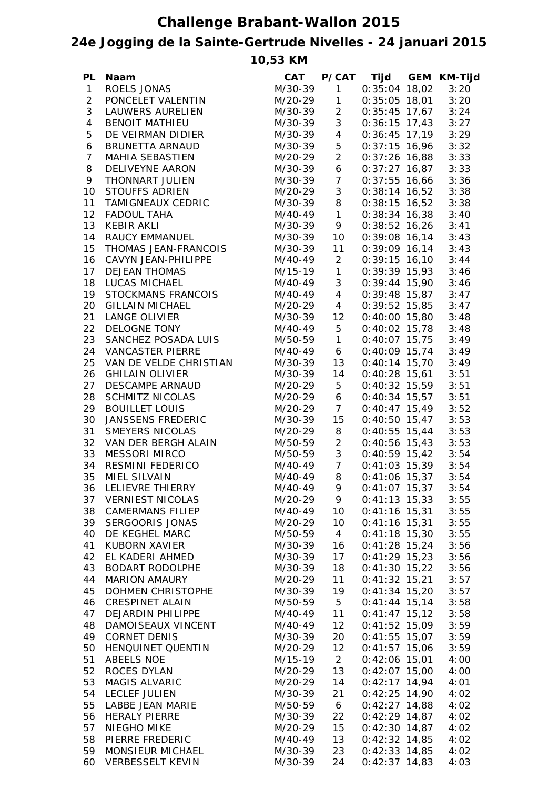## **Challenge Brabant-Wallon 2015**

## **24e Jogging de la Sainte-Gertrude Nivelles - 24 januari 2015**

**10,53 KM**

| $1 \quad$<br>$0:35:04$ 18,02<br>$\mathbf{1}$<br>ROELS JONAS<br>M/30-39<br>3:20<br>$\overline{2}$<br>$\mathbf{1}$<br>PONCELET VALENTIN<br>M/20-29<br>$0:35:05$ 18,01<br>3:20<br>3<br>$\overline{2}$<br>$0:35:45$ 17,67<br>LAUWERS AURELIEN<br>M/30-39<br>3:24<br>3<br>$\overline{4}$<br><b>BENOIT MATHIEU</b><br>M/30-39<br>$0:36:15$ 17,43<br>3:27<br>5<br>4<br>$0:36:45$ 17,19<br>3:29<br>DE VEIRMAN DIDIER<br>M/30-39<br>5 <sub>5</sub><br>3:32<br>6<br>BRUNETTA ARNAUD<br>M/30-39<br>$0:37:15$ 16,96<br>$2^{\circ}$<br>$\overline{7}$<br>MAHIA SEBASTIEN<br>$0:37:26$ 16,88<br>3:33<br>M/20-29<br>6<br>8<br>$0:37:27$ 16,87 3:33<br>DELIVEYNE AARON<br>M/30-39<br>M/30-39 7<br>9<br>THONNART JULIEN<br>$0:37:55$ 16,66 3:36<br>3 <sup>7</sup><br>10<br><b>STOUFFS ADRIEN</b><br>M/20-29<br>$0:38:14$ 16,52 3:38<br>TAMIGNEAUX CEDRIC<br>8<br>11<br>$0:38:15$ 16,52 3:38<br>M/30-39<br>M/40-49 1<br>12<br>FADOUL TAHA<br>$0:38:34$ 16,38 3:40<br>13<br>M/30-39 9<br>$0:38:52$ 16,26 3:41<br><b>KEBIR AKLI</b><br>14<br>$0:39:08$ 16,14 3:43<br>RAUCY EMMANUEL<br>M/30-39<br>10<br>THOMAS JEAN-FRANCOIS<br>15<br>11<br>$0:39:09$ 16,14 3:43<br>M/30-39<br>16<br>M/40-49<br>$2^{\circ}$<br>$0:39:15$ 16,10 3:44<br>CAVYN JEAN-PHILIPPE<br>M/15-19 1<br>17<br>$0:39:39$ 15,93 3:46<br><b>DEJEAN THOMAS</b><br>M/40-49<br>3 <sup>7</sup><br>18<br>$0:39:44$ 15,90 3:46<br>LUCAS MICHAEL<br>M/40-49<br>$4\overline{ }$<br>$0:39:48$ 15,87 3:47<br>19<br>STOCKMANS FRANCOIS<br>M/20-29 4<br>$0:39:52$ 15,85 3:47<br>20<br><b>GILLAIN MICHAEL</b><br>M/30-39 12<br>$0:40:00$ 15,80 3:48<br>21<br>LANGE OLIVIER<br>M/40-49 5<br>$0:40:02$ 15,78 3:48<br>22<br>DELOGNE TONY<br>M/50-59 1<br>$0:40:07$ 15,75<br>23<br>SANCHEZ POSADA LUIS<br>3:49<br>M/40-49<br>$6\overline{6}$<br>$0:40:09$ 15,74<br>24<br>VANCASTER PIERRE<br>3:49<br>M/30-39<br>$0:40:14$ 15,70<br>25<br>VAN DE VELDE CHRISTIAN<br>13<br>3:49<br>$0:40:28$ 15,61<br>26<br>14<br><b>GHILAIN OLIVIER</b><br>M/30-39<br>3:51<br>27<br>5 <sub>5</sub><br>$0:40:32$ 15,59<br>DESCAMPE ARNAUD<br>M/20-29<br>3:51<br>6<br>28<br><b>SCHMITZ NICOLAS</b><br>$0:40:34$ 15,57<br>M/20-29<br>3:51<br>M/20-29 7<br>29<br><b>BOUILLET LOUIS</b><br>$0:40:47$ 15,49<br>3:52<br>15<br>30<br>JANSSENS FREDERIC<br>$0:40:50$ 15,47<br>M/30-39<br>3:53<br>31<br>SMEYERS NICOLAS<br>8<br>$0:40:55$ 15,44<br>M/20-29<br>3:53<br>$2^{\circ}$<br>32<br>VAN DER BERGH ALAIN<br>M/50-59<br>$0:40:56$ 15,43<br>3:53<br>3 <sup>7</sup><br>33<br>MESSORI MIRCO<br>M/50-59<br>$0:40:59$ 15,42<br>3:54<br>M/40-49 7<br>34<br>RESMINI FEDERICO<br>$0:41:03$ 15,39<br>3:54<br>8<br>35<br><b>MIEL SILVAIN</b><br>$0:41:06$ 15,37 3:54<br>M/40-49<br>36<br>LELIEVRE THIERRY<br>M/40-49<br>9<br>$0:41:07$ 15,37<br>3:54<br><b>VERNIEST NICOLAS</b><br>M/20-29<br>$0:41:13$ 15,33<br>3:55<br>37<br>9<br>$0:41:16$ 15,31<br>38<br><b>CAMERMANS FILIEP</b><br>M/40-49<br>10 <sup>°</sup><br>3:55<br>39<br>SERGOORIS JONAS<br>M/20-29<br>10 <sup>°</sup><br>$0:41:16$ 15,31<br>3:55<br>$\overline{4}$<br>40<br>DE KEGHEL MARC<br>M/50-59<br>$0:41:18$ 15,30<br>3:55<br>41<br>KUBORN XAVIER<br>M/30-39<br>16<br>$0:41:28$ 15,24<br>3:56<br>42<br>EL KADERI AHMED<br>M/30-39<br>17<br>$0:41:29$ 15,23<br>3:56<br>43<br>BODART RODOLPHE<br>M/30-39<br>18<br>$0:41:30$ 15,22<br>3:56<br>$0:41:32$ 15,21<br>44<br><b>MARION AMAURY</b><br>M/20-29<br>11<br>3:57<br>45<br>DOHMEN CHRISTOPHE<br>M/30-39<br>19<br>$0:41:34$ 15,20<br>3:57<br>46<br><b>CRESPINET ALAIN</b><br>M/50-59<br>5 <sub>5</sub><br>$0:41:44$ 15,14<br>3:58<br>47<br>DEJARDIN PHILIPPE<br>M/40-49<br>11<br>$0:41:47$ 15,12<br>3:58<br>12 <sup>7</sup><br>48<br>DAMOISEAUX VINCENT<br>M/40-49<br>$0:41:52$ 15,09<br>3:59<br>49<br><b>CORNET DENIS</b><br>M/30-39<br>20<br>$0:41:55$ 15,07<br>3:59<br>12<br>50<br>HENQUINET QUENTIN<br>$0:41:57$ 15,06<br>3:59<br>M/20-29<br>$2^{\circ}$<br>51<br>ABEELS NOE<br>$0:42:06$ 15,01<br>4:00<br>M/15-19<br>13<br>52<br>ROCES DYLAN<br>$0:42:07$ 15,00<br>4:00<br>M/20-29<br>53<br>MAGIS ALVARIC<br>14<br>$0:42:17$ 14,94<br>4:01<br>M/20-29<br>$0:42:25$ 14,90<br>54<br>LECLEF JULIEN<br>M/30-39<br>21<br>4:02<br>$0:42:27$ 14,88<br>55<br>LABBE JEAN MARIE<br>M/50-59<br>6<br>4:02<br>$0:42:29$ 14,87<br>56<br><b>HERALY PIERRE</b><br>M/30-39<br>22<br>4:02<br>$0:42:30$ 14,87<br>57<br>NIEGHO MIKE<br>M/20-29<br>15<br>4:02<br>$0:42:32$ 14,85<br>58<br>PIERRE FREDERIC<br>M/40-49<br>13<br>4:02<br>$0:42:33$ 14,85<br>59<br>MONSIEUR MICHAEL<br>M/30-39<br>23<br>4:02<br>$0:42:37$ 14,83 | PL | Naam                    | CAT     |    |  | P/CAT Tijd GEM KM-Tijd |
|-------------------------------------------------------------------------------------------------------------------------------------------------------------------------------------------------------------------------------------------------------------------------------------------------------------------------------------------------------------------------------------------------------------------------------------------------------------------------------------------------------------------------------------------------------------------------------------------------------------------------------------------------------------------------------------------------------------------------------------------------------------------------------------------------------------------------------------------------------------------------------------------------------------------------------------------------------------------------------------------------------------------------------------------------------------------------------------------------------------------------------------------------------------------------------------------------------------------------------------------------------------------------------------------------------------------------------------------------------------------------------------------------------------------------------------------------------------------------------------------------------------------------------------------------------------------------------------------------------------------------------------------------------------------------------------------------------------------------------------------------------------------------------------------------------------------------------------------------------------------------------------------------------------------------------------------------------------------------------------------------------------------------------------------------------------------------------------------------------------------------------------------------------------------------------------------------------------------------------------------------------------------------------------------------------------------------------------------------------------------------------------------------------------------------------------------------------------------------------------------------------------------------------------------------------------------------------------------------------------------------------------------------------------------------------------------------------------------------------------------------------------------------------------------------------------------------------------------------------------------------------------------------------------------------------------------------------------------------------------------------------------------------------------------------------------------------------------------------------------------------------------------------------------------------------------------------------------------------------------------------------------------------------------------------------------------------------------------------------------------------------------------------------------------------------------------------------------------------------------------------------------------------------------------------------------------------------------------------------------------------------------------------------------------------------------------------------------------------------------------------------------------------------------------------------------------------------------------------------------------------------------------------------------------------------------------------------------------------------------------------------------------------------------------------------------------------------------------------------------------------------------------------------------------------------------------------------------------------------------------------------------------------------------------------------------------------------------------------------------------------------------------------------------------------------------------------------------------------------------------------------------------------|----|-------------------------|---------|----|--|------------------------|
|                                                                                                                                                                                                                                                                                                                                                                                                                                                                                                                                                                                                                                                                                                                                                                                                                                                                                                                                                                                                                                                                                                                                                                                                                                                                                                                                                                                                                                                                                                                                                                                                                                                                                                                                                                                                                                                                                                                                                                                                                                                                                                                                                                                                                                                                                                                                                                                                                                                                                                                                                                                                                                                                                                                                                                                                                                                                                                                                                                                                                                                                                                                                                                                                                                                                                                                                                                                                                                                                                                                                                                                                                                                                                                                                                                                                                                                                                                                                                                                                                                                                                                                                                                                                                                                                                                                                                                                                                                                                                                                         |    |                         |         |    |  |                        |
|                                                                                                                                                                                                                                                                                                                                                                                                                                                                                                                                                                                                                                                                                                                                                                                                                                                                                                                                                                                                                                                                                                                                                                                                                                                                                                                                                                                                                                                                                                                                                                                                                                                                                                                                                                                                                                                                                                                                                                                                                                                                                                                                                                                                                                                                                                                                                                                                                                                                                                                                                                                                                                                                                                                                                                                                                                                                                                                                                                                                                                                                                                                                                                                                                                                                                                                                                                                                                                                                                                                                                                                                                                                                                                                                                                                                                                                                                                                                                                                                                                                                                                                                                                                                                                                                                                                                                                                                                                                                                                                         |    |                         |         |    |  |                        |
|                                                                                                                                                                                                                                                                                                                                                                                                                                                                                                                                                                                                                                                                                                                                                                                                                                                                                                                                                                                                                                                                                                                                                                                                                                                                                                                                                                                                                                                                                                                                                                                                                                                                                                                                                                                                                                                                                                                                                                                                                                                                                                                                                                                                                                                                                                                                                                                                                                                                                                                                                                                                                                                                                                                                                                                                                                                                                                                                                                                                                                                                                                                                                                                                                                                                                                                                                                                                                                                                                                                                                                                                                                                                                                                                                                                                                                                                                                                                                                                                                                                                                                                                                                                                                                                                                                                                                                                                                                                                                                                         |    |                         |         |    |  |                        |
|                                                                                                                                                                                                                                                                                                                                                                                                                                                                                                                                                                                                                                                                                                                                                                                                                                                                                                                                                                                                                                                                                                                                                                                                                                                                                                                                                                                                                                                                                                                                                                                                                                                                                                                                                                                                                                                                                                                                                                                                                                                                                                                                                                                                                                                                                                                                                                                                                                                                                                                                                                                                                                                                                                                                                                                                                                                                                                                                                                                                                                                                                                                                                                                                                                                                                                                                                                                                                                                                                                                                                                                                                                                                                                                                                                                                                                                                                                                                                                                                                                                                                                                                                                                                                                                                                                                                                                                                                                                                                                                         |    |                         |         |    |  |                        |
|                                                                                                                                                                                                                                                                                                                                                                                                                                                                                                                                                                                                                                                                                                                                                                                                                                                                                                                                                                                                                                                                                                                                                                                                                                                                                                                                                                                                                                                                                                                                                                                                                                                                                                                                                                                                                                                                                                                                                                                                                                                                                                                                                                                                                                                                                                                                                                                                                                                                                                                                                                                                                                                                                                                                                                                                                                                                                                                                                                                                                                                                                                                                                                                                                                                                                                                                                                                                                                                                                                                                                                                                                                                                                                                                                                                                                                                                                                                                                                                                                                                                                                                                                                                                                                                                                                                                                                                                                                                                                                                         |    |                         |         |    |  |                        |
|                                                                                                                                                                                                                                                                                                                                                                                                                                                                                                                                                                                                                                                                                                                                                                                                                                                                                                                                                                                                                                                                                                                                                                                                                                                                                                                                                                                                                                                                                                                                                                                                                                                                                                                                                                                                                                                                                                                                                                                                                                                                                                                                                                                                                                                                                                                                                                                                                                                                                                                                                                                                                                                                                                                                                                                                                                                                                                                                                                                                                                                                                                                                                                                                                                                                                                                                                                                                                                                                                                                                                                                                                                                                                                                                                                                                                                                                                                                                                                                                                                                                                                                                                                                                                                                                                                                                                                                                                                                                                                                         |    |                         |         |    |  |                        |
|                                                                                                                                                                                                                                                                                                                                                                                                                                                                                                                                                                                                                                                                                                                                                                                                                                                                                                                                                                                                                                                                                                                                                                                                                                                                                                                                                                                                                                                                                                                                                                                                                                                                                                                                                                                                                                                                                                                                                                                                                                                                                                                                                                                                                                                                                                                                                                                                                                                                                                                                                                                                                                                                                                                                                                                                                                                                                                                                                                                                                                                                                                                                                                                                                                                                                                                                                                                                                                                                                                                                                                                                                                                                                                                                                                                                                                                                                                                                                                                                                                                                                                                                                                                                                                                                                                                                                                                                                                                                                                                         |    |                         |         |    |  |                        |
|                                                                                                                                                                                                                                                                                                                                                                                                                                                                                                                                                                                                                                                                                                                                                                                                                                                                                                                                                                                                                                                                                                                                                                                                                                                                                                                                                                                                                                                                                                                                                                                                                                                                                                                                                                                                                                                                                                                                                                                                                                                                                                                                                                                                                                                                                                                                                                                                                                                                                                                                                                                                                                                                                                                                                                                                                                                                                                                                                                                                                                                                                                                                                                                                                                                                                                                                                                                                                                                                                                                                                                                                                                                                                                                                                                                                                                                                                                                                                                                                                                                                                                                                                                                                                                                                                                                                                                                                                                                                                                                         |    |                         |         |    |  |                        |
|                                                                                                                                                                                                                                                                                                                                                                                                                                                                                                                                                                                                                                                                                                                                                                                                                                                                                                                                                                                                                                                                                                                                                                                                                                                                                                                                                                                                                                                                                                                                                                                                                                                                                                                                                                                                                                                                                                                                                                                                                                                                                                                                                                                                                                                                                                                                                                                                                                                                                                                                                                                                                                                                                                                                                                                                                                                                                                                                                                                                                                                                                                                                                                                                                                                                                                                                                                                                                                                                                                                                                                                                                                                                                                                                                                                                                                                                                                                                                                                                                                                                                                                                                                                                                                                                                                                                                                                                                                                                                                                         |    |                         |         |    |  |                        |
|                                                                                                                                                                                                                                                                                                                                                                                                                                                                                                                                                                                                                                                                                                                                                                                                                                                                                                                                                                                                                                                                                                                                                                                                                                                                                                                                                                                                                                                                                                                                                                                                                                                                                                                                                                                                                                                                                                                                                                                                                                                                                                                                                                                                                                                                                                                                                                                                                                                                                                                                                                                                                                                                                                                                                                                                                                                                                                                                                                                                                                                                                                                                                                                                                                                                                                                                                                                                                                                                                                                                                                                                                                                                                                                                                                                                                                                                                                                                                                                                                                                                                                                                                                                                                                                                                                                                                                                                                                                                                                                         |    |                         |         |    |  |                        |
|                                                                                                                                                                                                                                                                                                                                                                                                                                                                                                                                                                                                                                                                                                                                                                                                                                                                                                                                                                                                                                                                                                                                                                                                                                                                                                                                                                                                                                                                                                                                                                                                                                                                                                                                                                                                                                                                                                                                                                                                                                                                                                                                                                                                                                                                                                                                                                                                                                                                                                                                                                                                                                                                                                                                                                                                                                                                                                                                                                                                                                                                                                                                                                                                                                                                                                                                                                                                                                                                                                                                                                                                                                                                                                                                                                                                                                                                                                                                                                                                                                                                                                                                                                                                                                                                                                                                                                                                                                                                                                                         |    |                         |         |    |  |                        |
|                                                                                                                                                                                                                                                                                                                                                                                                                                                                                                                                                                                                                                                                                                                                                                                                                                                                                                                                                                                                                                                                                                                                                                                                                                                                                                                                                                                                                                                                                                                                                                                                                                                                                                                                                                                                                                                                                                                                                                                                                                                                                                                                                                                                                                                                                                                                                                                                                                                                                                                                                                                                                                                                                                                                                                                                                                                                                                                                                                                                                                                                                                                                                                                                                                                                                                                                                                                                                                                                                                                                                                                                                                                                                                                                                                                                                                                                                                                                                                                                                                                                                                                                                                                                                                                                                                                                                                                                                                                                                                                         |    |                         |         |    |  |                        |
|                                                                                                                                                                                                                                                                                                                                                                                                                                                                                                                                                                                                                                                                                                                                                                                                                                                                                                                                                                                                                                                                                                                                                                                                                                                                                                                                                                                                                                                                                                                                                                                                                                                                                                                                                                                                                                                                                                                                                                                                                                                                                                                                                                                                                                                                                                                                                                                                                                                                                                                                                                                                                                                                                                                                                                                                                                                                                                                                                                                                                                                                                                                                                                                                                                                                                                                                                                                                                                                                                                                                                                                                                                                                                                                                                                                                                                                                                                                                                                                                                                                                                                                                                                                                                                                                                                                                                                                                                                                                                                                         |    |                         |         |    |  |                        |
|                                                                                                                                                                                                                                                                                                                                                                                                                                                                                                                                                                                                                                                                                                                                                                                                                                                                                                                                                                                                                                                                                                                                                                                                                                                                                                                                                                                                                                                                                                                                                                                                                                                                                                                                                                                                                                                                                                                                                                                                                                                                                                                                                                                                                                                                                                                                                                                                                                                                                                                                                                                                                                                                                                                                                                                                                                                                                                                                                                                                                                                                                                                                                                                                                                                                                                                                                                                                                                                                                                                                                                                                                                                                                                                                                                                                                                                                                                                                                                                                                                                                                                                                                                                                                                                                                                                                                                                                                                                                                                                         |    |                         |         |    |  |                        |
|                                                                                                                                                                                                                                                                                                                                                                                                                                                                                                                                                                                                                                                                                                                                                                                                                                                                                                                                                                                                                                                                                                                                                                                                                                                                                                                                                                                                                                                                                                                                                                                                                                                                                                                                                                                                                                                                                                                                                                                                                                                                                                                                                                                                                                                                                                                                                                                                                                                                                                                                                                                                                                                                                                                                                                                                                                                                                                                                                                                                                                                                                                                                                                                                                                                                                                                                                                                                                                                                                                                                                                                                                                                                                                                                                                                                                                                                                                                                                                                                                                                                                                                                                                                                                                                                                                                                                                                                                                                                                                                         |    |                         |         |    |  |                        |
|                                                                                                                                                                                                                                                                                                                                                                                                                                                                                                                                                                                                                                                                                                                                                                                                                                                                                                                                                                                                                                                                                                                                                                                                                                                                                                                                                                                                                                                                                                                                                                                                                                                                                                                                                                                                                                                                                                                                                                                                                                                                                                                                                                                                                                                                                                                                                                                                                                                                                                                                                                                                                                                                                                                                                                                                                                                                                                                                                                                                                                                                                                                                                                                                                                                                                                                                                                                                                                                                                                                                                                                                                                                                                                                                                                                                                                                                                                                                                                                                                                                                                                                                                                                                                                                                                                                                                                                                                                                                                                                         |    |                         |         |    |  |                        |
|                                                                                                                                                                                                                                                                                                                                                                                                                                                                                                                                                                                                                                                                                                                                                                                                                                                                                                                                                                                                                                                                                                                                                                                                                                                                                                                                                                                                                                                                                                                                                                                                                                                                                                                                                                                                                                                                                                                                                                                                                                                                                                                                                                                                                                                                                                                                                                                                                                                                                                                                                                                                                                                                                                                                                                                                                                                                                                                                                                                                                                                                                                                                                                                                                                                                                                                                                                                                                                                                                                                                                                                                                                                                                                                                                                                                                                                                                                                                                                                                                                                                                                                                                                                                                                                                                                                                                                                                                                                                                                                         |    |                         |         |    |  |                        |
|                                                                                                                                                                                                                                                                                                                                                                                                                                                                                                                                                                                                                                                                                                                                                                                                                                                                                                                                                                                                                                                                                                                                                                                                                                                                                                                                                                                                                                                                                                                                                                                                                                                                                                                                                                                                                                                                                                                                                                                                                                                                                                                                                                                                                                                                                                                                                                                                                                                                                                                                                                                                                                                                                                                                                                                                                                                                                                                                                                                                                                                                                                                                                                                                                                                                                                                                                                                                                                                                                                                                                                                                                                                                                                                                                                                                                                                                                                                                                                                                                                                                                                                                                                                                                                                                                                                                                                                                                                                                                                                         |    |                         |         |    |  |                        |
|                                                                                                                                                                                                                                                                                                                                                                                                                                                                                                                                                                                                                                                                                                                                                                                                                                                                                                                                                                                                                                                                                                                                                                                                                                                                                                                                                                                                                                                                                                                                                                                                                                                                                                                                                                                                                                                                                                                                                                                                                                                                                                                                                                                                                                                                                                                                                                                                                                                                                                                                                                                                                                                                                                                                                                                                                                                                                                                                                                                                                                                                                                                                                                                                                                                                                                                                                                                                                                                                                                                                                                                                                                                                                                                                                                                                                                                                                                                                                                                                                                                                                                                                                                                                                                                                                                                                                                                                                                                                                                                         |    |                         |         |    |  |                        |
|                                                                                                                                                                                                                                                                                                                                                                                                                                                                                                                                                                                                                                                                                                                                                                                                                                                                                                                                                                                                                                                                                                                                                                                                                                                                                                                                                                                                                                                                                                                                                                                                                                                                                                                                                                                                                                                                                                                                                                                                                                                                                                                                                                                                                                                                                                                                                                                                                                                                                                                                                                                                                                                                                                                                                                                                                                                                                                                                                                                                                                                                                                                                                                                                                                                                                                                                                                                                                                                                                                                                                                                                                                                                                                                                                                                                                                                                                                                                                                                                                                                                                                                                                                                                                                                                                                                                                                                                                                                                                                                         |    |                         |         |    |  |                        |
|                                                                                                                                                                                                                                                                                                                                                                                                                                                                                                                                                                                                                                                                                                                                                                                                                                                                                                                                                                                                                                                                                                                                                                                                                                                                                                                                                                                                                                                                                                                                                                                                                                                                                                                                                                                                                                                                                                                                                                                                                                                                                                                                                                                                                                                                                                                                                                                                                                                                                                                                                                                                                                                                                                                                                                                                                                                                                                                                                                                                                                                                                                                                                                                                                                                                                                                                                                                                                                                                                                                                                                                                                                                                                                                                                                                                                                                                                                                                                                                                                                                                                                                                                                                                                                                                                                                                                                                                                                                                                                                         |    |                         |         |    |  |                        |
|                                                                                                                                                                                                                                                                                                                                                                                                                                                                                                                                                                                                                                                                                                                                                                                                                                                                                                                                                                                                                                                                                                                                                                                                                                                                                                                                                                                                                                                                                                                                                                                                                                                                                                                                                                                                                                                                                                                                                                                                                                                                                                                                                                                                                                                                                                                                                                                                                                                                                                                                                                                                                                                                                                                                                                                                                                                                                                                                                                                                                                                                                                                                                                                                                                                                                                                                                                                                                                                                                                                                                                                                                                                                                                                                                                                                                                                                                                                                                                                                                                                                                                                                                                                                                                                                                                                                                                                                                                                                                                                         |    |                         |         |    |  |                        |
|                                                                                                                                                                                                                                                                                                                                                                                                                                                                                                                                                                                                                                                                                                                                                                                                                                                                                                                                                                                                                                                                                                                                                                                                                                                                                                                                                                                                                                                                                                                                                                                                                                                                                                                                                                                                                                                                                                                                                                                                                                                                                                                                                                                                                                                                                                                                                                                                                                                                                                                                                                                                                                                                                                                                                                                                                                                                                                                                                                                                                                                                                                                                                                                                                                                                                                                                                                                                                                                                                                                                                                                                                                                                                                                                                                                                                                                                                                                                                                                                                                                                                                                                                                                                                                                                                                                                                                                                                                                                                                                         |    |                         |         |    |  |                        |
|                                                                                                                                                                                                                                                                                                                                                                                                                                                                                                                                                                                                                                                                                                                                                                                                                                                                                                                                                                                                                                                                                                                                                                                                                                                                                                                                                                                                                                                                                                                                                                                                                                                                                                                                                                                                                                                                                                                                                                                                                                                                                                                                                                                                                                                                                                                                                                                                                                                                                                                                                                                                                                                                                                                                                                                                                                                                                                                                                                                                                                                                                                                                                                                                                                                                                                                                                                                                                                                                                                                                                                                                                                                                                                                                                                                                                                                                                                                                                                                                                                                                                                                                                                                                                                                                                                                                                                                                                                                                                                                         |    |                         |         |    |  |                        |
|                                                                                                                                                                                                                                                                                                                                                                                                                                                                                                                                                                                                                                                                                                                                                                                                                                                                                                                                                                                                                                                                                                                                                                                                                                                                                                                                                                                                                                                                                                                                                                                                                                                                                                                                                                                                                                                                                                                                                                                                                                                                                                                                                                                                                                                                                                                                                                                                                                                                                                                                                                                                                                                                                                                                                                                                                                                                                                                                                                                                                                                                                                                                                                                                                                                                                                                                                                                                                                                                                                                                                                                                                                                                                                                                                                                                                                                                                                                                                                                                                                                                                                                                                                                                                                                                                                                                                                                                                                                                                                                         |    |                         |         |    |  |                        |
|                                                                                                                                                                                                                                                                                                                                                                                                                                                                                                                                                                                                                                                                                                                                                                                                                                                                                                                                                                                                                                                                                                                                                                                                                                                                                                                                                                                                                                                                                                                                                                                                                                                                                                                                                                                                                                                                                                                                                                                                                                                                                                                                                                                                                                                                                                                                                                                                                                                                                                                                                                                                                                                                                                                                                                                                                                                                                                                                                                                                                                                                                                                                                                                                                                                                                                                                                                                                                                                                                                                                                                                                                                                                                                                                                                                                                                                                                                                                                                                                                                                                                                                                                                                                                                                                                                                                                                                                                                                                                                                         |    |                         |         |    |  |                        |
|                                                                                                                                                                                                                                                                                                                                                                                                                                                                                                                                                                                                                                                                                                                                                                                                                                                                                                                                                                                                                                                                                                                                                                                                                                                                                                                                                                                                                                                                                                                                                                                                                                                                                                                                                                                                                                                                                                                                                                                                                                                                                                                                                                                                                                                                                                                                                                                                                                                                                                                                                                                                                                                                                                                                                                                                                                                                                                                                                                                                                                                                                                                                                                                                                                                                                                                                                                                                                                                                                                                                                                                                                                                                                                                                                                                                                                                                                                                                                                                                                                                                                                                                                                                                                                                                                                                                                                                                                                                                                                                         |    |                         |         |    |  |                        |
|                                                                                                                                                                                                                                                                                                                                                                                                                                                                                                                                                                                                                                                                                                                                                                                                                                                                                                                                                                                                                                                                                                                                                                                                                                                                                                                                                                                                                                                                                                                                                                                                                                                                                                                                                                                                                                                                                                                                                                                                                                                                                                                                                                                                                                                                                                                                                                                                                                                                                                                                                                                                                                                                                                                                                                                                                                                                                                                                                                                                                                                                                                                                                                                                                                                                                                                                                                                                                                                                                                                                                                                                                                                                                                                                                                                                                                                                                                                                                                                                                                                                                                                                                                                                                                                                                                                                                                                                                                                                                                                         |    |                         |         |    |  |                        |
|                                                                                                                                                                                                                                                                                                                                                                                                                                                                                                                                                                                                                                                                                                                                                                                                                                                                                                                                                                                                                                                                                                                                                                                                                                                                                                                                                                                                                                                                                                                                                                                                                                                                                                                                                                                                                                                                                                                                                                                                                                                                                                                                                                                                                                                                                                                                                                                                                                                                                                                                                                                                                                                                                                                                                                                                                                                                                                                                                                                                                                                                                                                                                                                                                                                                                                                                                                                                                                                                                                                                                                                                                                                                                                                                                                                                                                                                                                                                                                                                                                                                                                                                                                                                                                                                                                                                                                                                                                                                                                                         |    |                         |         |    |  |                        |
|                                                                                                                                                                                                                                                                                                                                                                                                                                                                                                                                                                                                                                                                                                                                                                                                                                                                                                                                                                                                                                                                                                                                                                                                                                                                                                                                                                                                                                                                                                                                                                                                                                                                                                                                                                                                                                                                                                                                                                                                                                                                                                                                                                                                                                                                                                                                                                                                                                                                                                                                                                                                                                                                                                                                                                                                                                                                                                                                                                                                                                                                                                                                                                                                                                                                                                                                                                                                                                                                                                                                                                                                                                                                                                                                                                                                                                                                                                                                                                                                                                                                                                                                                                                                                                                                                                                                                                                                                                                                                                                         |    |                         |         |    |  |                        |
|                                                                                                                                                                                                                                                                                                                                                                                                                                                                                                                                                                                                                                                                                                                                                                                                                                                                                                                                                                                                                                                                                                                                                                                                                                                                                                                                                                                                                                                                                                                                                                                                                                                                                                                                                                                                                                                                                                                                                                                                                                                                                                                                                                                                                                                                                                                                                                                                                                                                                                                                                                                                                                                                                                                                                                                                                                                                                                                                                                                                                                                                                                                                                                                                                                                                                                                                                                                                                                                                                                                                                                                                                                                                                                                                                                                                                                                                                                                                                                                                                                                                                                                                                                                                                                                                                                                                                                                                                                                                                                                         |    |                         |         |    |  |                        |
|                                                                                                                                                                                                                                                                                                                                                                                                                                                                                                                                                                                                                                                                                                                                                                                                                                                                                                                                                                                                                                                                                                                                                                                                                                                                                                                                                                                                                                                                                                                                                                                                                                                                                                                                                                                                                                                                                                                                                                                                                                                                                                                                                                                                                                                                                                                                                                                                                                                                                                                                                                                                                                                                                                                                                                                                                                                                                                                                                                                                                                                                                                                                                                                                                                                                                                                                                                                                                                                                                                                                                                                                                                                                                                                                                                                                                                                                                                                                                                                                                                                                                                                                                                                                                                                                                                                                                                                                                                                                                                                         |    |                         |         |    |  |                        |
|                                                                                                                                                                                                                                                                                                                                                                                                                                                                                                                                                                                                                                                                                                                                                                                                                                                                                                                                                                                                                                                                                                                                                                                                                                                                                                                                                                                                                                                                                                                                                                                                                                                                                                                                                                                                                                                                                                                                                                                                                                                                                                                                                                                                                                                                                                                                                                                                                                                                                                                                                                                                                                                                                                                                                                                                                                                                                                                                                                                                                                                                                                                                                                                                                                                                                                                                                                                                                                                                                                                                                                                                                                                                                                                                                                                                                                                                                                                                                                                                                                                                                                                                                                                                                                                                                                                                                                                                                                                                                                                         |    |                         |         |    |  |                        |
|                                                                                                                                                                                                                                                                                                                                                                                                                                                                                                                                                                                                                                                                                                                                                                                                                                                                                                                                                                                                                                                                                                                                                                                                                                                                                                                                                                                                                                                                                                                                                                                                                                                                                                                                                                                                                                                                                                                                                                                                                                                                                                                                                                                                                                                                                                                                                                                                                                                                                                                                                                                                                                                                                                                                                                                                                                                                                                                                                                                                                                                                                                                                                                                                                                                                                                                                                                                                                                                                                                                                                                                                                                                                                                                                                                                                                                                                                                                                                                                                                                                                                                                                                                                                                                                                                                                                                                                                                                                                                                                         |    |                         |         |    |  |                        |
|                                                                                                                                                                                                                                                                                                                                                                                                                                                                                                                                                                                                                                                                                                                                                                                                                                                                                                                                                                                                                                                                                                                                                                                                                                                                                                                                                                                                                                                                                                                                                                                                                                                                                                                                                                                                                                                                                                                                                                                                                                                                                                                                                                                                                                                                                                                                                                                                                                                                                                                                                                                                                                                                                                                                                                                                                                                                                                                                                                                                                                                                                                                                                                                                                                                                                                                                                                                                                                                                                                                                                                                                                                                                                                                                                                                                                                                                                                                                                                                                                                                                                                                                                                                                                                                                                                                                                                                                                                                                                                                         |    |                         |         |    |  |                        |
|                                                                                                                                                                                                                                                                                                                                                                                                                                                                                                                                                                                                                                                                                                                                                                                                                                                                                                                                                                                                                                                                                                                                                                                                                                                                                                                                                                                                                                                                                                                                                                                                                                                                                                                                                                                                                                                                                                                                                                                                                                                                                                                                                                                                                                                                                                                                                                                                                                                                                                                                                                                                                                                                                                                                                                                                                                                                                                                                                                                                                                                                                                                                                                                                                                                                                                                                                                                                                                                                                                                                                                                                                                                                                                                                                                                                                                                                                                                                                                                                                                                                                                                                                                                                                                                                                                                                                                                                                                                                                                                         |    |                         |         |    |  |                        |
|                                                                                                                                                                                                                                                                                                                                                                                                                                                                                                                                                                                                                                                                                                                                                                                                                                                                                                                                                                                                                                                                                                                                                                                                                                                                                                                                                                                                                                                                                                                                                                                                                                                                                                                                                                                                                                                                                                                                                                                                                                                                                                                                                                                                                                                                                                                                                                                                                                                                                                                                                                                                                                                                                                                                                                                                                                                                                                                                                                                                                                                                                                                                                                                                                                                                                                                                                                                                                                                                                                                                                                                                                                                                                                                                                                                                                                                                                                                                                                                                                                                                                                                                                                                                                                                                                                                                                                                                                                                                                                                         |    |                         |         |    |  |                        |
|                                                                                                                                                                                                                                                                                                                                                                                                                                                                                                                                                                                                                                                                                                                                                                                                                                                                                                                                                                                                                                                                                                                                                                                                                                                                                                                                                                                                                                                                                                                                                                                                                                                                                                                                                                                                                                                                                                                                                                                                                                                                                                                                                                                                                                                                                                                                                                                                                                                                                                                                                                                                                                                                                                                                                                                                                                                                                                                                                                                                                                                                                                                                                                                                                                                                                                                                                                                                                                                                                                                                                                                                                                                                                                                                                                                                                                                                                                                                                                                                                                                                                                                                                                                                                                                                                                                                                                                                                                                                                                                         |    |                         |         |    |  |                        |
|                                                                                                                                                                                                                                                                                                                                                                                                                                                                                                                                                                                                                                                                                                                                                                                                                                                                                                                                                                                                                                                                                                                                                                                                                                                                                                                                                                                                                                                                                                                                                                                                                                                                                                                                                                                                                                                                                                                                                                                                                                                                                                                                                                                                                                                                                                                                                                                                                                                                                                                                                                                                                                                                                                                                                                                                                                                                                                                                                                                                                                                                                                                                                                                                                                                                                                                                                                                                                                                                                                                                                                                                                                                                                                                                                                                                                                                                                                                                                                                                                                                                                                                                                                                                                                                                                                                                                                                                                                                                                                                         |    |                         |         |    |  |                        |
|                                                                                                                                                                                                                                                                                                                                                                                                                                                                                                                                                                                                                                                                                                                                                                                                                                                                                                                                                                                                                                                                                                                                                                                                                                                                                                                                                                                                                                                                                                                                                                                                                                                                                                                                                                                                                                                                                                                                                                                                                                                                                                                                                                                                                                                                                                                                                                                                                                                                                                                                                                                                                                                                                                                                                                                                                                                                                                                                                                                                                                                                                                                                                                                                                                                                                                                                                                                                                                                                                                                                                                                                                                                                                                                                                                                                                                                                                                                                                                                                                                                                                                                                                                                                                                                                                                                                                                                                                                                                                                                         |    |                         |         |    |  |                        |
|                                                                                                                                                                                                                                                                                                                                                                                                                                                                                                                                                                                                                                                                                                                                                                                                                                                                                                                                                                                                                                                                                                                                                                                                                                                                                                                                                                                                                                                                                                                                                                                                                                                                                                                                                                                                                                                                                                                                                                                                                                                                                                                                                                                                                                                                                                                                                                                                                                                                                                                                                                                                                                                                                                                                                                                                                                                                                                                                                                                                                                                                                                                                                                                                                                                                                                                                                                                                                                                                                                                                                                                                                                                                                                                                                                                                                                                                                                                                                                                                                                                                                                                                                                                                                                                                                                                                                                                                                                                                                                                         |    |                         |         |    |  |                        |
|                                                                                                                                                                                                                                                                                                                                                                                                                                                                                                                                                                                                                                                                                                                                                                                                                                                                                                                                                                                                                                                                                                                                                                                                                                                                                                                                                                                                                                                                                                                                                                                                                                                                                                                                                                                                                                                                                                                                                                                                                                                                                                                                                                                                                                                                                                                                                                                                                                                                                                                                                                                                                                                                                                                                                                                                                                                                                                                                                                                                                                                                                                                                                                                                                                                                                                                                                                                                                                                                                                                                                                                                                                                                                                                                                                                                                                                                                                                                                                                                                                                                                                                                                                                                                                                                                                                                                                                                                                                                                                                         |    |                         |         |    |  |                        |
|                                                                                                                                                                                                                                                                                                                                                                                                                                                                                                                                                                                                                                                                                                                                                                                                                                                                                                                                                                                                                                                                                                                                                                                                                                                                                                                                                                                                                                                                                                                                                                                                                                                                                                                                                                                                                                                                                                                                                                                                                                                                                                                                                                                                                                                                                                                                                                                                                                                                                                                                                                                                                                                                                                                                                                                                                                                                                                                                                                                                                                                                                                                                                                                                                                                                                                                                                                                                                                                                                                                                                                                                                                                                                                                                                                                                                                                                                                                                                                                                                                                                                                                                                                                                                                                                                                                                                                                                                                                                                                                         |    |                         |         |    |  |                        |
|                                                                                                                                                                                                                                                                                                                                                                                                                                                                                                                                                                                                                                                                                                                                                                                                                                                                                                                                                                                                                                                                                                                                                                                                                                                                                                                                                                                                                                                                                                                                                                                                                                                                                                                                                                                                                                                                                                                                                                                                                                                                                                                                                                                                                                                                                                                                                                                                                                                                                                                                                                                                                                                                                                                                                                                                                                                                                                                                                                                                                                                                                                                                                                                                                                                                                                                                                                                                                                                                                                                                                                                                                                                                                                                                                                                                                                                                                                                                                                                                                                                                                                                                                                                                                                                                                                                                                                                                                                                                                                                         |    |                         |         |    |  |                        |
|                                                                                                                                                                                                                                                                                                                                                                                                                                                                                                                                                                                                                                                                                                                                                                                                                                                                                                                                                                                                                                                                                                                                                                                                                                                                                                                                                                                                                                                                                                                                                                                                                                                                                                                                                                                                                                                                                                                                                                                                                                                                                                                                                                                                                                                                                                                                                                                                                                                                                                                                                                                                                                                                                                                                                                                                                                                                                                                                                                                                                                                                                                                                                                                                                                                                                                                                                                                                                                                                                                                                                                                                                                                                                                                                                                                                                                                                                                                                                                                                                                                                                                                                                                                                                                                                                                                                                                                                                                                                                                                         |    |                         |         |    |  |                        |
|                                                                                                                                                                                                                                                                                                                                                                                                                                                                                                                                                                                                                                                                                                                                                                                                                                                                                                                                                                                                                                                                                                                                                                                                                                                                                                                                                                                                                                                                                                                                                                                                                                                                                                                                                                                                                                                                                                                                                                                                                                                                                                                                                                                                                                                                                                                                                                                                                                                                                                                                                                                                                                                                                                                                                                                                                                                                                                                                                                                                                                                                                                                                                                                                                                                                                                                                                                                                                                                                                                                                                                                                                                                                                                                                                                                                                                                                                                                                                                                                                                                                                                                                                                                                                                                                                                                                                                                                                                                                                                                         |    |                         |         |    |  |                        |
|                                                                                                                                                                                                                                                                                                                                                                                                                                                                                                                                                                                                                                                                                                                                                                                                                                                                                                                                                                                                                                                                                                                                                                                                                                                                                                                                                                                                                                                                                                                                                                                                                                                                                                                                                                                                                                                                                                                                                                                                                                                                                                                                                                                                                                                                                                                                                                                                                                                                                                                                                                                                                                                                                                                                                                                                                                                                                                                                                                                                                                                                                                                                                                                                                                                                                                                                                                                                                                                                                                                                                                                                                                                                                                                                                                                                                                                                                                                                                                                                                                                                                                                                                                                                                                                                                                                                                                                                                                                                                                                         |    |                         |         |    |  |                        |
|                                                                                                                                                                                                                                                                                                                                                                                                                                                                                                                                                                                                                                                                                                                                                                                                                                                                                                                                                                                                                                                                                                                                                                                                                                                                                                                                                                                                                                                                                                                                                                                                                                                                                                                                                                                                                                                                                                                                                                                                                                                                                                                                                                                                                                                                                                                                                                                                                                                                                                                                                                                                                                                                                                                                                                                                                                                                                                                                                                                                                                                                                                                                                                                                                                                                                                                                                                                                                                                                                                                                                                                                                                                                                                                                                                                                                                                                                                                                                                                                                                                                                                                                                                                                                                                                                                                                                                                                                                                                                                                         |    |                         |         |    |  |                        |
|                                                                                                                                                                                                                                                                                                                                                                                                                                                                                                                                                                                                                                                                                                                                                                                                                                                                                                                                                                                                                                                                                                                                                                                                                                                                                                                                                                                                                                                                                                                                                                                                                                                                                                                                                                                                                                                                                                                                                                                                                                                                                                                                                                                                                                                                                                                                                                                                                                                                                                                                                                                                                                                                                                                                                                                                                                                                                                                                                                                                                                                                                                                                                                                                                                                                                                                                                                                                                                                                                                                                                                                                                                                                                                                                                                                                                                                                                                                                                                                                                                                                                                                                                                                                                                                                                                                                                                                                                                                                                                                         |    |                         |         |    |  |                        |
|                                                                                                                                                                                                                                                                                                                                                                                                                                                                                                                                                                                                                                                                                                                                                                                                                                                                                                                                                                                                                                                                                                                                                                                                                                                                                                                                                                                                                                                                                                                                                                                                                                                                                                                                                                                                                                                                                                                                                                                                                                                                                                                                                                                                                                                                                                                                                                                                                                                                                                                                                                                                                                                                                                                                                                                                                                                                                                                                                                                                                                                                                                                                                                                                                                                                                                                                                                                                                                                                                                                                                                                                                                                                                                                                                                                                                                                                                                                                                                                                                                                                                                                                                                                                                                                                                                                                                                                                                                                                                                                         |    |                         |         |    |  |                        |
|                                                                                                                                                                                                                                                                                                                                                                                                                                                                                                                                                                                                                                                                                                                                                                                                                                                                                                                                                                                                                                                                                                                                                                                                                                                                                                                                                                                                                                                                                                                                                                                                                                                                                                                                                                                                                                                                                                                                                                                                                                                                                                                                                                                                                                                                                                                                                                                                                                                                                                                                                                                                                                                                                                                                                                                                                                                                                                                                                                                                                                                                                                                                                                                                                                                                                                                                                                                                                                                                                                                                                                                                                                                                                                                                                                                                                                                                                                                                                                                                                                                                                                                                                                                                                                                                                                                                                                                                                                                                                                                         |    |                         |         |    |  |                        |
|                                                                                                                                                                                                                                                                                                                                                                                                                                                                                                                                                                                                                                                                                                                                                                                                                                                                                                                                                                                                                                                                                                                                                                                                                                                                                                                                                                                                                                                                                                                                                                                                                                                                                                                                                                                                                                                                                                                                                                                                                                                                                                                                                                                                                                                                                                                                                                                                                                                                                                                                                                                                                                                                                                                                                                                                                                                                                                                                                                                                                                                                                                                                                                                                                                                                                                                                                                                                                                                                                                                                                                                                                                                                                                                                                                                                                                                                                                                                                                                                                                                                                                                                                                                                                                                                                                                                                                                                                                                                                                                         |    |                         |         |    |  |                        |
|                                                                                                                                                                                                                                                                                                                                                                                                                                                                                                                                                                                                                                                                                                                                                                                                                                                                                                                                                                                                                                                                                                                                                                                                                                                                                                                                                                                                                                                                                                                                                                                                                                                                                                                                                                                                                                                                                                                                                                                                                                                                                                                                                                                                                                                                                                                                                                                                                                                                                                                                                                                                                                                                                                                                                                                                                                                                                                                                                                                                                                                                                                                                                                                                                                                                                                                                                                                                                                                                                                                                                                                                                                                                                                                                                                                                                                                                                                                                                                                                                                                                                                                                                                                                                                                                                                                                                                                                                                                                                                                         |    |                         |         |    |  |                        |
|                                                                                                                                                                                                                                                                                                                                                                                                                                                                                                                                                                                                                                                                                                                                                                                                                                                                                                                                                                                                                                                                                                                                                                                                                                                                                                                                                                                                                                                                                                                                                                                                                                                                                                                                                                                                                                                                                                                                                                                                                                                                                                                                                                                                                                                                                                                                                                                                                                                                                                                                                                                                                                                                                                                                                                                                                                                                                                                                                                                                                                                                                                                                                                                                                                                                                                                                                                                                                                                                                                                                                                                                                                                                                                                                                                                                                                                                                                                                                                                                                                                                                                                                                                                                                                                                                                                                                                                                                                                                                                                         |    |                         |         |    |  |                        |
|                                                                                                                                                                                                                                                                                                                                                                                                                                                                                                                                                                                                                                                                                                                                                                                                                                                                                                                                                                                                                                                                                                                                                                                                                                                                                                                                                                                                                                                                                                                                                                                                                                                                                                                                                                                                                                                                                                                                                                                                                                                                                                                                                                                                                                                                                                                                                                                                                                                                                                                                                                                                                                                                                                                                                                                                                                                                                                                                                                                                                                                                                                                                                                                                                                                                                                                                                                                                                                                                                                                                                                                                                                                                                                                                                                                                                                                                                                                                                                                                                                                                                                                                                                                                                                                                                                                                                                                                                                                                                                                         |    |                         |         |    |  |                        |
|                                                                                                                                                                                                                                                                                                                                                                                                                                                                                                                                                                                                                                                                                                                                                                                                                                                                                                                                                                                                                                                                                                                                                                                                                                                                                                                                                                                                                                                                                                                                                                                                                                                                                                                                                                                                                                                                                                                                                                                                                                                                                                                                                                                                                                                                                                                                                                                                                                                                                                                                                                                                                                                                                                                                                                                                                                                                                                                                                                                                                                                                                                                                                                                                                                                                                                                                                                                                                                                                                                                                                                                                                                                                                                                                                                                                                                                                                                                                                                                                                                                                                                                                                                                                                                                                                                                                                                                                                                                                                                                         |    |                         |         |    |  |                        |
|                                                                                                                                                                                                                                                                                                                                                                                                                                                                                                                                                                                                                                                                                                                                                                                                                                                                                                                                                                                                                                                                                                                                                                                                                                                                                                                                                                                                                                                                                                                                                                                                                                                                                                                                                                                                                                                                                                                                                                                                                                                                                                                                                                                                                                                                                                                                                                                                                                                                                                                                                                                                                                                                                                                                                                                                                                                                                                                                                                                                                                                                                                                                                                                                                                                                                                                                                                                                                                                                                                                                                                                                                                                                                                                                                                                                                                                                                                                                                                                                                                                                                                                                                                                                                                                                                                                                                                                                                                                                                                                         |    |                         |         |    |  |                        |
|                                                                                                                                                                                                                                                                                                                                                                                                                                                                                                                                                                                                                                                                                                                                                                                                                                                                                                                                                                                                                                                                                                                                                                                                                                                                                                                                                                                                                                                                                                                                                                                                                                                                                                                                                                                                                                                                                                                                                                                                                                                                                                                                                                                                                                                                                                                                                                                                                                                                                                                                                                                                                                                                                                                                                                                                                                                                                                                                                                                                                                                                                                                                                                                                                                                                                                                                                                                                                                                                                                                                                                                                                                                                                                                                                                                                                                                                                                                                                                                                                                                                                                                                                                                                                                                                                                                                                                                                                                                                                                                         |    |                         |         |    |  |                        |
|                                                                                                                                                                                                                                                                                                                                                                                                                                                                                                                                                                                                                                                                                                                                                                                                                                                                                                                                                                                                                                                                                                                                                                                                                                                                                                                                                                                                                                                                                                                                                                                                                                                                                                                                                                                                                                                                                                                                                                                                                                                                                                                                                                                                                                                                                                                                                                                                                                                                                                                                                                                                                                                                                                                                                                                                                                                                                                                                                                                                                                                                                                                                                                                                                                                                                                                                                                                                                                                                                                                                                                                                                                                                                                                                                                                                                                                                                                                                                                                                                                                                                                                                                                                                                                                                                                                                                                                                                                                                                                                         |    |                         |         |    |  |                        |
|                                                                                                                                                                                                                                                                                                                                                                                                                                                                                                                                                                                                                                                                                                                                                                                                                                                                                                                                                                                                                                                                                                                                                                                                                                                                                                                                                                                                                                                                                                                                                                                                                                                                                                                                                                                                                                                                                                                                                                                                                                                                                                                                                                                                                                                                                                                                                                                                                                                                                                                                                                                                                                                                                                                                                                                                                                                                                                                                                                                                                                                                                                                                                                                                                                                                                                                                                                                                                                                                                                                                                                                                                                                                                                                                                                                                                                                                                                                                                                                                                                                                                                                                                                                                                                                                                                                                                                                                                                                                                                                         |    |                         |         |    |  |                        |
|                                                                                                                                                                                                                                                                                                                                                                                                                                                                                                                                                                                                                                                                                                                                                                                                                                                                                                                                                                                                                                                                                                                                                                                                                                                                                                                                                                                                                                                                                                                                                                                                                                                                                                                                                                                                                                                                                                                                                                                                                                                                                                                                                                                                                                                                                                                                                                                                                                                                                                                                                                                                                                                                                                                                                                                                                                                                                                                                                                                                                                                                                                                                                                                                                                                                                                                                                                                                                                                                                                                                                                                                                                                                                                                                                                                                                                                                                                                                                                                                                                                                                                                                                                                                                                                                                                                                                                                                                                                                                                                         | 60 | <b>VERBESSELT KEVIN</b> | M/30-39 | 24 |  | 4:03                   |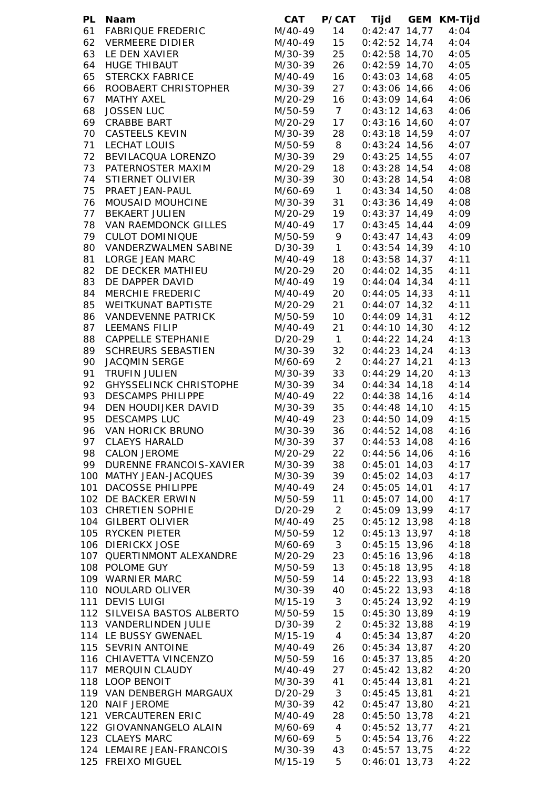| PL | <b>Naam</b>                   | CAT         |                 | P/CAT Tijd           | GEM KM-Tijd |
|----|-------------------------------|-------------|-----------------|----------------------|-------------|
| 61 | <b>FABRIQUE FREDERIC</b>      | M/40-49     | 14              | $0:42:47$ 14,77      | 4:04        |
| 62 | <b>VERMEERE DIDIER</b>        | M/40-49     | 15              | $0:42:52$ 14,74      | 4:04        |
| 63 | LE DEN XAVIER                 | M/30-39     | 25              | $0:42:58$ 14,70      | 4:05        |
| 64 | <b>HUGE THIBAUT</b>           | M/30-39     | 26              | $0:42:59$ 14,70      | 4:05        |
| 65 | <b>STERCKX FABRICE</b>        | M/40-49     | 16              | $0:43:03$ 14,68      | 4:05        |
| 66 | ROOBAERT CHRISTOPHER          | M/30-39     | 27              | $0:43:06$ 14,66      | 4:06        |
| 67 | <b>MATHY AXEL</b>             | M/20-29     | 16              | $0:43:09$ 14,64      | 4:06        |
| 68 | <b>JOSSEN LUC</b>             | M/50-59     | $7\overline{ }$ | $0:43:12$ 14,63      | 4:06        |
| 69 | <b>CRABBE BART</b>            | M/20-29     | 17              | $0:43:16$ 14,60      | 4:07        |
| 70 | <b>CASTEELS KEVIN</b>         | M/30-39     | 28              | $0:43:18$ 14,59      | 4:07        |
| 71 | LECHAT LOUIS                  | M/50-59     | 8               | $0:43:24$ 14,56      | 4:07        |
| 72 | BEVILACQUA LORENZO            | M/30-39     | 29              | $0:43:25$ 14,55      | 4:07        |
| 73 | PATERNOSTER MAXIM             | M/20-29     | 18              | $0:43:28$ 14,54      | 4:08        |
| 74 | STIERNET OLIVIER              | M/30-39     | 30              | $0:43:28$ 14,54      | 4:08        |
| 75 | PRAET JEAN-PAUL               | M/60-69 1   |                 | $0:43:34$ 14,50      | 4:08        |
| 76 | MOUSAID MOUHCINE              | M/30-39     | 31              | $0:43:36$ 14,49      | 4:08        |
| 77 | <b>BEKAERT JULIEN</b>         | M/20-29     | 19              | $0:43:37$ 14,49      | 4:09        |
| 78 | VAN RAEMDONCK GILLES          | M/40-49     | 17              | $0:43:45$ 14,44      | 4:09        |
| 79 | <b>CULOT DOMINIQUE</b>        | M/50-59 9   |                 | $0:43:47$ 14,43      | 4:09        |
| 80 | VANDERZWALMEN SABINE          | $D/30-39$ 1 |                 | $0:43:54$ 14,39      | 4:10        |
| 81 | LORGE JEAN MARC               | M/40-49 18  |                 | $0:43:58$ 14,37      | 4:11        |
| 82 | DE DECKER MATHIEU             | M/20-29     | 20              | $0:44:02$ 14,35      | 4:11        |
| 83 | DE DAPPER DAVID               | M/40-49     | 19              | $0:44:04$ 14,34      | 4:11        |
| 84 | <b>MERCHIE FREDERIC</b>       | M/40-49     | 20              | $0:44:05$ 14,33      | 4:11        |
| 85 | WEITKUNAT BAPTISTE            | M/20-29     | 21              | $0:44:07$ 14,32      | 4:11        |
| 86 | <b>VANDEVENNE PATRICK</b>     | M/50-59     | 10              | $0:44:09$ 14,31      | 4:12        |
| 87 | <b>LEEMANS FILIP</b>          | M/40-49     | 21              | $0:44:10$ 14,30      | 4:12        |
| 88 | CAPPELLE STEPHANIE            | D/20-29     | $\overline{1}$  | $0:44:22$ 14,24      | 4:13        |
| 89 | <b>SCHREURS SEBASTIEN</b>     | M/30-39     | 32              | $0:44:23$ 14,24      | 4:13        |
| 90 | JACQMIN SERGE                 | M/60-69     | $\overline{2}$  | $0:44:27$ 14,21      | 4:13        |
| 91 | <b>TRUFIN JULIEN</b>          | M/30-39     | 33              | $0:44:29$ 14,20      | 4:13        |
| 92 | <b>GHYSSELINCK CHRISTOPHE</b> | M/30-39     | 34              | $0:44:34$ 14,18      | 4:14        |
| 93 | <b>DESCAMPS PHILIPPE</b>      | M/40-49     | 22              | $0:44:38$ 14,16      | 4:14        |
| 94 | DEN HOUDIJKER DAVID           | M/30-39     | 35              | $0:44:48$ 14,10      | 4:15        |
| 95 | <b>DESCAMPS LUC</b>           | M/40-49     | 23              | $0:44:50$ 14,09      | 4:15        |
| 96 | VAN HORICK BRUNO              | M/30-39     | 36              | $0:44:52$ 14,08      | 4:16        |
|    | 97 CLAEYS HARALD              | M/30-39     | 37              | $0:44:53$ 14,08      | 4:16        |
| 98 | <b>CALON JEROME</b>           | M/20-29     | 22              | $0:44:56$ 14,06      | 4:16        |
| 99 | DURENNE FRANCOIS-XAVIER       | M/30-39     | 38              | $0:45:01$ 14,03      | 4:17        |
|    | 100 MATHY JEAN-JACQUES        | M/30-39     | 39              | $0:45:02$ 14,03      | 4:17        |
|    | 101 DACOSSE PHILIPPE          | M/40-49     | 24              | $0:45:05$ 14,01      | 4:17        |
|    | 102 DE BACKER ERWIN           | M/50-59     | 11              | $0:45:07$ 14,00      | 4:17        |
|    | 103 CHRETIEN SOPHIE           | D/20-29     | $\overline{2}$  | $0:45:09$ 13,99      | 4:17        |
|    | 104 GILBERT OLIVIER           | M/40-49     | 25              | $0:45:12$ 13,98      | 4:18        |
|    | 105 RYCKEN PIETER             | M/50-59     | 12              | $0:45:13$ 13,97      | 4:18        |
|    | 106 DIERICKX JOSE             | M/60-69     | 3 <sup>7</sup>  | $0:45:15$ 13,96      | 4:18        |
|    | 107 QUERTINMONT ALEXANDRE     | M/20-29     | 23              | $0:45:16$ 13,96      | 4:18        |
|    | 108 POLOME GUY                | M/50-59     | 13              | $0:45:18$ 13,95      | 4:18        |
|    | 109 WARNIER MARC              | M/50-59     | 14              | $0:45:22$ 13,93      | 4:18        |
|    | 110 NOULARD OLIVER            | M/30-39     | 40              | $0:45:22$ 13,93      | 4:18        |
|    | 111 DEVIS LUIGI               | M/15-19 3   |                 | $0:45:24$ 13,92      | 4:19        |
|    | 112 SILVEISA BASTOS ALBERTO   | M/50-59 15  |                 | $0:45:30$ 13,89      | 4:19        |
|    | 113 VANDERLINDEN JULIE        | D/30-39     | $2^{\circ}$     | $0:45:32$ 13,88      | 4:19        |
|    | 114 LE BUSSY GWENAEL          | M/15-19 4   |                 | $0:45:34$ 13,87      | 4:20        |
|    | 115 SEVRIN ANTOINE            | M/40-49     | 26              | $0:45:34$ 13,87      | 4:20        |
|    | 116 CHIAVETTA VINCENZO        | M/50-59     | 16              | $0:45:37$ 13,85      | 4:20        |
|    | 117 MERQUIN CLAUDY            | M/40-49     | 27              | $0:45:42$ 13,82      | 4:20        |
|    | 118 LOOP BENOIT               | M/30-39     | 41              | $0:45:44$ 13,81      | 4:21        |
|    | 119 VAN DENBERGH MARGAUX      | D/20-29     | 3 <sup>7</sup>  | $0:45:45$ 13,81      | 4:21        |
|    | 120 NAIF JEROME               | M/30-39     | 42              | $0:45:47$ 13,80      | 4:21        |
|    | 121 VERCAUTEREN ERIC          | M/40-49     | 28              | $0:45:50$ 13,78      | 4:21        |
|    | 122 GIOVANNANGELO ALAIN       | M/60-69     | $\overline{4}$  | $0:45:52$ 13,77      | 4:21        |
|    | 123 CLAEYS MARC               | M/60-69     | 5 <sub>5</sub>  | $0:45:54$ 13,76 4:22 |             |
|    | 124 LEMAIRE JEAN-FRANCOIS     | M/30-39     | 43              | $0:45:57$ 13,75 4:22 |             |
|    | 125 FREIXO MIGUEL             | M/15-19     | 5               | $0:46:01$ 13,73      | 4:22        |
|    |                               |             |                 |                      |             |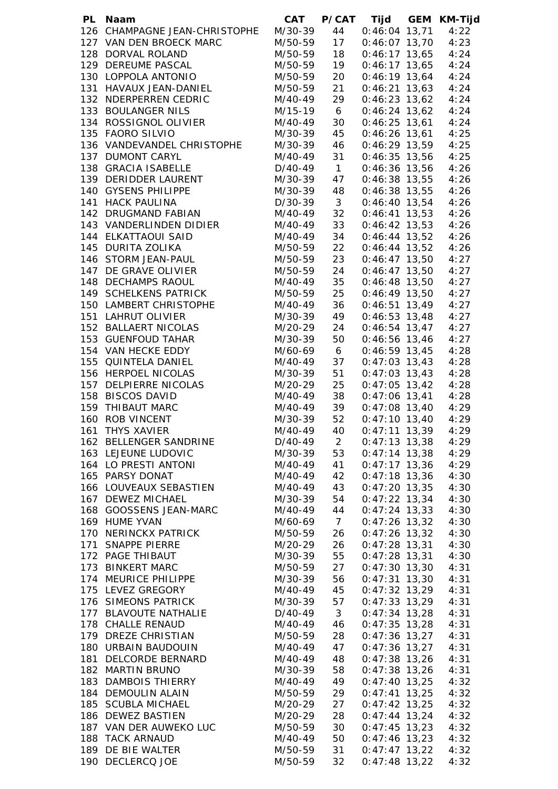| PL | Naam                          | CAT     | <b>P/CAT</b>   | Tijd                 | <b>GEM KM-Tijd</b> |
|----|-------------------------------|---------|----------------|----------------------|--------------------|
|    | 126 CHAMPAGNE JEAN-CHRISTOPHE | M/30-39 | 44             | $0:46:04$ 13,71      | 4:22               |
|    | 127 VAN DEN BROECK MARC       | M/50-59 | 17             | $0:46:07$ 13,70      | 4:23               |
|    | 128 DORVAL ROLAND             | M/50-59 | 18             | $0:46:17$ 13,65      | 4:24               |
|    | 129 DEREUME PASCAL            | M/50-59 | 19             | $0:46:17$ 13,65      | 4:24               |
|    | 130 LOPPOLA ANTONIO           | M/50-59 | 20             | $0:46:19$ 13,64      | 4:24               |
|    | 131 HAVAUX JEAN-DANIEL        | M/50-59 | 21             | $0:46:21$ 13,63      | 4:24               |
|    | 132 NDERPERREN CEDRIC         | M/40-49 | 29             | $0:46:23$ 13,62      | 4:24               |
|    | 133 BOULANGER NILS            | M/15-19 | 6              | $0:46:24$ 13,62      | 4:24               |
|    | 134 ROSSIGNOL OLIVIER         | M/40-49 | 30             | $0:46:25$ 13,61      | 4:24               |
|    | 135 FAORO SILVIO              | M/30-39 | 45             | $0:46:26$ 13,61      | 4:25               |
|    | 136 VANDEVANDEL CHRISTOPHE    | M/30-39 | 46             | $0:46:29$ 13,59      | 4:25               |
|    | 137 DUMONT CARYL              | M/40-49 | 31             | $0:46:35$ 13,56      | 4:25               |
|    | 138 GRACIA ISABELLE           | D/40-49 | $\overline{1}$ | $0:46:36$ 13,56      | 4:26               |
|    | 139 DERIDDER LAURENT          | M/30-39 | 47             | $0:46:38$ 13,55      | 4:26               |
|    | 140 GYSENS PHILIPPE           | M/30-39 | 48             | $0:46:38$ 13,55      | 4:26               |
|    | 141 HACK PAULINA              | D/30-39 | 3 <sup>1</sup> | $0:46:40$ 13,54      | 4:26               |
|    | 142 DRUGMAND FABIAN           | M/40-49 | 32             | $0:46:41$ 13,53      | 4:26               |
|    | 143 VANDERLINDEN DIDIER       | M/40-49 | 33             | $0:46:42$ 13,53      | 4:26               |
|    | 144 ELKATTAOUI SAID           | M/40-49 | 34             | $0:46:44$ 13,52      | 4:26               |
|    | 145 DURITA ZOLIKA             | M/50-59 | 22             | $0:46:44$ 13,52      |                    |
|    | 146 STORM JEAN-PAUL           | M/50-59 |                |                      | 4:26               |
|    |                               |         | 23             | $0:46:47$ 13,50      | 4:27               |
|    | 147 DE GRAVE OLIVIER          | M/50-59 | 24             | $0:46:47$ 13,50      | 4:27               |
|    | 148 DECHAMPS RAOUL            | M/40-49 | 35             | $0:46:48$ 13,50      | 4:27               |
|    | 149 SCHELKENS PATRICK         | M/50-59 | 25             | $0:46:49$ 13,50      | 4:27               |
|    | 150 LAMBERT CHRISTOPHE        | M/40-49 | 36             | $0:46:51$ 13,49      | 4:27               |
|    | 151 LAHRUT OLIVIER            | M/30-39 | 49             | $0:46:53$ 13,48      | 4:27               |
|    | 152 BALLAERT NICOLAS          | M/20-29 | 24             | $0:46:54$ 13,47      | 4:27               |
|    | 153 GUENFOUD TAHAR            | M/30-39 | 50             | $0:46:56$ 13,46      | 4:27               |
|    | 154 VAN HECKE EDDY            | M/60-69 | 6 <sup>6</sup> | $0:46:59$ 13,45      | 4:28               |
|    | 155 QUINTELA DANIEL           | M/40-49 | 37             | $0:47:03$ 13,43      | 4:28               |
|    | 156 HERPOEL NICOLAS           | M/30-39 | 51             | $0:47:03$ 13,43      | 4:28               |
|    | 157 DELPIERRE NICOLAS         | M/20-29 | 25             | $0:47:05$ 13,42      | 4:28               |
|    | 158 BISCOS DAVID              | M/40-49 | 38             | $0:47:06$ 13,41      | 4:28               |
|    | 159 THIBAUT MARC              | M/40-49 | 39             | $0:47:08$ 13,40      | 4:29               |
|    | 160 ROB VINCENT               | M/30-39 | 52             | $0:47:10$ 13,40      | 4:29               |
|    | 161 THYS XAVIER               | M/40-49 | 40             | $0:47:11$ 13,39      | 4:29               |
|    | 162 BELLENGER SANDRINE        | D/40-49 | $\overline{2}$ | $0:47:13$ 13,38      | 4:29               |
|    | 163 LEJEUNE LUDOVIC           | M/30-39 | 53             | $0:47:14$ 13,38      | 4:29               |
|    | 164 LO PRESTI ANTONI          | M/40-49 | 41             | $0:47:17$ 13,36      | 4:29               |
|    | 165 PARSY DONAT               | M/40-49 | 42             | $0:47:18$ 13,36      | 4:30               |
|    | 166 LOUVEAUX SEBASTIEN        | M/40-49 | 43             | $0:47:20$ 13,35      | 4:30               |
|    | 167 DEWEZ MICHAEL             | M/30-39 | 54             | $0:47:22$ 13,34      | 4:30               |
|    | 168 GOOSSENS JEAN-MARC        | M/40-49 | 44             | $0:47:24$ 13,33      | 4:30               |
|    | 169 HUME YVAN                 | M/60-69 | $\overline{7}$ | $0:47:26$ 13,32      | 4:30               |
|    | 170 NERINCKX PATRICK          | M/50-59 | 26             | $0:47:26$ 13,32      | 4:30               |
|    | 171 SNAPPE PIERRE             | M/20-29 | 26             | $0:47:28$ 13,31      | 4:30               |
|    | 172 PAGE THIBAUT              | M/30-39 | 55             | $0:47:28$ 13,31      | 4:30               |
|    | 173 BINKERT MARC              | M/50-59 | 27             | $0:47:30$ 13,30      | 4:31               |
|    | 174 MEURICE PHILIPPE          | M/30-39 | 56             | $0:47:31$ 13,30      | 4:31               |
|    | 175 LEVEZ GREGORY             | M/40-49 | 45             | $0:47:32$ 13,29      | 4:31               |
|    |                               |         |                |                      |                    |
|    | 176 SIMEONS PATRICK           | M/30-39 | 57             | $0:47:33$ 13,29      | 4:31               |
|    | 177 BLAVOUTE NATHALIE         | D/40-49 | 3 <sup>1</sup> | $0:47:34$ 13,28      | 4:31               |
|    | 178 CHALLE RENAUD             | M/40-49 | 46             | $0:47:35$ 13,28      | 4:31               |
|    | 179 DREZE CHRISTIAN           | M/50-59 | 28             | $0:47:36$ 13,27      | 4:31               |
|    | 180 URBAIN BAUDOUIN           | M/40-49 | 47             | $0:47:36$ 13,27      | 4:31               |
|    | 181 DELCORDE BERNARD          | M/40-49 | 48             | $0:47:38$ 13,26      | 4:31               |
|    | 182 MARTIN BRUNO              | M/30-39 | 58             | $0:47:38$ 13,26      | 4:31               |
|    | 183 DAMBOIS THIERRY           | M/40-49 | 49             | $0:47:40$ 13,25      | 4:32               |
|    | 184 DEMOULIN ALAIN            | M/50-59 | 29             | $0:47:41$ 13,25      | 4:32               |
|    | 185 SCUBLA MICHAEL            | M/20-29 | 27             | $0:47:42$ 13,25      | 4:32               |
|    | 186 DEWEZ BASTIEN             | M/20-29 | 28             | $0:47:44$ 13,24      | 4:32               |
|    | 187 VAN DER AUWEKO LUC        | M/50-59 | 30             | $0:47:45$ 13,23      | 4:32               |
|    | 188 TACK ARNAUD               | M/40-49 | 50             | $0:47:46$ 13,23      | 4:32               |
|    | 189 DE BIE WALTER             | M/50-59 | 31             | $0:47:47$ 13,22 4:32 |                    |
|    | 190 DECLERCQ JOE              | M/50-59 | 32             | $0:47:48$ 13,22 4:32 |                    |
|    |                               |         |                |                      |                    |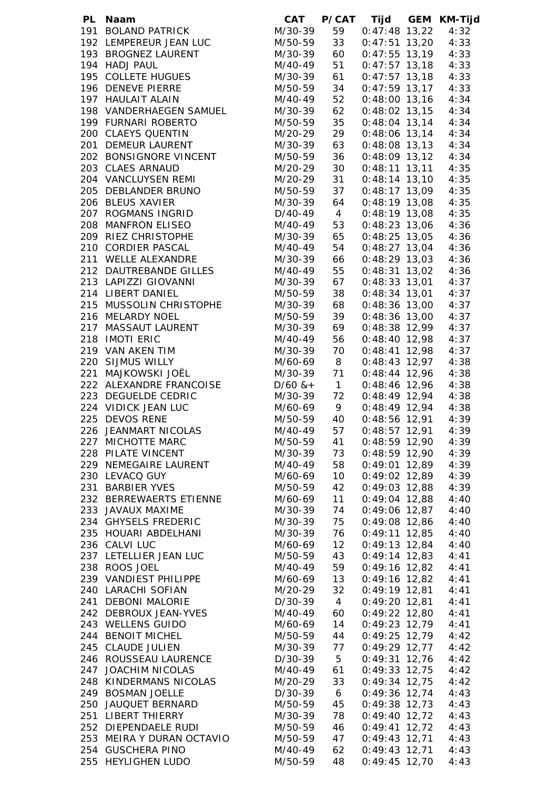| PL Naam                   | CAT          | <b>P/CAT</b>   |                      | Tijd GEM KM-Tijd |
|---------------------------|--------------|----------------|----------------------|------------------|
| 191 BOLAND PATRICK        | M/30-39      | 59             | $0:47:48$ 13,22      | 4:32             |
| 192 LEMPEREUR JEAN LUC    | M/50-59      | 33             | $0:47:51$ 13,20      | 4:33             |
| 193 BROGNEZ LAURENT       | M/30-39      | 60             | $0:47:55$ 13,19      | 4:33             |
| 194 HADJ PAUL             | M/40-49      | 51             | $0:47:57$ 13,18      | 4:33             |
| 195 COLLETE HUGUES        | M/30-39      | 61             | $0:47:57$ 13,18      | 4:33             |
| 196 DENEVE PIERRE         | M/50-59      | 34             | $0:47:59$ 13,17      | 4:33             |
| 197 HAULAIT ALAIN         | M/40-49      | 52             | $0:48:00$ 13,16      | 4:34             |
| 198 VANDERHAEGEN SAMUEL   | M/30-39      | 62             | $0:48:02$ 13,15      | 4:34             |
| 199 FURNARI ROBERTO       | M/50-59      | 35             | $0:48:04$ 13,14      | 4:34             |
| 200 CLAEYS QUENTIN        |              |                |                      |                  |
|                           | M/20-29      | 29             | $0:48:06$ 13,14      | 4:34             |
| 201 DEMEUR LAURENT        | M/30-39      | 63             | $0:48:08$ 13,13      | 4:34             |
| 202 BONSIGNORE VINCENT    | M/50-59      | 36             | $0:48:09$ 13,12      | 4:34             |
| 203 CLAES ARNAUD          | M/20-29      | 30             | $0:48:11$ 13,11      | 4:35             |
| 204 VANCLUYSEN REMI       | M/20-29      | 31             | $0:48:14$ 13,10      | 4:35             |
| 205 DEBLANDER BRUNO       | M/50-59      | 37             | $0:48:17$ 13,09      | 4:35             |
| 206 BLEUS XAVIER          | M/30-39      | 64             | $0:48:19$ 13,08      | 4:35             |
| 207 ROGMANS INGRID        | D/40-49      | $\overline{4}$ | $0:48:19$ 13,08      | 4:35             |
| 208 MANFRON ELISEO        | M/40-49      | 53             | $0:48:23$ 13,06      | 4:36             |
| 209 RIEZ CHRISTOPHE       | M/30-39      | 65             | $0:48:25$ 13,05      | 4:36             |
| 210 CORDIER PASCAL        | M/40-49      | 54             | $0:48:27$ 13,04      | 4:36             |
| 211 WELLE ALEXANDRE       | M/30-39      | 66             | $0:48:29$ 13,03      | 4:36             |
| 212 DAUTREBANDE GILLES    | M/40-49      | 55             | $0:48:31$ 13,02      | 4:36             |
| 213 LAPIZZI GIOVANNI      | M/30-39 67   |                | $0:48:33$ 13,01      | 4:37             |
| 214 LIBERT DANIEL         | M/50-59      | 38             | $0:48:34$ 13,01      | 4:37             |
| 215 MUSSOLIN CHRISTOPHE   |              |                |                      |                  |
|                           | M/30-39 68   |                | $0:48:36$ 13,00      | 4:37             |
| 216 MELARDY NOEL          | M/50-59      | 39             | 0:48:36 13,00        | 4:37             |
| 217 MASSAUT LAURENT       | M/30-39 69   |                | $0:48:38$ 12,99      | 4:37             |
| 218 IMOTI ERIC            | M/40-49 56   |                | $0:48:40$ 12,98      | 4:37             |
| 219 VAN AKEN TIM          | M/30-39 70   |                | $0:48:41$ 12,98      | 4:37             |
| 220 SIJMUS WILLY          | M/60-69 8    |                | $0:48:43$ 12,97 4:38 |                  |
| 221 MAJKOWSKI JOËL        | M/30-39 71   |                | $0:48:44$ 12,96      | 4:38             |
| 222 ALEXANDRE FRANCOISE   | $D/60$ & + 1 |                | $0:48:46$ 12,96 4:38 |                  |
| 223 DEGUELDE CEDRIC       | M/30-39 72   |                | $0:48:49$ 12,94      | 4:38             |
| 224 VIDICK JEAN LUC       | M/60-69 9    |                | $0:48:49$ 12,94 4:38 |                  |
| 225 DEVOS RENE            | M/50-59 40   |                | $0:48:56$ 12,91 4:39 |                  |
| 226 JEANMART NICOLAS      | M/40-49      | 57             | 0:48:57 12,91        | 4:39             |
| 227 MICHOTTE MARC         | M/50-59      | 41             | $0:48:59$ 12,90      | 4:39             |
| 228 PILATE VINCENT        | M/30-39      | 73             | $0:48:59$ 12,90      | 4:39             |
| 229 NEMEGAIRE LAURENT     | M/40-49      | 58             | $0:49:01$ 12,89      | 4:39             |
| 230 LEVACQ GUY            | M/60-69      | 10             | $0:49:02$ 12,89      | 4:39             |
| 231 BARBIER YVES          | M/50-59      | 42             | $0:49:03$ 12,88      | 4:39             |
| 232 BERREWAERTS ETIENNE   | M/60-69      | 11             | $0:49:04$ 12,88      | 4:40             |
| 233 JAVAUX MAXIME         | M/30-39      | 74             | $0:49:06$ 12,87      | 4:40             |
|                           |              |                |                      |                  |
| 234 GHYSELS FREDERIC      | M/30-39      | 75             | $0:49:08$ 12,86      | 4:40             |
| 235 HOUARI ABDELHANI      | M/30-39      | 76             | $0:49:11$ 12,85      | 4:40             |
| 236 CALVI LUC             | M/60-69      | 12             | $0:49:13$ 12,84      | 4:40             |
| 237 LETELLIER JEAN LUC    | M/50-59      | 43             | $0:49:14$ 12,83      | 4:41             |
| 238 ROOS JOEL             | M/40-49      | 59             | $0:49:16$ 12,82      | 4:41             |
| 239 VANDIEST PHILIPPE     | M/60-69      | 13             | $0:49:16$ 12,82      | 4:41             |
| 240 LARACHI SOFIAN        | M/20-29      | 32             | $0:49:19$ 12,81      | 4:41             |
| 241 DEBONI MALORIE        | D/30-39      | $\overline{4}$ | $0:49:20$ 12,81      | 4:41             |
| 242 DEBROUX JEAN-YVES     | M/40-49      | 60             | $0:49:22$ 12,80      | 4:41             |
| 243 WELLENS GUIDO         | M/60-69      | 14             | $0:49:23$ 12,79      | 4:41             |
| 244 BENOIT MICHEL         | M/50-59      | 44             | $0:49:25$ 12,79      | 4:42             |
| 245 CLAUDE JULIEN         | M/30-39      | 77             | $0:49:29$ 12,77      | 4:42             |
| 246 ROUSSEAU LAURENCE     | D/30-39      | $5^{\circ}$    | $0:49:31$ 12,76      | 4:42             |
| 247 JOACHIM NICOLAS       | M/40-49      | 61             | $0:49:33$ 12,75      | 4:42             |
| 248 KINDERMANS NICOLAS    | M/20-29      | 33             | $0:49:34$ 12,75      | 4:42             |
| 249 BOSMAN JOELLE         | D/30-39      | 6 <sup>6</sup> | $0:49:36$ 12,74      | 4:43             |
| 250 JAUQUET BERNARD       | M/50-59      | 45             | $0:49:38$ 12,73      | 4:43             |
| 251 LIBERT THIERRY        | M/30-39      | 78             | $0:49:40$ 12,72      | 4:43             |
|                           |              |                |                      |                  |
| 252 DIEPENDAELE RUDI      | M/50-59      | 46             | $0:49:41$ 12,72      | 4:43             |
| 253 MEIRA Y DURAN OCTAVIO | M/50-59      | 47             | $0:49:43$ 12,71      | 4:43             |
| 254 GUSCHERA PINO         | M/40-49      | 62             | $0:49:43$ 12,71      | 4:43             |
| 255 HEYLIGHEN LUDO        | M/50-59      | 48             | $0:49:45$ 12,70      | 4:43             |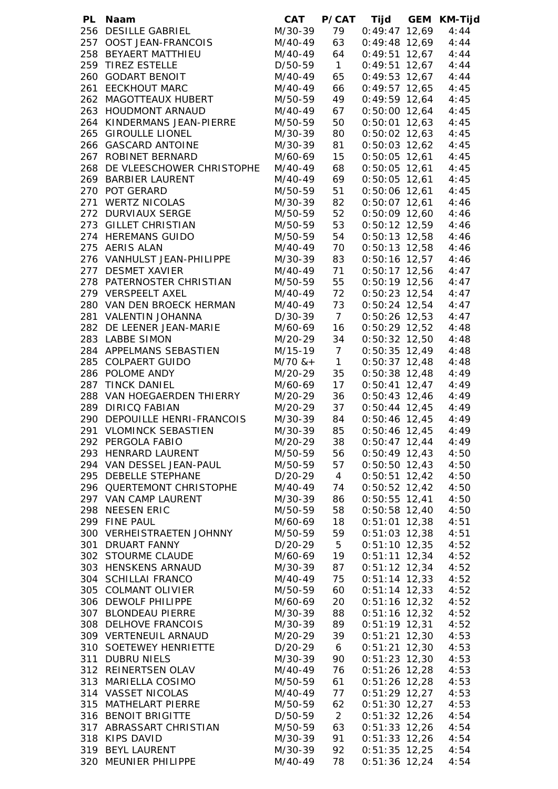| PL Naam                                          |                               |                      | CAT P/CAT Tijd GEM KM-Tijd         |              |
|--------------------------------------------------|-------------------------------|----------------------|------------------------------------|--------------|
| 256 DESILLE GABRIEL                              | M/30-39<br>M/40-49<br>M/40-49 | 79                   | $0:49:47$ 12,69                    | 4:44         |
| 257 OOST JEAN-FRANCOIS                           |                               | 63                   | $0:49:48$ 12,69                    | 4:44         |
| 258 BEYAERT MATTHIEU                             |                               | 64                   | $0:49:51$ 12,67                    | 4:44         |
| 259 TIREZ ESTELLE                                | D/50-59                       | $\overline{1}$       | $0:49:51$ 12,67                    | 4:44         |
| 260 GODART BENOIT                                | M/40-49                       | 65                   | $0:49:53$ 12,67                    | 4:44         |
| 261 EECKHOUT MARC                                | M/40-49                       | 66                   | $0:49:57$ 12,65                    | 4:45         |
| 262 MAGOTTEAUX HUBERT                            | M/50-59                       | 49                   | $0:49:59$ 12,64                    | 4:45         |
| 263 HOUDMONT ARNAUD                              | M/40-49                       | 67                   | $0:50:00$ 12,64                    | 4:45         |
| 264 KINDERMANS JEAN-PIERRE                       | M/50-59                       | 50                   | $0:50:01$ 12,63                    | 4:45         |
| 265 GIROULLE LIONEL<br>266 GASCARD ANTOINE       | M/30-39<br>M/30-39            | 80<br>81             | $0:50:02$ 12,63<br>$0:50:03$ 12,62 | 4:45<br>4:45 |
| 267 ROBINET BERNARD                              | M/60-69                       | 15                   | $0:50:05$ 12,61                    | 4:45         |
| 268 DE VLEESCHOWER CHRISTOPHE                    | M/40-49                       | 68                   | $0:50:05$ 12,61                    | 4:45         |
| 269 BARBIER LAURENT                              | M/40-49                       | 69                   | $0:50:05$ 12,61                    | 4:45         |
| 270 POT GERARD                                   | M/50-59                       | 51                   | $0:50:06$ 12,61                    | 4:45         |
| 271 WERTZ NICOLAS                                | M/30-39                       | 82                   | $0:50:07$ 12,61                    | 4:46         |
| 272 DURVIAUX SERGE                               | M/50-59                       | 52                   | $0:50:09$ 12,60                    | 4:46         |
| 273 GILLET CHRISTIAN                             | M/50-59                       | 53                   | $0:50:12$ 12,59                    | 4:46         |
| 274 HEREMANS GUIDO                               | M/50-59                       | 54                   | $0:50:13$ 12,58                    | 4:46         |
| 275 AERIS ALAN                                   | M/40-49                       | 70                   | $0:50:13$ 12,58                    | 4:46         |
| 276 VANHULST JEAN-PHILIPPE                       | M/30-39                       | 83                   | $0:50:16$ 12,57                    | 4:46         |
| 277 DESMET XAVIER                                | M/40-49 71                    |                      | $0:50:17$ 12,56                    | 4:47         |
| 278 PATERNOSTER CHRISTIAN                        | M/50-59                       | 55                   | $0:50:19$ 12,56                    | 4:47         |
| 279 VERSPEELT AXEL                               | M/40-49 72                    |                      | $0:50:23$ 12,54 4:47               |              |
| 280 VAN DEN BROECK HERMAN                        | M/40-49                       | 73                   | $0:50:24$ 12,54 4:47               |              |
| 281 VALENTIN JOHANNA                             | $D/30-39$ 7                   |                      | $0:50:26$ 12,53 4:47               |              |
| 282 DE LEENER JEAN-MARIE                         | M/60-69                       | 16                   | $0:50:29$ 12,52                    | 4:48         |
| 283 LABBE SIMON                                  | M/20-29                       | 34                   | $0:50:32$ 12,50                    | 4:48         |
| 284 APPELMANS SEBASTIEN                          | M/15-19 7                     |                      | $0:50:35$ 12,49                    | 4:48         |
| 285 COLPAERT GUIDO                               | $M/70$ & +                    | $\overline{1}$       | $0:50:37$ 12,48                    | 4:48         |
| 286 POLOME ANDY                                  | M/20-29                       | 35                   | $0:50:38$ 12,48                    | 4:49         |
| 287 TINCK DANIEL                                 | M/60-69                       | 17                   | $0:50:41$ 12,47 4:49               |              |
| 288 VAN HOEGAERDEN THIERRY                       | M/20-29                       | 36                   | $0:50:43$ 12,46 $4:49$             |              |
| 289 DIRICQ FABIAN                                | M/20-29                       | 37                   | $0:50:44$ 12,45 4:49               |              |
| 290 DEPOUILLE HENRI-FRANCOIS                     | M/30-39                       | 84                   | $0:50:46$ 12,45 4:49               |              |
| 291 VLOMINCK SEBASTIEN                           | M/30-39                       | 85                   | $0:50:46$ 12,45                    | 4:49         |
| 292 PERGOLA FABIO                                | M/20-29                       | 38                   | $0:50:47$ 12,44                    | 4:49         |
| 293 HENRARD LAURENT                              | M/50-59                       | 56                   | $0:50:49$ 12,43                    | 4:50         |
| 294 VAN DESSEL JEAN-PAUL<br>295 DEBELLE STEPHANE | M/50-59                       | 57                   | $0:50:50$ 12,43                    | 4:50         |
| 296 QUERTEMONT CHRISTOPHE                        | D/20-29<br>M/40-49            | $\overline{4}$<br>74 | $0:50:51$ 12,42                    | 4:50<br>4:50 |
| 297 VAN CAMP LAURENT                             | M/30-39                       | 86                   | $0:50:52$ 12,42<br>$0:50:55$ 12,41 | 4:50         |
| 298 NEESEN ERIC                                  | M/50-59                       | 58                   | $0:50:58$ 12,40                    | 4:50         |
| 299 FINE PAUL                                    | M/60-69                       | 18                   | $0:51:01$ 12,38                    | 4:51         |
| 300 VERHEISTRAETEN JOHNNY                        | M/50-59                       | 59                   | $0:51:03$ 12,38                    | 4:51         |
| 301 DRUART FANNY                                 | D/20-29                       | 5 <sub>5</sub>       | $0:51:10$ 12,35                    | 4:52         |
| 302 STOURME CLAUDE                               | M/60-69 19                    |                      | $0:51:11$ 12,34                    | 4:52         |
| 303 HENSKENS ARNAUD                              | M/30-39                       | 87                   | $0:51:12$ 12,34                    | 4:52         |
|                                                  | M/40-49                       | 75                   | $0:51:14$ 12,33                    | 4:52         |
| 304 SCHILLAI FRANCO<br>305 COLMANT OLIVIER       | M/50-59                       | 60                   | $0:51:14$ 12,33                    | 4:52         |
| 306 DEWOLF PHILIPPE                              | M/60-69                       | 20                   | $0:51:16$ 12,32                    | 4:52         |
| 307 BLONDEAU PIERRE                              | M/30-39                       | 88                   | $0:51:16$ 12,32                    | 4:52         |
| 308 DELHOVE FRANCOIS                             | M/30-39 89                    |                      | $0:51:19$ 12,31 4:52               |              |
| 309 VERTENEUIL ARNAUD                            | M/20-29 39                    |                      | $0:51:21$ 12,30                    | 4:53         |
| 310 SOETEWEY HENRIETTE                           | $D/20-29$ 6                   |                      | $0:51:21$ 12,30                    | 4:53         |
| 311 DUBRU NIELS                                  | M/30-39                       | 90                   | $0:51:23$ 12,30                    | 4:53         |
| 312 REINERTSEN OLAV                              | M/40-49                       | 76                   | $0:51:26$ 12,28                    | 4:53         |
| 313 MARIELLA COSIMO                              | M/50-59                       | 61                   | $0:51:26$ 12,28                    | 4:53         |
| 314 VASSET NICOLAS<br>315 MATHELART PIERRE       | M/40-49                       | 77                   | $0:51:29$ 12,27 4:53               |              |
|                                                  | M/50-59                       | 62                   | $0:51:30$ 12,27 4:53               |              |
| 316 BENOIT BRIGITTE                              | D/50-59                       | $2^{\circ}$          | $0:51:32$ 12,26 4:54               |              |
| 317 ABRASSART CHRISTIAN                          | M/50-59                       | 63                   | $0:51:33$ 12,26 4:54               |              |
| 318 KIPS DAVID                                   | M/30-39                       | 91                   | $0:51:33$ 12,26 4:54               |              |
| 319 BEYL LAURENT                                 | M/30-39                       | 92                   | $0:51:35$ 12,25 4:54               |              |
| 320 MEUNIER PHILIPPE                             | M/40-49                       | 78                   | $0:51:36$ 12,24                    | 4:54         |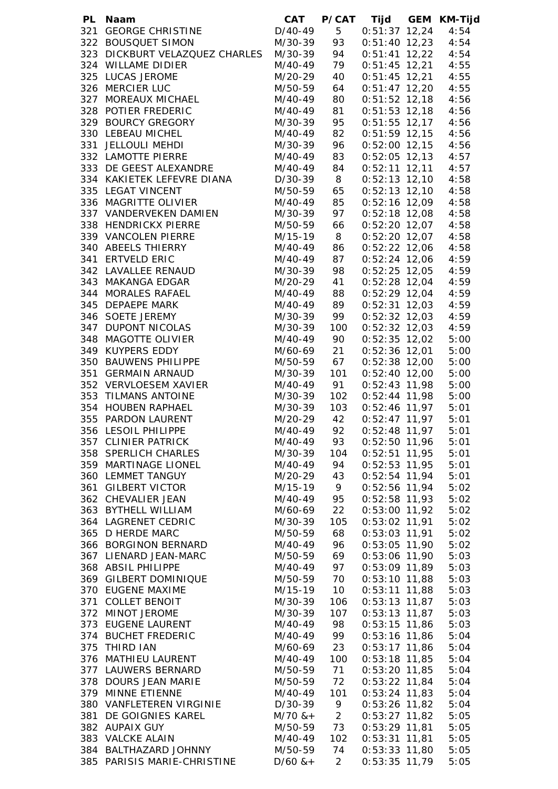| PL Naam                                       | <b>CAT</b>         |                 | P/CAT Tijd GEM KM-Tijd             |              |
|-----------------------------------------------|--------------------|-----------------|------------------------------------|--------------|
| 321 GEORGE CHRISTINE                          | $D/40-49$ 5        |                 | $0:51:37$ 12,24                    | 4:54         |
| 322 BOUSQUET SIMON                            | M/30-39            | 93              | $0:51:40$ 12,23                    | 4:54         |
| 323 DICKBURT VELAZQUEZ CHARLES                | M/30-39            | 94              | $0:51:41$ 12,22                    | 4:54         |
| 324 WILLAME DIDIER                            | M/40-49 79         |                 | $0:51:45$ 12,21                    | 4:55         |
| 325 LUCAS JEROME                              | M/20-29            | 40              | $0:51:45$ 12,21                    | 4:55         |
| 326 MERCIER LUC                               | M/50-59            | 64              | $0:51:47$ 12,20                    | 4:55         |
| 327 MOREAUX MICHAEL                           | M/40-49            | 80              | $0:51:52$ 12,18                    | 4:56         |
| 328 POTIER FREDERIC                           | M/40-49            | 81              | $0:51:53$ 12,18                    | 4:56         |
| 329 BOURCY GREGORY                            | M/30-39            | 95              | $0:51:55$ 12,17                    | 4:56         |
| 330 LEBEAU MICHEL                             | M/40-49            | 82              | $0:51:59$ 12,15                    | 4:56         |
| 331 JELLOULI MEHDI                            | M/30-39            | 96              | $0:52:00$ 12,15                    | 4:56         |
| 332 LAMOTTE PIERRE                            | M/40-49 83         |                 | $0:52:05$ 12,13                    | 4:57         |
| 333 DE GEEST ALEXANDRE                        | M/40-49 84         |                 | $0:52:11$ 12,11                    | 4:57         |
| 334 KAKIETEK LEFEVRE DIANA                    | $D/30-39$ 8        |                 | $0:52:13$ 12,10                    | 4:58         |
| 335 LEGAT VINCENT                             | M/50-59 65         |                 | $0:52:13$ 12,10                    | 4:58         |
| 336 MAGRITTE OLIVIER                          | M/40-49 85         |                 | $0:52:16$ 12,09                    | 4:58         |
| 337 VANDERVEKEN DAMIEN                        | M/30-39 97         |                 | $0:52:18$ 12,08                    | 4:58         |
| 338 HENDRICKX PIERRE                          | M/50-59 66         |                 | $0:52:20$ 12,07                    | 4:58         |
| 339 VANCOLEN PIERRE                           | M/15-19 8          |                 | $0:52:20$ 12,07 4:58               |              |
| 340 ABEELS THIERRY                            | M/40-49 86         |                 | $0:52:22$ 12,06 4:58               |              |
| 341 ERTVELD ERIC                              | M/40-49 87         |                 | $0:52:24$ 12,06 4:59               |              |
| 342 LAVALLEE RENAUD                           | M/30-39 98         |                 | $0:52:25$ 12,05 4:59               |              |
| 343 MAKANGA EDGAR                             | M/20-29 41         |                 | $0:52:28$ 12,04 4:59               |              |
| 344 MORALES RAFAEL                            | M/40-49 88         |                 | $0:52:29$ 12,04 4:59               |              |
| 345 DEPAEPE MARK                              | M/40-49 89         |                 | $0:52:31$ 12,03 4:59               |              |
| 346 SOETE JEREMY                              | M/30-39 99         |                 | $0:52:32$ 12,03                    | 4:59         |
| 347 DUPONT NICOLAS                            | M/30-39            | 100             | $0:52:32$ 12,03                    | 4:59         |
| 348 MAGOTTE OLIVIER                           | M/40-49 90         |                 | $0:52:35$ 12,02                    | 5:00         |
| 349 KUYPERS EDDY                              | M/60-69            | 21              | 0:52:36 12,01                      | 5:00         |
| 350 BAUWENS PHILIPPE                          | M/50-59 67         |                 | 0:52:38 12,00                      | 5:00         |
| 351 GERMAIN ARNAUD                            | M/30-39            | 101             | $0:52:40$ 12,00                    | 5:00         |
| 352 VERVLOESEM XAVIER                         | $M/40-49$ 91       |                 | $0:52:43$ 11,98                    | 5:00         |
| 353 TILMANS ANTOINE                           | M/30-39            | 102             | $0:52:44$ 11,98                    | 5:00         |
| 354 HOUBEN RAPHAEL                            | M/30-39            | 103             | $0:52:46$ 11,97                    | 5:01         |
| 355 PARDON LAURENT                            | M/20-29            | 42              | $0:52:47$ 11,97                    | 5:01         |
| 356 LESOIL PHILIPPE                           | M/40-49            | 92              | $0:52:48$ 11,97                    | 5:01         |
| 357 CLINIER PATRICK                           | M/40-49            | 93              | $0:52:50$ 11,96                    | 5:01         |
| 358 SPERLICH CHARLES                          | M/30-39            | 104             | $0:52:51$ 11,95                    | 5:01         |
| 359 MARTINAGE LIONEL                          | M/40-49            | 94              | $0:52:53$ 11,95                    | 5:01         |
| 360 LEMMET TANGUY                             | M/20-29            | 43              | $0:52:54$ 11,94                    | 5:01         |
| 361 GILBERT VICTOR                            | M/15-19            | 9               | $0:52:56$ 11,94                    | 5:02         |
| 362 CHEVALIER JEAN                            | M/40-49            | 95              | $0:52:58$ 11,93                    | 5:02         |
| 363 BYTHELL WILLIAM                           | M/60-69            | 22              | $0:53:00$ 11,92                    | 5:02         |
| 364 LAGRENET CEDRIC                           | M/30-39            | 105             | $0:53:02$ 11,91                    | 5:02         |
| 365 D HERDE MARC                              | M/50-59            | 68              | $0:53:03$ 11,91                    | 5:02         |
| 366 BORGINON BERNARD<br>367 LIENARD JEAN-MARC | M/40-49            | 96              | $0:53:05$ 11,90                    | 5:02         |
| 368 ABSIL PHILIPPE                            | M/50-59<br>M/40-49 | 69<br>97        | $0:53:06$ 11,90<br>$0:53:09$ 11,89 | 5:03         |
| 369 GILBERT DOMINIQUE                         | M/50-59            | 70              | $0:53:10$ 11,88                    | 5:03<br>5:03 |
| 370 EUGENE MAXIME                             | M/15-19            | 10 <sup>1</sup> | $0:53:11$ 11,88                    | 5:03         |
| 371 COLLET BENOIT                             | M/30-39            | 106             | $0:53:13$ 11,87                    | 5:03         |
| 372 MINOT JEROME                              | M/30-39            | 107             | $0:53:13$ 11,87                    | 5:03         |
| 373 EUGENE LAURENT                            | M/40-49            | 98              | $0:53:15$ 11,86                    | 5:03         |
| 374 BUCHET FREDERIC                           | M/40-49 99         |                 | $0:53:16$ 11,86                    | 5:04         |
| 375 THIRD IAN                                 | M/60-69            | 23              | $0:53:17$ 11,86                    | 5:04         |
| 376 MATHIEU LAURENT                           | M/40-49            | 100             | $0:53:18$ 11,85                    | 5:04         |
| 377 LAUWERS BERNARD                           | M/50-59            | 71              | $0:53:20$ 11,85                    | 5:04         |
| 378 DOURS JEAN MARIE                          | M/50-59            | 72              | $0:53:22$ 11,84                    | 5:04         |
| 379 MINNE ETIENNE                             | M/40-49            | 101             | $0:53:24$ 11,83                    | 5:04         |
| 380 VANFLETEREN VIRGINIE                      | D/30-39            | 9               | $0:53:26$ 11,82                    | 5:04         |
| 381 DE GOIGNIES KAREL                         | $M/70$ & +         | $2\overline{ }$ | $0:53:27$ 11,82                    | 5:05         |
| 382 AUPAIX GUY                                | M/50-59 73         |                 | $0:53:29$ 11,81                    | 5:05         |
| 383 VALCKE ALAIN                              | M/40-49            | 102             | $0:53:31$ 11,81                    | 5:05         |
| 384 BALTHAZARD JOHNNY                         | M/50-59            | 74              | $0:53:33$ 11,80                    | 5:05         |
| 385 PARISIS MARIE-CHRISTINE                   | $D/60$ & +         | $2^{\circ}$     | $0:53:35$ 11,79                    | 5:05         |
|                                               |                    |                 |                                    |              |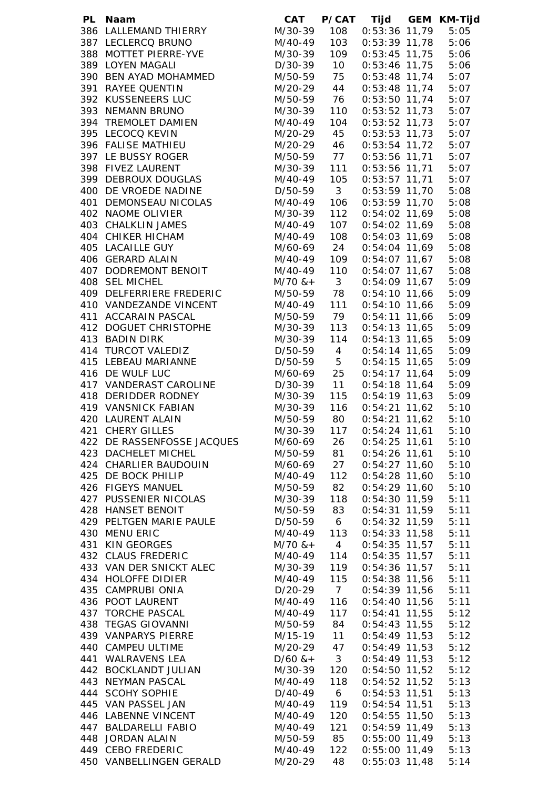| <b>PL</b> | Naam                       | CAT                          | <b>P/CAT</b>            | Tijd            | GEM KM-Tijd  |
|-----------|----------------------------|------------------------------|-------------------------|-----------------|--------------|
|           | 386 LALLEMAND THIERRY      | M/30-39                      | 108                     | $0:53:36$ 11,79 | 5:05         |
|           | 387 LECLERCQ BRUNO         | M/40-49                      | 103                     | 0:53:39 11,78   | 5:06         |
|           | 388 MOTTET PIERRE-YVE      | M/30-39                      | 109                     | $0:53:45$ 11,75 | 5:06         |
|           | 389 LOYEN MAGALI           | $D/30-39$ 10                 |                         | 0:53:46 11,75   | 5:06         |
|           | 390 BEN AYAD MOHAMMED      |                              |                         | 0:53:48 11,74   | 5:07         |
|           | 391 RAYEE QUENTIN          | $M/50-59$ 75<br>$M/20-29$ 44 |                         | 0:53:48 11,74   | 5:07         |
|           | 392 KUSSENEERS LUC         | $M/50-59$ 76                 |                         | $0:53:50$ 11,74 | 5:07         |
|           | 393 NEMANN BRUNO           | M/30-39                      | 110                     | $0:53:52$ 11,73 | 5:07         |
|           | 394 TREMOLET DAMIEN        | M/40-49                      | 104                     | $0:53:52$ 11,73 | 5:07         |
|           |                            |                              |                         |                 |              |
|           | 395 LECOCQ KEVIN           | M/20-29 45                   |                         | $0:53:53$ 11,73 | 5:07         |
|           | 396 FALISE MATHIEU         | M/20-29 46                   |                         | $0:53:54$ 11,72 | 5:07         |
|           | 397 LE BUSSY ROGER         | M/50-59 77                   |                         | $0:53:56$ 11,71 | 5:07         |
|           | 398 FIVEZ LAURENT          | M/30-39                      | 111                     | $0:53:56$ 11,71 | 5:07         |
|           | 399 DEBROUX DOUGLAS        | M/40-49                      | 105                     | $0:53:57$ 11,71 | 5:07         |
|           | 400 DE VROEDE NADINE       | D/50-59                      | $\overline{\mathbf{3}}$ | $0:53:59$ 11,70 | 5:08         |
|           | 401 DEMONSEAU NICOLAS      | M/40-49                      | 106                     | $0:53:59$ 11,70 | 5:08         |
|           | 402 NAOME OLIVIER          | M/30-39                      | 112                     | $0:54:02$ 11,69 | 5:08         |
|           | 403 CHALKLIN JAMES         | M/40-49                      | 107                     | $0:54:02$ 11,69 | 5:08         |
|           | 404 CHIKER HICHAM          | M/40-49                      | 108                     | $0:54:03$ 11,69 | 5:08         |
|           | 405 LACAILLE GUY           | M/60-69 24                   |                         | $0:54:04$ 11,69 | 5:08         |
|           | 406 GERARD ALAIN           | M/40-49                      | 109                     | $0:54:07$ 11,67 | 5:08         |
|           | 407 DODREMONT BENOIT       | M/40-49                      | 110                     | $0:54:07$ 11,67 | 5:08         |
|           | 408 SEL MICHEL             | $M/70$ & + 3                 |                         | $0:54:09$ 11,67 | 5:09         |
|           | 409 DELFERRIERE FREDERIC   | M/50-59 78                   |                         | $0:54:10$ 11,66 | 5:09         |
|           |                            |                              |                         |                 |              |
|           | 410 VANDEZANDE VINCENT     | M/40-49 111                  |                         | $0:54:10$ 11,66 | 5:09         |
|           | 411 ACCARAIN PASCAL        | M/50-59 79                   |                         | $0:54:11$ 11,66 | 5:09         |
|           | 412 DOGUET CHRISTOPHE      | M/30-39                      | 113                     | $0:54:13$ 11,65 | 5:09         |
|           | 413 BADIN DIRK             | M/30-39 114                  |                         | $0:54:13$ 11,65 | 5:09         |
|           | 414 TURCOT VALEDIZ         | $D/50-59$ 4                  |                         | $0:54:14$ 11,65 | 5:09         |
|           | 415 LEBEAU MARIANNE        | D/50-59 5                    |                         | $0:54:15$ 11,65 | 5:09         |
|           | 416 DE WULF LUC            | M/60-69 25                   |                         | $0:54:17$ 11,64 | 5:09         |
|           | 417 VANDERAST CAROLINE     | D/30-39 11                   |                         | $0:54:18$ 11,64 | 5:09         |
|           | 418 DERIDDER RODNEY        | M/30-39                      | 115                     | $0:54:19$ 11,63 | 5:09         |
|           | 419 VANSNICK FABIAN        | M/30-39                      | 116                     | $0:54:21$ 11,62 | 5:10         |
|           | 420 LAURENT ALAIN          | M/50-59 80                   |                         | $0:54:21$ 11,62 | 5:10         |
|           | 421 CHERY GILLES           | M/30-39                      | 117                     | $0:54:24$ 11,61 | 5:10         |
|           | 422 DE RASSENFOSSE JACQUES | M/60-69                      | 26                      | $0:54:25$ 11,61 | 5:10         |
|           | 423 DACHELET MICHEL        | M/50-59                      | 81                      | $0:54:26$ 11,61 | 5:10         |
|           | 424 CHARLIER BAUDOUIN      | M/60-69                      | 27                      | $0:54:27$ 11,60 | 5:10         |
|           | 425 DE BOCK PHILIP         | M/40-49                      | 112                     | $0:54:28$ 11,60 | 5:10         |
|           | 426 FIGEYS MANUEL          | M/50-59                      | 82                      | $0:54:29$ 11,60 | 5:10         |
|           | 427 PUSSENIER NICOLAS      | M/30-39                      | 118                     | $0:54:30$ 11,59 | 5:11         |
|           | 428 HANSET BENOIT          | M/50-59                      | 83                      | $0:54:31$ 11,59 | 5:11         |
|           | 429 PELTGEN MARIE PAULE    | D/50-59                      | 6                       | $0:54:32$ 11,59 | 5:11         |
|           | 430 MENU ERIC              |                              |                         | $0:54:33$ 11,58 |              |
|           | 431 KIN GEORGES            | M/40-49                      | 113                     |                 | 5:11<br>5:11 |
|           |                            | $M/70$ & +                   | $\overline{4}$          | $0:54:35$ 11,57 |              |
|           | 432 CLAUS FREDERIC         | M/40-49                      | 114                     | $0:54:35$ 11,57 | 5:11         |
|           | 433 VAN DER SNICKT ALEC    | M/30-39                      | 119                     | $0:54:36$ 11,57 | 5:11         |
|           | 434 HOLOFFE DIDIER         | M/40-49                      | 115                     | $0:54:38$ 11,56 | 5:11         |
|           | 435 CAMPRUBI ONIA          | D/20-29                      | $\overline{7}$          | $0:54:39$ 11,56 | 5:11         |
|           | 436 POOT LAURENT           | M/40-49                      | 116                     | $0:54:40$ 11,56 | 5:11         |
|           | 437 TORCHE PASCAL          | M/40-49                      | 117                     | $0:54:41$ 11,55 | 5:12         |
|           | 438 TEGAS GIOVANNI         | M/50-59                      | 84                      | $0:54:43$ 11,55 | 5:12         |
|           | 439 VANPARYS PIERRE        | M/15-19 11                   |                         | $0:54:49$ 11,53 | 5:12         |
|           | 440 CAMPEU ULTIME          | M/20-29                      | 47                      | $0:54:49$ 11,53 | 5:12         |
|           | 441 WALRAVENS LEA          | $D/60$ & +                   | $\overline{\mathbf{3}}$ | $0:54:49$ 11,53 | 5:12         |
|           | 442 BOCKLANDT JULIAN       | M/30-39                      | 120                     | $0:54:50$ 11,52 | 5:12         |
|           | 443 NEYMAN PASCAL          | M/40-49                      | 118                     | $0:54:52$ 11,52 | 5:13         |
|           | 444 SCOHY SOPHIE           | D/40-49                      | $6\overline{6}$         | $0:54:53$ 11,51 | 5:13         |
|           | 445 VAN PASSEL JAN         | M/40-49                      | 119                     | $0:54:54$ 11,51 | 5:13         |
|           | 446 LABENNE VINCENT        | M/40-49                      | 120                     | $0:54:55$ 11,50 | 5:13         |
|           | 447 BALDARELLI FABIO       | M/40-49                      | 121                     | $0:54:59$ 11,49 | 5:13         |
|           | 448 JORDAN ALAIN           | M/50-59                      | 85                      | $0:55:00$ 11,49 | 5:13         |
|           | 449 CEBO FREDERIC          | M/40-49                      | 122                     | 0:55:00 11,49   | 5:13         |
|           | 450 VANBELLINGEN GERALD    | M/20-29                      | 48                      | $0:55:03$ 11,48 | 5:14         |
|           |                            |                              |                         |                 |              |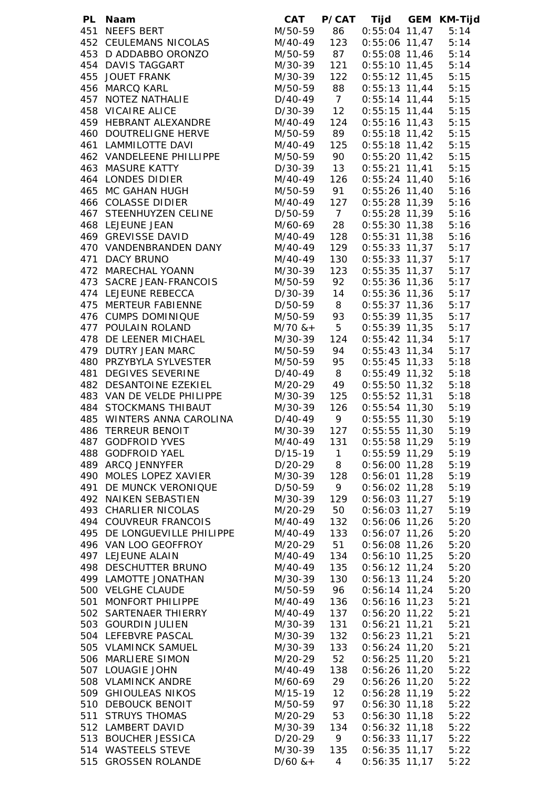| $0:55:04$ 11,47<br>0:55:06 11,47<br>0:55:08 11,46<br>$0:55:10$ 11,45 | 5:14<br>5:14<br>5:14                                                                                                                                                                                                                                                                                                                                                                                                                                                                                                                                                                                                                                                                                                                                                                                                                                                                                                                                                                                                                                                              |
|----------------------------------------------------------------------|-----------------------------------------------------------------------------------------------------------------------------------------------------------------------------------------------------------------------------------------------------------------------------------------------------------------------------------------------------------------------------------------------------------------------------------------------------------------------------------------------------------------------------------------------------------------------------------------------------------------------------------------------------------------------------------------------------------------------------------------------------------------------------------------------------------------------------------------------------------------------------------------------------------------------------------------------------------------------------------------------------------------------------------------------------------------------------------|
|                                                                      |                                                                                                                                                                                                                                                                                                                                                                                                                                                                                                                                                                                                                                                                                                                                                                                                                                                                                                                                                                                                                                                                                   |
|                                                                      |                                                                                                                                                                                                                                                                                                                                                                                                                                                                                                                                                                                                                                                                                                                                                                                                                                                                                                                                                                                                                                                                                   |
|                                                                      |                                                                                                                                                                                                                                                                                                                                                                                                                                                                                                                                                                                                                                                                                                                                                                                                                                                                                                                                                                                                                                                                                   |
|                                                                      | 5:14                                                                                                                                                                                                                                                                                                                                                                                                                                                                                                                                                                                                                                                                                                                                                                                                                                                                                                                                                                                                                                                                              |
| $0:55:12$ 11,45                                                      | 5:15                                                                                                                                                                                                                                                                                                                                                                                                                                                                                                                                                                                                                                                                                                                                                                                                                                                                                                                                                                                                                                                                              |
| $0:55:13$ 11,44                                                      | 5:15                                                                                                                                                                                                                                                                                                                                                                                                                                                                                                                                                                                                                                                                                                                                                                                                                                                                                                                                                                                                                                                                              |
| $0:55:14$ 11,44                                                      | 5:15                                                                                                                                                                                                                                                                                                                                                                                                                                                                                                                                                                                                                                                                                                                                                                                                                                                                                                                                                                                                                                                                              |
|                                                                      | 5:15                                                                                                                                                                                                                                                                                                                                                                                                                                                                                                                                                                                                                                                                                                                                                                                                                                                                                                                                                                                                                                                                              |
|                                                                      | 5:15                                                                                                                                                                                                                                                                                                                                                                                                                                                                                                                                                                                                                                                                                                                                                                                                                                                                                                                                                                                                                                                                              |
|                                                                      | 5:15                                                                                                                                                                                                                                                                                                                                                                                                                                                                                                                                                                                                                                                                                                                                                                                                                                                                                                                                                                                                                                                                              |
|                                                                      | 5:15                                                                                                                                                                                                                                                                                                                                                                                                                                                                                                                                                                                                                                                                                                                                                                                                                                                                                                                                                                                                                                                                              |
|                                                                      | 5:15                                                                                                                                                                                                                                                                                                                                                                                                                                                                                                                                                                                                                                                                                                                                                                                                                                                                                                                                                                                                                                                                              |
|                                                                      | 5:15                                                                                                                                                                                                                                                                                                                                                                                                                                                                                                                                                                                                                                                                                                                                                                                                                                                                                                                                                                                                                                                                              |
|                                                                      | 5:16                                                                                                                                                                                                                                                                                                                                                                                                                                                                                                                                                                                                                                                                                                                                                                                                                                                                                                                                                                                                                                                                              |
|                                                                      | 5:16                                                                                                                                                                                                                                                                                                                                                                                                                                                                                                                                                                                                                                                                                                                                                                                                                                                                                                                                                                                                                                                                              |
|                                                                      | 5:16                                                                                                                                                                                                                                                                                                                                                                                                                                                                                                                                                                                                                                                                                                                                                                                                                                                                                                                                                                                                                                                                              |
|                                                                      | 5:16                                                                                                                                                                                                                                                                                                                                                                                                                                                                                                                                                                                                                                                                                                                                                                                                                                                                                                                                                                                                                                                                              |
|                                                                      | 5:16                                                                                                                                                                                                                                                                                                                                                                                                                                                                                                                                                                                                                                                                                                                                                                                                                                                                                                                                                                                                                                                                              |
|                                                                      | 5:16                                                                                                                                                                                                                                                                                                                                                                                                                                                                                                                                                                                                                                                                                                                                                                                                                                                                                                                                                                                                                                                                              |
|                                                                      | 5:17                                                                                                                                                                                                                                                                                                                                                                                                                                                                                                                                                                                                                                                                                                                                                                                                                                                                                                                                                                                                                                                                              |
|                                                                      |                                                                                                                                                                                                                                                                                                                                                                                                                                                                                                                                                                                                                                                                                                                                                                                                                                                                                                                                                                                                                                                                                   |
|                                                                      | 5:17                                                                                                                                                                                                                                                                                                                                                                                                                                                                                                                                                                                                                                                                                                                                                                                                                                                                                                                                                                                                                                                                              |
|                                                                      | 5:17                                                                                                                                                                                                                                                                                                                                                                                                                                                                                                                                                                                                                                                                                                                                                                                                                                                                                                                                                                                                                                                                              |
|                                                                      | 5:17                                                                                                                                                                                                                                                                                                                                                                                                                                                                                                                                                                                                                                                                                                                                                                                                                                                                                                                                                                                                                                                                              |
|                                                                      | 5:17                                                                                                                                                                                                                                                                                                                                                                                                                                                                                                                                                                                                                                                                                                                                                                                                                                                                                                                                                                                                                                                                              |
|                                                                      | 5:17                                                                                                                                                                                                                                                                                                                                                                                                                                                                                                                                                                                                                                                                                                                                                                                                                                                                                                                                                                                                                                                                              |
|                                                                      | 5:17                                                                                                                                                                                                                                                                                                                                                                                                                                                                                                                                                                                                                                                                                                                                                                                                                                                                                                                                                                                                                                                                              |
|                                                                      | 5:17                                                                                                                                                                                                                                                                                                                                                                                                                                                                                                                                                                                                                                                                                                                                                                                                                                                                                                                                                                                                                                                                              |
|                                                                      | 5:17                                                                                                                                                                                                                                                                                                                                                                                                                                                                                                                                                                                                                                                                                                                                                                                                                                                                                                                                                                                                                                                                              |
|                                                                      | 5:17                                                                                                                                                                                                                                                                                                                                                                                                                                                                                                                                                                                                                                                                                                                                                                                                                                                                                                                                                                                                                                                                              |
|                                                                      | 5:18                                                                                                                                                                                                                                                                                                                                                                                                                                                                                                                                                                                                                                                                                                                                                                                                                                                                                                                                                                                                                                                                              |
|                                                                      | 5:18                                                                                                                                                                                                                                                                                                                                                                                                                                                                                                                                                                                                                                                                                                                                                                                                                                                                                                                                                                                                                                                                              |
|                                                                      | 5:18                                                                                                                                                                                                                                                                                                                                                                                                                                                                                                                                                                                                                                                                                                                                                                                                                                                                                                                                                                                                                                                                              |
|                                                                      | 5:18                                                                                                                                                                                                                                                                                                                                                                                                                                                                                                                                                                                                                                                                                                                                                                                                                                                                                                                                                                                                                                                                              |
|                                                                      | 5:19                                                                                                                                                                                                                                                                                                                                                                                                                                                                                                                                                                                                                                                                                                                                                                                                                                                                                                                                                                                                                                                                              |
|                                                                      | 5:19                                                                                                                                                                                                                                                                                                                                                                                                                                                                                                                                                                                                                                                                                                                                                                                                                                                                                                                                                                                                                                                                              |
|                                                                      | 5:19                                                                                                                                                                                                                                                                                                                                                                                                                                                                                                                                                                                                                                                                                                                                                                                                                                                                                                                                                                                                                                                                              |
|                                                                      | 5:19                                                                                                                                                                                                                                                                                                                                                                                                                                                                                                                                                                                                                                                                                                                                                                                                                                                                                                                                                                                                                                                                              |
|                                                                      | 5:19                                                                                                                                                                                                                                                                                                                                                                                                                                                                                                                                                                                                                                                                                                                                                                                                                                                                                                                                                                                                                                                                              |
|                                                                      | 5:19                                                                                                                                                                                                                                                                                                                                                                                                                                                                                                                                                                                                                                                                                                                                                                                                                                                                                                                                                                                                                                                                              |
|                                                                      | 5:19                                                                                                                                                                                                                                                                                                                                                                                                                                                                                                                                                                                                                                                                                                                                                                                                                                                                                                                                                                                                                                                                              |
|                                                                      | 5:19                                                                                                                                                                                                                                                                                                                                                                                                                                                                                                                                                                                                                                                                                                                                                                                                                                                                                                                                                                                                                                                                              |
|                                                                      | 5:19                                                                                                                                                                                                                                                                                                                                                                                                                                                                                                                                                                                                                                                                                                                                                                                                                                                                                                                                                                                                                                                                              |
|                                                                      | 5:19                                                                                                                                                                                                                                                                                                                                                                                                                                                                                                                                                                                                                                                                                                                                                                                                                                                                                                                                                                                                                                                                              |
|                                                                      | 5:20                                                                                                                                                                                                                                                                                                                                                                                                                                                                                                                                                                                                                                                                                                                                                                                                                                                                                                                                                                                                                                                                              |
|                                                                      | 5:20                                                                                                                                                                                                                                                                                                                                                                                                                                                                                                                                                                                                                                                                                                                                                                                                                                                                                                                                                                                                                                                                              |
|                                                                      | 5:20                                                                                                                                                                                                                                                                                                                                                                                                                                                                                                                                                                                                                                                                                                                                                                                                                                                                                                                                                                                                                                                                              |
|                                                                      | 5:20                                                                                                                                                                                                                                                                                                                                                                                                                                                                                                                                                                                                                                                                                                                                                                                                                                                                                                                                                                                                                                                                              |
|                                                                      | 5:20                                                                                                                                                                                                                                                                                                                                                                                                                                                                                                                                                                                                                                                                                                                                                                                                                                                                                                                                                                                                                                                                              |
|                                                                      | 5:20                                                                                                                                                                                                                                                                                                                                                                                                                                                                                                                                                                                                                                                                                                                                                                                                                                                                                                                                                                                                                                                                              |
|                                                                      | 5:20                                                                                                                                                                                                                                                                                                                                                                                                                                                                                                                                                                                                                                                                                                                                                                                                                                                                                                                                                                                                                                                                              |
|                                                                      |                                                                                                                                                                                                                                                                                                                                                                                                                                                                                                                                                                                                                                                                                                                                                                                                                                                                                                                                                                                                                                                                                   |
|                                                                      | 5:21                                                                                                                                                                                                                                                                                                                                                                                                                                                                                                                                                                                                                                                                                                                                                                                                                                                                                                                                                                                                                                                                              |
|                                                                      | 5:21                                                                                                                                                                                                                                                                                                                                                                                                                                                                                                                                                                                                                                                                                                                                                                                                                                                                                                                                                                                                                                                                              |
|                                                                      | 5:21                                                                                                                                                                                                                                                                                                                                                                                                                                                                                                                                                                                                                                                                                                                                                                                                                                                                                                                                                                                                                                                                              |
|                                                                      | 5:21                                                                                                                                                                                                                                                                                                                                                                                                                                                                                                                                                                                                                                                                                                                                                                                                                                                                                                                                                                                                                                                                              |
|                                                                      | 5:21                                                                                                                                                                                                                                                                                                                                                                                                                                                                                                                                                                                                                                                                                                                                                                                                                                                                                                                                                                                                                                                                              |
|                                                                      | 5:21                                                                                                                                                                                                                                                                                                                                                                                                                                                                                                                                                                                                                                                                                                                                                                                                                                                                                                                                                                                                                                                                              |
|                                                                      | 5:22                                                                                                                                                                                                                                                                                                                                                                                                                                                                                                                                                                                                                                                                                                                                                                                                                                                                                                                                                                                                                                                                              |
|                                                                      | 5:22                                                                                                                                                                                                                                                                                                                                                                                                                                                                                                                                                                                                                                                                                                                                                                                                                                                                                                                                                                                                                                                                              |
|                                                                      | 5:22                                                                                                                                                                                                                                                                                                                                                                                                                                                                                                                                                                                                                                                                                                                                                                                                                                                                                                                                                                                                                                                                              |
|                                                                      | 5:22                                                                                                                                                                                                                                                                                                                                                                                                                                                                                                                                                                                                                                                                                                                                                                                                                                                                                                                                                                                                                                                                              |
|                                                                      | 5:22                                                                                                                                                                                                                                                                                                                                                                                                                                                                                                                                                                                                                                                                                                                                                                                                                                                                                                                                                                                                                                                                              |
|                                                                      | 5:22                                                                                                                                                                                                                                                                                                                                                                                                                                                                                                                                                                                                                                                                                                                                                                                                                                                                                                                                                                                                                                                                              |
| $0:56:33$ 11,17                                                      | 5:22                                                                                                                                                                                                                                                                                                                                                                                                                                                                                                                                                                                                                                                                                                                                                                                                                                                                                                                                                                                                                                                                              |
|                                                                      |                                                                                                                                                                                                                                                                                                                                                                                                                                                                                                                                                                                                                                                                                                                                                                                                                                                                                                                                                                                                                                                                                   |
| $0:56:35$ 11,17                                                      | 5:22                                                                                                                                                                                                                                                                                                                                                                                                                                                                                                                                                                                                                                                                                                                                                                                                                                                                                                                                                                                                                                                                              |
|                                                                      | $0:55:15$ 11,44<br>$0:55:16$ 11,43<br>$0:55:18$ 11,42<br>$0:55:18$ 11,42<br>$0:55:20$ 11,42<br>$0:55:21$ 11,41<br>$0:55:24$ 11,40<br>$0:55:26$ 11,40<br>$0:55:28$ 11,39<br>$0:55:28$ 11,39<br>$0:55:30$ 11,38<br>$0:55:31$ 11,38<br>$0:55:33$ 11,37<br>$0:55:33$ 11,37<br>$0:55:35$ 11,37<br>$0:55:36$ 11,36<br>$0:55:36$ 11,36<br>$0:55:37$ 11,36<br>$0:55:39$ 11,35<br>$0:55:39$ 11,35<br>$0:55:42$ 11,34<br>$0:55:43$ 11,34<br>$0:55:45$ 11,33<br>$0:55:49$ 11,32<br>$0:55:50$ 11,32<br>$0:55:52$ 11,31<br>$0:55:54$ 11,30<br>$0:55:55$ 11,30<br>$0:55:55$ 11,30<br>$0:55:58$ 11,29<br>$0:55:59$ 11,29<br>$0:56:00$ 11,28<br>$0:56:01$ 11,28<br>$0:56:02$ 11,28<br>$0:56:03$ 11,27<br>$0:56:03$ 11,27<br>$0:56:06$ 11,26<br>$0:56:07$ 11,26<br>$0:56:08$ 11,26<br>$0:56:10$ 11,25<br>$0:56:12$ 11,24<br>$0:56:13$ 11,24<br>$0:56:14$ 11,24<br>$0:56:16$ 11,23<br>$0:56:20$ 11,22<br>$0:56:21$ 11,21<br>$0:56:23$ 11,21<br>$0:56:24$ 11,20<br>$0:56:25$ 11,20<br>$0:56:26$ 11,20<br>$0:56:26$ 11,20<br>$0:56:28$ 11,19<br>$0:56:30$ 11,18<br>$0:56:30$ 11,18<br>$0:56:32$ 11,18 |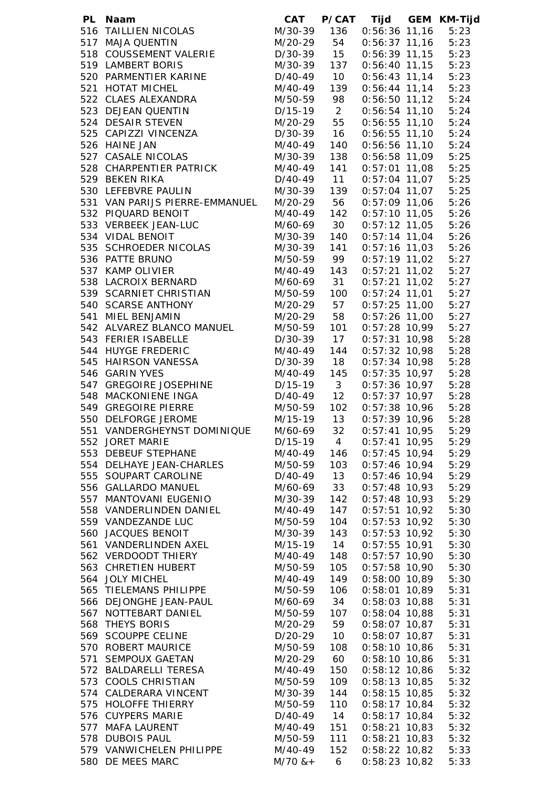| PL Naam                        | <b>CAT</b>                              |                         | P/CAT Tijd GEM KM-Tijd |      |
|--------------------------------|-----------------------------------------|-------------------------|------------------------|------|
| 516 TAILLIEN NICOLAS           | M/30-39 136                             |                         | $0:56:36$ 11,16        | 5:23 |
| 517 MAJA QUENTIN               | M/20-29 54<br>D/30-39 15<br>M/30-39 137 |                         | $0:56:37$ 11,16        | 5:23 |
| 518 COUSSEMENT VALERIE         |                                         |                         | $0:56:39$ 11,15        | 5:23 |
| 519 LAMBERT BORIS              |                                         |                         | $0:56:40$ 11,15        | 5:23 |
| 520 PARMENTIER KARINE          | $D/40-49$ 10                            |                         | $0:56:43$ 11,14        | 5:23 |
| 521 HOTAT MICHEL               | M/40-49                                 | 139                     | $0:56:44$ 11,14        | 5:23 |
| 522 CLAES ALEXANDRA            | M/50-59 98                              |                         | $0:56:50$ 11,12        | 5:24 |
| 523 DEJEAN QUENTIN             | $D/15-19$                               | $\overline{\mathbf{2}}$ | $0:56:54$ 11,10        | 5:24 |
| 524 DESAIR STEVEN              | M/20-29                                 | 55                      | $0:56:55$ 11,10        | 5:24 |
| 525 CAPIZZI VINCENZA           | D/30-39                                 | 16                      | $0:56:55$ 11,10        | 5:24 |
| 526 HAINE JAN                  | M/40-49                                 | 140                     | $0:56:56$ 11,10        | 5:24 |
| 527 CASALE NICOLAS             | M/30-39                                 | 138                     | $0:56:58$ 11,09        | 5:25 |
| 528 CHARPENTIER PATRICK        | M/40-49                                 | 141                     | $0:57:01$ 11,08        | 5:25 |
| 529 BEKEN RIKA                 | D/40-49                                 | $-11$                   | $0:57:04$ 11,07        | 5:25 |
| 530 LEFEBVRE PAULIN            | M/30-39                                 | 139                     | $0:57:04$ 11,07        | 5:25 |
| 531 VAN PARIJS PIERRE-EMMANUEL | M/20-29                                 | 56                      | $0:57:09$ 11,06        | 5:26 |
| 532 PIQUARD BENOIT             | M/40-49                                 | 142                     | $0:57:10$ 11,05        | 5:26 |
| 533 VERBEEK JEAN-LUC           | M/60-69 30                              |                         | $0:57:12$ 11,05        | 5:26 |
| 534 VIDAL BENOIT               | M/30-39                                 | 140                     | $0:57:14$ 11,04        | 5:26 |
| 535 SCHROEDER NICOLAS          | M/30-39                                 | 141                     | $0:57:16$ 11,03        | 5:26 |
| 536 PATTE BRUNO                | M/50-59 99                              |                         | $0:57:19$ 11,02        | 5:27 |
| 537 KAMP OLIVIER               | M/40-49 143                             |                         | $0:57:21$ 11,02        | 5:27 |
| 538 LACROIX BERNARD            | M/60-69 31                              |                         | $0:57:21$ 11,02        | 5:27 |
| 539 SCARNIET CHRISTIAN         | M/50-59                                 | 100                     | $0:57:24$ 11,01        | 5:27 |
| 540 SCARSE ANTHONY             | M/20-29 57                              |                         | $0:57:25$ 11,00        | 5:27 |
| 541 MIEL BENJAMIN              | M/20-29 58                              |                         | $0:57:26$ 11,00        | 5:27 |
| 542 ALVAREZ BLANCO MANUEL      | M/50-59                                 | 101                     | $0:57:28$ 10,99        | 5:27 |
| 543 FERIER ISABELLE            | D/30-39 17                              |                         | $0:57:31$ 10,98        | 5:28 |
| 544 HUYGE FREDERIC             | M/40-49                                 | 144                     | $0:57:32$ 10,98        | 5:28 |
| 545 HAIRSON VANESSA            | D/30-39 18                              |                         | $0:57:34$ 10,98        | 5:28 |
| 546 GARIN YVES                 | M/40-49                                 | 145                     | $0:57:35$ 10,97        | 5:28 |
| 547 GREGOIRE JOSEPHINE         | $D/15-19$ 3                             |                         | 0:57:36 10,97          | 5:28 |
| 548 MACKONIENE INGA            | $D/40-49$ 12                            |                         | $0:57:37$ 10,97        | 5:28 |
| 549 GREGOIRE PIERRE            | M/50-59                                 | 102                     | 0:57:38 10,96          | 5:28 |
| 550 DELFORGE JEROME            | $M/15-19$ 13<br>$M/60-69$ 32            |                         | $0:57:39$ 10,96        | 5:28 |
| 551 VANDERGHEYNST DOMINIQUE    | M/60-69                                 | 32                      | $0:57:41$ 10,95        | 5:29 |
| 552 JORET MARIE                | $D/15-19$                               | $4\overline{ }$         | $0:57:41$ 10,95        | 5:29 |
| 553 DEBEUF STEPHANE            | M/40-49                                 | 146                     | $0:57:45$ 10,94        | 5:29 |
| 554 DELHAYE JEAN-CHARLES       | M/50-59                                 | 103                     | $0:57:46$ 10,94        | 5:29 |
| 555 SOUPART CAROLINE           | D/40-49                                 | 13                      | $0:57:46$ 10,94        | 5:29 |
| 556 GALLARDO MANUEL            | M/60-69                                 | 33                      | $0:57:48$ 10,93        | 5:29 |
| 557 MANTOVANI EUGENIO          | M/30-39                                 | 142                     | $0:57:48$ 10,93        | 5:29 |
| 558 VANDERLINDEN DANIEL        | M/40-49                                 | 147                     | $0:57:51$ 10,92        | 5:30 |
| 559 VANDEZANDE LUC             | M/50-59                                 | 104                     | $0:57:53$ 10,92        | 5:30 |
| 560 JACQUES BENOIT             | M/30-39                                 | 143                     | $0:57:53$ 10,92        | 5:30 |
| 561 VANDERLINDEN AXEL          | M/15-19                                 | 14                      | $0:57:55$ 10,91        | 5:30 |
| 562 VERDOODT THIERY            | M/40-49                                 | 148                     | $0:57:57$ 10,90        | 5:30 |
| 563 CHRETIEN HUBERT            | M/50-59                                 | 105                     | $0:57:58$ 10,90        | 5:30 |
| 564 JOLY MICHEL                | M/40-49                                 | 149                     | $0:58:00$ 10,89        | 5:30 |
| 565 TIELEMANS PHILIPPE         | M/50-59                                 | 106                     | $0:58:01$ 10,89        | 5:31 |
| 566 DEJONGHE JEAN-PAUL         | M/60-69                                 | 34                      | $0:58:03$ 10,88        | 5:31 |
| 567 NOTTEBART DANIEL           | M/50-59                                 | 107                     | $0:58:04$ 10,88        | 5:31 |
| 568 THEYS BORIS                | M/20-29                                 | 59                      | $0:58:07$ 10,87        | 5:31 |
| 569 SCOUPPE CELINE             | D/20-29                                 | 10 <sup>°</sup>         | $0:58:07$ 10,87        | 5:31 |
| 570 ROBERT MAURICE             | M/50-59                                 | 108                     | $0:58:10$ 10,86        | 5:31 |
| 571 SEMPOUX GAETAN             | M/20-29                                 | 60                      | $0:58:10$ 10,86        | 5:31 |
| 572 BALDARELLI TERESA          | M/40-49                                 | 150                     | $0:58:12$ 10,86        | 5:32 |
| 573 COOLS CHRISTIAN            | M/50-59                                 | 109                     | $0:58:13$ 10,85        | 5:32 |
| 574 CALDERARA VINCENT          | M/30-39                                 | 144                     | $0:58:15$ 10,85        | 5:32 |
| 575 HOLOFFE THIERRY            | M/50-59                                 | 110                     | $0:58:17$ 10,84        | 5:32 |
| 576 CUYPERS MARIE              | D/40-49                                 | 14                      | $0:58:17$ 10,84        | 5:32 |
| 577 MAFA LAURENT               | M/40-49                                 | 151                     | $0:58:21$ 10,83        | 5:32 |
| 578 DUBOIS PAUL                | M/50-59                                 | 111                     | $0:58:21$ 10,83        | 5:32 |
| 579 VANWICHELEN PHILIPPE       | M/40-49                                 | 152                     | $0:58:22$ 10,82        | 5:33 |
| 580 DE MEES MARC               | $M/70$ & +                              | 6                       | $0:58:23$ 10,82        | 5:33 |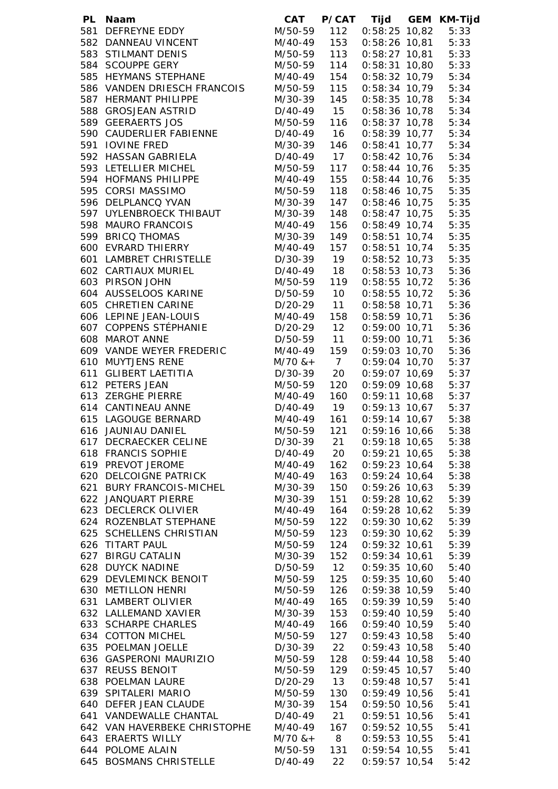| PL Naam                                           |                            |                | CAT P/CAT Tijd GEM KM-Tijd                                     |              |
|---------------------------------------------------|----------------------------|----------------|----------------------------------------------------------------|--------------|
| 581 DEFREYNE EDDY                                 | M/50-59 112                |                | $0:58:25$ 10,82                                                | 5:33         |
| 582 DANNEAU VINCENT                               | M/40-49 153                |                | 0:58:26 10,81 5:33<br>0:58:27 10,81 5:33<br>0:58:31 10,80 5:33 |              |
| 583 STILMANT DENIS                                | $M/50-59$ 113              |                |                                                                |              |
| 584 SCOUPPE GERY                                  | M/50-59 114<br>M/40-49 154 |                |                                                                |              |
| 585 HEYMANS STEPHANE                              |                            |                | $0:58:32$ 10,79                                                | 5:34         |
| 586 VANDEN DRIESCH FRANCOIS                       | M/50-59                    | 115            | $0:58:34$ 10,79                                                | 5:34         |
| 587 HERMANT PHILIPPE                              | M/30-39                    | 145            | $0:58:35$ 10,78                                                | 5:34         |
| 588 GROSJEAN ASTRID                               | D/40-49 15                 |                | 0:58:36 10,78                                                  | 5:34         |
| 589 GEERAERTS JOS                                 | M/50-59                    | 116            | $0:58:37$ 10,78                                                | 5:34         |
| 590 CAUDERLIER FABIENNE                           | D/40-49 16                 |                | $0:58:39$ 10,77                                                | 5:34         |
| 591 IOVINE FRED                                   | M/30-39                    | 146            | $0:58:41$ 10,77                                                | 5:34         |
| 592 HASSAN GABRIELA<br>593 LETELLIER MICHEL       | D/40-49 17<br>M/50-59      | 117            | $0:58:42$ 10,76<br>$0:58:44$ 10,76                             | 5:34<br>5:35 |
| 594 HOFMANS PHILIPPE                              | M/40-49                    | 155            | $0:58:44$ 10,76                                                | 5:35         |
| 595 CORSI MASSIMO                                 | M/50-59                    | 118            | 0:58:46 10,75                                                  | 5:35         |
| 596 DELPLANCQ YVAN                                | M/30-39                    | 147            | $0:58:46$ 10,75 $5:35$                                         |              |
| 597 UYLENBROECK THIBAUT                           | M/30-39 148                |                | $0:58:47$ 10,75 $5:35$                                         |              |
| 598 MAURO FRANCOIS                                | M/40-49                    | 156            | $0:58:49$ 10,74 $5:35$                                         |              |
| 599 BRICQ THOMAS                                  | M/30-39 149                |                | $0:58:51$ 10,74 $5:35$                                         |              |
| 600 EVRARD THIERRY                                | M/40-49 157                |                | $0:58:51$ 10,74 $5:35$                                         |              |
| 601 LAMBRET CHRISTELLE                            | D/30-39 19                 |                | $0:58:52$ 10,73                                                | 5:35         |
| 602 CARTIAUX MURIEL                               | D/40-49 18                 |                | $0:58:53$ 10,73                                                | 5:36         |
| 603 PIRSON JOHN                                   | M/50-59 119                |                | $0:58:55$ 10,72                                                | 5:36         |
| 604 AUSSELOOS KARINE                              | D/50-59 10                 |                | $0:58:55$ 10,72                                                | 5:36         |
| 605 CHRETIEN CARINE                               | D/20-29 11                 |                | $0:58:58$ 10,71                                                | 5:36         |
| 606 LEPINE JEAN-LOUIS                             | M/40-49 158                |                | 0:58:59 10,71                                                  | 5:36         |
| 607 COPPENS STÉPHANIE                             | D/20-29 12                 |                | 0:59:00 10,71                                                  | 5:36         |
| 608 MAROT ANNE                                    | D/50-59 11                 |                | 0:59:00 10,71                                                  | 5:36         |
| 609 VANDE WEYER FREDERIC                          | M/40-49 159                |                | 0:59:03 10,70                                                  | 5:36         |
| 610 MUYTJENS RENE                                 | $M/70$ & + 7               |                | 0:59:04 10,70                                                  | 5:37         |
| 611 GLIBERT LAETITIA                              | D/30-39 20                 |                | 0:59:07 10,69                                                  | 5:37         |
| 612 PETERS JEAN                                   | M/50-59 120                |                | $0:59:09$ 10,68 $5:37$                                         |              |
| 613 ZERGHE PIERRE                                 | M/40-49                    | 160            | $0:59:11$ 10,68 $5:37$                                         |              |
| 614 CANTINEAU ANNE                                | D/40-49 19                 |                |                                                                |              |
| 615 LAGOUGE BERNARD                               | $M/40-49$ 161              |                | 0:59:13 10,67 5:37<br>0:59:14 10,67 5:38<br>0:59:16 10,66 5:38 |              |
| 616 JAUNIAU DANIEL                                | M/50-59                    | 121            |                                                                |              |
| 617 DECRAECKER CELINE                             | D/30-39                    | 21             | $0:59:18$ 10,65                                                | 5:38         |
| 618 FRANCIS SOPHIE                                | D/40-49                    | 20             | $0:59:21$ 10,65                                                | 5:38         |
| 619 PREVOT JEROME                                 | M/40-49                    | 162            | $0:59:23$ 10,64                                                | 5:38         |
| 620 DELCOIGNE PATRICK<br>621 BURY FRANCOIS-MICHEL | M/40-49<br>M/30-39         | 163            | $0:59:24$ 10,64                                                | 5:38         |
| 622 JANQUART PIERRE                               | M/30-39                    | 150<br>151     | $0:59:26$ 10,63<br>$0:59:28$ 10,62                             | 5:39<br>5:39 |
| 623 DECLERCK OLIVIER                              | M/40-49                    | 164            | $0:59:28$ 10,62                                                | 5:39         |
| 624 ROZENBLAT STEPHANE                            | M/50-59                    | 122            | $0:59:30$ 10,62                                                | 5:39         |
| 625 SCHELLENS CHRISTIAN                           | M/50-59                    | 123            | $0:59:30$ 10,62                                                | 5:39         |
| 626 TITART PAUL                                   | M/50-59                    | 124            | $0:59:32$ 10,61                                                | 5:39         |
| 627 BIRGU CATALIN                                 | M/30-39                    | 152            | $0:59:34$ 10,61                                                | 5:39         |
| 628 DUYCK NADINE                                  | D/50-59                    | 12             | $0:59:35$ 10,60                                                | 5:40         |
| 629 DEVLEMINCK BENOIT                             | M/50-59                    | 125            | $0:59:35$ 10,60                                                | 5:40         |
| 630 METILLON HENRI                                | M/50-59                    | 126            | $0:59:38$ 10,59                                                | 5:40         |
| 631 LAMBERT OLIVIER                               | M/40-49                    | 165            | $0:59:39$ 10,59                                                | 5:40         |
| 632 LALLEMAND XAVIER                              | M/30-39                    | 153            | $0:59:40$ 10,59                                                | 5:40         |
| 633 SCHARPE CHARLES                               | M/40-49                    | 166            | $0:59:40$ 10,59                                                | 5:40         |
| 634 COTTON MICHEL                                 | M/50-59                    | 127            | $0:59:43$ 10,58                                                | 5:40         |
| 635 POELMAN JOELLE                                | D/30-39                    | 22             | $0:59:43$ 10,58                                                | 5:40         |
| 636 GASPERONI MAURIZIO                            | M/50-59                    | 128            | $0:59:44$ 10,58                                                | 5:40         |
| 637 REUSS BENOIT                                  | M/50-59                    | 129            | $0:59:45$ 10,57                                                | 5:40         |
| 638 POELMAN LAURE                                 | D/20-29                    | 13             | $0:59:48$ 10,57                                                | 5:41         |
| 639 SPITALERI MARIO                               | M/50-59                    | 130            | 0:59:49 10,56                                                  | 5:41         |
| 640 DEFER JEAN CLAUDE                             | M/30-39                    | 154            | 0:59:50 10,56                                                  | 5:41         |
| 641 VANDEWALLE CHANTAL                            | D/40-49                    | 21             | 0:59:51 10,56                                                  | 5:41         |
| 642 VAN HAVERBEKE CHRISTOPHE                      | M/40-49                    | 167            | $0:59:52$ 10,55                                                | 5:41         |
| 643 ERAERTS WILLY                                 | $M/70$ & +                 | 8 <sup>8</sup> | $0:59:53$ 10,55                                                | 5:41         |
| 644 POLOME ALAIN                                  | M/50-59                    | 131            | $0:59:54$ 10,55 $5:41$                                         |              |
| 645 BOSMANS CHRISTELLE                            | $D/40-49$                  | 22             | $0:59:57$ 10,54                                                | 5:42         |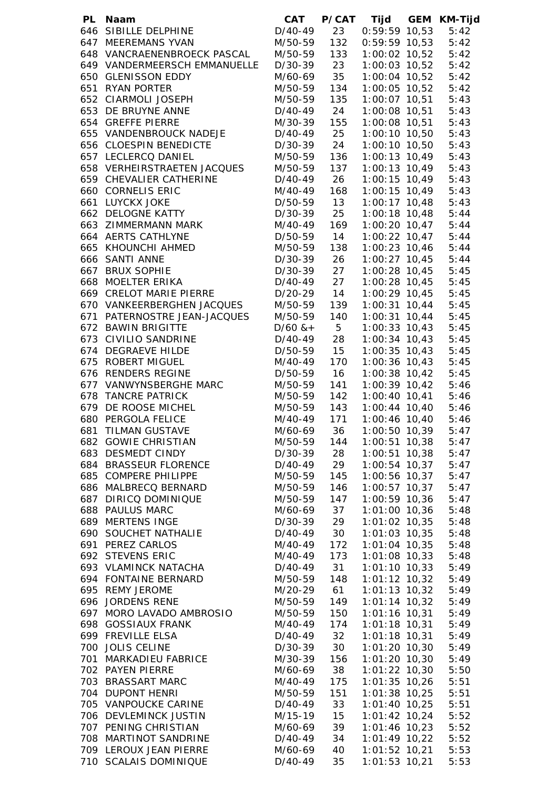|     | PL Naam                              | <b>CAT</b>                               |     | P/CAT Tijd GEM KM-Tijd           |              |
|-----|--------------------------------------|------------------------------------------|-----|----------------------------------|--------------|
|     | 646 SIBILLE DELPHINE                 | $D/40-49$                                | 23  | $0:59:59$ 10,53                  | 5:42         |
|     | 647 MEEREMANS YVAN                   | M/50-59                                  | 132 | $0:59:59$ 10,53                  | 5:42         |
|     | 648 VANCRAENENBROECK PASCAL          | M/50-59                                  | 133 | 1:00:02 10,52                    | 5:42         |
|     | 649 VANDERMEERSCH EMMANUELLE         | D/30-39 23                               |     | 1:00:03 10,52                    | 5:42         |
|     | 650 GLENISSON EDDY                   | M/60-69 35                               |     | 1:00:04 10,52                    | 5:42         |
|     | 651 RYAN PORTER                      | M/50-59                                  | 134 | 1:00:05 10,52                    | 5:42         |
|     | 652 CIARMOLI JOSEPH                  | M/50-59                                  | 135 | 1:00:07 10,51                    | 5:43         |
|     | 653 DE BRUYNE ANNE                   | D/40-49 24                               |     | 1:00:08 10,51                    | 5:43         |
|     | 654 GREFFE PIERRE                    | M/30-39 155                              |     | 1:00:08 10,51                    | 5:43         |
|     | 655 VANDENBROUCK NADEJE              | D/40-49 25                               |     | 1:00:10 10,50                    | 5:43         |
|     | 656 CLOESPIN BENEDICTE               | D/30-39 24                               |     | 1:00:10 10,50                    | 5:43         |
|     | 657 LECLERCQ DANIEL                  | M/50-59                                  | 136 | 1:00:13 10,49                    | 5:43         |
|     | 658 VERHEIRSTRAETEN JACQUES          | M/50-59                                  | 137 | 1:00:13 10,49                    | 5:43         |
|     | 659 CHEVALIER CATHERINE              | D/40-49 26                               |     | $1:00:15$ 10,49                  | 5:43         |
|     | 660 CORNELIS ERIC                    | M/40-49<br>D/50-59 13                    | 168 | $1:00:15$ 10,49                  | 5:43         |
|     | 661 LUYCKX JOKE<br>662 DELOGNE KATTY | D/30-39 25                               |     | $1:00:17$ 10,48<br>1:00:18 10,48 | 5:43         |
|     | 663 ZIMMERMANN MARK                  | M/40-49 169                              |     | $1:00:20$ $10,47$ $5:44$         | 5:44         |
|     | 664 AERTS CATHLYNE                   | D/50-59 14                               |     | $1:00:22$ $10,47$ $5:44$         |              |
|     |                                      | M/50-59                                  | 138 | 1:00:23 10,46                    | 5:44         |
|     | 665 KHOUNCHI AHMED<br>666 SANTI ANNE | D/30-39 26                               |     | 1:00:27 10,45                    | 5:44         |
|     | 667 BRUX SOPHIE                      | $D/30-39$ 27                             |     | 1:00:28 10,45                    | 5:45         |
|     | 668 MOELTER ERIKA                    | $D/40-49$ 27                             |     | 1:00:28 10,45                    | 5:45         |
|     | 669 CRELOT MARIE PIERRE              | $D/20-29$ 14                             |     | 1:00:29 10,45                    | 5:45         |
|     | 670 VANKEERBERGHEN JACQUES           | M/50-59 139                              |     | 1:00:31 10,44                    | 5:45         |
|     | 671 PATERNOSTRE JEAN-JACQUES         | M/50-59                                  | 140 | 1:00:31 10,44                    | 5:45         |
|     | 672 BAWIN BRIGITTE                   |                                          |     | $1:00:33$ $10,43$                | 5:45         |
|     | 673 CIVILIO SANDRINE                 |                                          |     | 1:00:34 10,43                    | 5:45         |
|     | 674 DEGRAEVE HILDE                   | $D/60$ & + 5<br>D/40-49 28<br>D/50-59 15 |     | 1:00:35 10,43                    | 5:45         |
|     | 675 ROBERT MIGUEL                    | M/40-49                                  | 170 | 1:00:36 10,43                    | 5:45         |
|     | 676 RENDERS REGINE                   | D/50-59                                  | 16  | 1:00:38 10,42                    | 5:45         |
|     | 677 VANWYNSBERGHE MARC               | M/50-59                                  | 141 | 1:00:39 10,42                    | 5:46         |
|     | 678 TANCRE PATRICK                   | M/50-59                                  | 142 | 1:00:40 10,41                    | 5:46         |
|     | 679 DE ROOSE MICHEL                  | M/50-59                                  | 143 | 1:00:44 10,40                    | 5:46         |
|     | 680 PERGOLA FELICE                   | M/40-49                                  | 171 | 1:00:46 10,40                    | 5:46         |
| 681 | <b>TILMAN GUSTAVE</b>                | M/60-69                                  | 36  | $1:00:50$ 10,39                  | 5:47         |
|     | 682 GOWIE CHRISTIAN                  | M/50-59                                  | 144 | 1:00:51 10,38                    | 5:47         |
|     | 683 DESMEDT CINDY                    | D/30-39                                  | 28  | $1:00:51$ 10,38                  | 5:47         |
|     | 684 BRASSEUR FLORENCE                | D/40-49                                  | 29  | 1:00:54 10,37                    | 5:47         |
|     | 685 COMPERE PHILIPPE                 | M/50-59                                  | 145 | 1:00:56 10,37                    | 5:47         |
|     | 686 MALBRECQ BERNARD                 | M/50-59                                  | 146 | $1:00:57$ $10,37$                | 5:47         |
|     | 687 DIRICQ DOMINIQUE                 | M/50-59                                  | 147 | 1:00:59 10,36                    | 5:47         |
|     | 688 PAULUS MARC<br>689 MERTENS INGE  | M/60-69 37                               |     | 1:01:00 10,36                    | 5:48         |
|     | 690 SOUCHET NATHALIE                 | D/30-39 29<br>D/40-49                    | 30  | $1:01:02$ 10,35                  | 5:48<br>5:48 |
|     | 691 PEREZ CARLOS                     | M/40-49                                  | 172 | $1:01:03$ 10,35<br>1:01:04 10,35 | 5:48         |
|     | 692 STEVENS ERIC                     | M/40-49                                  | 173 | $1:01:08$ 10,33                  | 5:48         |
|     | 693 VLAMINCK NATACHA                 | D/40-49 31                               |     | $1:01:10$ $10,33$                | 5:49         |
|     | 694 FONTAINE BERNARD                 | M/50-59                                  | 148 | $1:01:12$ $10,32$                | 5:49         |
|     | 695 REMY JEROME                      | M/20-29 61                               |     | $1:01:13$ $10,32$                | 5:49         |
|     | 696 JORDENS RENE                     | M/50-59                                  | 149 | $1:01:14$ 10,32                  | 5:49         |
|     | 697 MORO LAVADO AMBROSIO             | M/50-59                                  | 150 | 1:01:16 10,31                    | 5:49         |
|     | 698 GOSSIAUX FRANK                   | M/40-49                                  | 174 | 1:01:18 10,31                    | 5:49         |
|     | 699 FREVILLE ELSA                    | D/40-49 32                               |     | 1:01:18 10,31                    | 5:49         |
|     | 700 JOLIS CELINE                     | D/30-39                                  | 30  | $1:01:20$ 10,30                  | 5:49         |
|     | 701 MARKADIEU FABRICE                | M/30-39                                  | 156 | $1:01:20$ 10,30                  | 5:49         |
|     | 702 PAYEN PIERRE                     | M/60-69                                  | 38  | $1:01:22$ 10,30                  | 5:50         |
|     | 703 BRASSART MARC                    | M/40-49                                  | 175 | $1:01:35$ 10,26                  | 5:51         |
|     | 704 DUPONT HENRI                     | M/50-59                                  | 151 | $1:01:38$ 10,25                  | 5:51         |
|     | 705 VANPOUCKE CARINE                 | D/40-49                                  | 33  | $1:01:40$ $10,25$                | 5:51         |
|     | 706 DEVLEMINCK JUSTIN                | M/15-19                                  | 15  | $1:01:42$ 10,24                  | 5:52         |
|     | 707 PENING CHRISTIAN                 | M/60-69                                  | 39  | 1:01:46 10,23                    | 5:52         |
|     | 708 MARTINOT SANDRINE                | D/40-49                                  | 34  | 1:01:49 10,22                    | 5:52         |
|     | 709 LEROUX JEAN PIERRE               | M/60-69                                  | 40  | $1:01:52$ 10,21                  | 5:53         |
|     | 710 SCALAIS DOMINIQUE                | $D/40-49$                                | 35  | $1:01:53$ 10,21                  | 5:53         |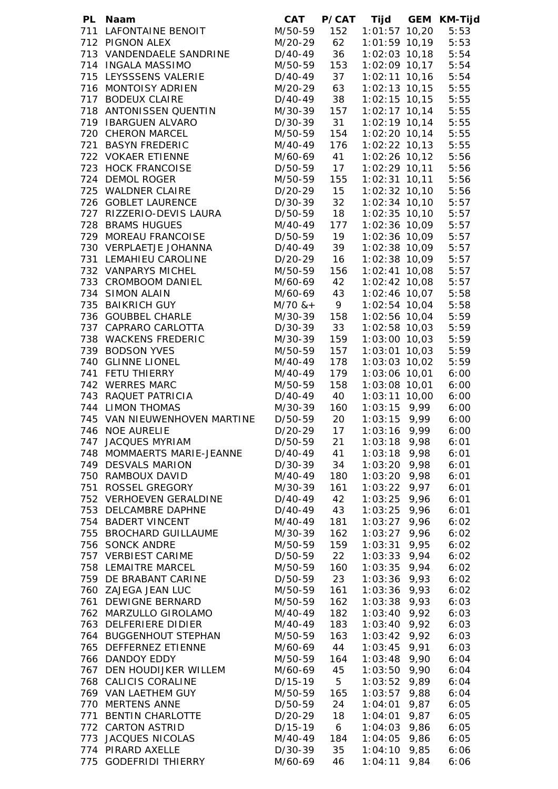|  | PL Naam                      | <b>CAT</b>   |                | P/CAT Tijd        |      | GEM KM-Tijd |
|--|------------------------------|--------------|----------------|-------------------|------|-------------|
|  | 711 LAFONTAINE BENOIT        | M/50-59      | 152            | $1:01:57$ $10,20$ |      | 5:53        |
|  | 712 PIGNON ALEX              | M/20-29      | 62             | $1:01:59$ 10,19   |      | 5:53        |
|  | 713 VANDENDAELE SANDRINE     | D/40-49      | 36             | $1:02:03$ 10,18   |      | 5:54        |
|  | 714 INGALA MASSIMO           | M/50-59      | 153            | 1:02:09 10,17     |      | 5:54        |
|  | 715 LEYSSSENS VALERIE        | D/40-49      | 37             | $1:02:11$ $10,16$ |      | 5:54        |
|  | 716 MONTOISY ADRIEN          | M/20-29      | 63             | $1:02:13$ $10,15$ |      | 5:55        |
|  | 717 BODEUX CLAIRE            | D/40-49      | 38             | $1:02:15$ 10,15   |      | 5:55        |
|  | 718 ANTONISSEN QUENTIN       | M/30-39      | 157            | $1:02:17$ $10,14$ |      | 5:55        |
|  | 719 IBARGUEN ALVARO          | D/30-39      | 31             | $1:02:19$ 10,14   |      | 5:55        |
|  | 720 CHERON MARCEL            | M/50-59      | 154            | $1:02:20$ 10,14   |      | 5:55        |
|  | 721 BASYN FREDERIC           | M/40-49      | 176            | $1:02:22$ 10,13   |      | 5:55        |
|  | 722 VOKAER ETIENNE           | M/60-69      | 41             | $1:02:26$ 10,12   |      | 5:56        |
|  | 723 HOCK FRANCOISE           | D/50-59      | 17             | $1:02:29$ 10,11   |      | 5:56        |
|  | 724 DEMOL ROGER              | M/50-59      | 155            | $1:02:31$ $10,11$ |      | 5:56        |
|  | 725 WALDNER CLAIRE           | D/20-29 15   |                | $1:02:32$ 10,10   |      | 5:56        |
|  | 726 GOBLET LAURENCE          | D/30-39      | 32             | $1:02:34$ 10,10   |      | 5:57        |
|  | 727 RIZZERIO-DEVIS LAURA     | D/50-59 18   |                | $1:02:35$ 10,10   |      | 5:57        |
|  | 728 BRAMS HUGUES             | M/40-49      | 177            | 1:02:36 10,09     |      | 5:57        |
|  | 729 MOREAU FRANCOISE         | D/50-59 19   |                | 1:02:36 10,09     |      | 5:57        |
|  | 730 VERPLAETJE JOHANNA       | $D/40-49$ 39 |                | 1:02:38 10,09     |      | 5:57        |
|  | 731 LEMAHIEU CAROLINE        | D/20-29 16   |                | 1:02:38 10,09     |      | 5:57        |
|  | 732 VANPARYS MICHEL          | M/50-59      | 156            | 1:02:41 10,08     |      | 5:57        |
|  | 733 CROMBOOM DANIEL          | M/60-69      | 42             | $1:02:42$ 10,08   |      | 5:57        |
|  | 734 SIMON ALAIN              | M/60-69 43   |                | $1:02:46$ 10,07   |      | 5:58        |
|  | 735 BAIKRICH GUY             | $M/70$ & + 9 |                | $1:02:54$ 10,04   |      | 5:58        |
|  | 736 GOUBBEL CHARLE           | M/30-39      | 158            | 1:02:56 10,04     |      | 5:59        |
|  | 737 CAPRARO CARLOTTA         | D/30-39      | 33             | $1:02:58$ 10,03   |      | 5:59        |
|  | 738 WACKENS FREDERIC         | M/30-39      | 159            | $1:03:00$ $10,03$ |      | 5:59        |
|  | 739 BODSON YVES              | M/50-59      | 157            | $1:03:01$ 10,03   |      | 5:59        |
|  | 740 GLINNE LIONEL            | M/40-49      | 178            | $1:03:03$ 10,02   |      | 5:59        |
|  | 741 FETU THIERRY             | M/40-49      | 179            | 1:03:06 10,01     |      | 6:00        |
|  | 742 WERRES MARC              | M/50-59      | 158            | 1:03:08 10,01     |      | 6:00        |
|  | 743 RAQUET PATRICIA          | D/40-49      | 40             | $1:03:11$ $10,00$ |      | 6:00        |
|  | 744 LIMON THOMAS             | M/30-39      | 160            | $1:03:15$ 9,99    |      | 6:00        |
|  | 745 VAN NIEUWENHOVEN MARTINE | D/50-59      | 20             | $1:03:15$ 9,99    |      | 6:00        |
|  | 746 NOE AURELIE              | $D/20-29$    | 17             | $1:03:16$ 9,99    |      | 6:00        |
|  | 747 JACQUES MYRIAM           | D/50-59      | 21             | $1:03:18$ 9,98    |      | 6:01        |
|  | 748 MOMMAERTS MARIE-JEANNE   | D/40-49      | 41             | $1:03:18$ 9,98    |      | 6:01        |
|  | 749 DESVALS MARION           | D/30-39      | 34             | $1:03:20$ 9,98    |      | 6:01        |
|  | 750 RAMBOUX DAVID            | M/40-49      | 180            | $1:03:20$ 9,98    |      | 6:01        |
|  | 751 ROSSEL GREGORY           | M/30-39      | 161            | $1:03:22$ 9,97    |      | 6:01        |
|  | 752 VERHOEVEN GERALDINE      | D/40-49      | 42             | 1:03:25           | 9,96 | 6:01        |
|  | 753 DELCAMBRE DAPHNE         | D/40-49      | 43             | 1:03:25           | 9,96 | 6:01        |
|  | 754 BADERT VINCENT           | M/40-49      | 181            | 1:03:27           | 9,96 | 6:02        |
|  | 755 BROCHARD GUILLAUME       | M/30-39      | 162            | $1:03:27$ 9,96    |      | 6:02        |
|  | 756 SONCK ANDRE              | M/50-59      | 159            | $1:03:31$ 9,95    |      | 6:02        |
|  | 757 VERBIEST CARIME          | D/50-59      | 22             | $1:03:33$ 9,94    |      | 6:02        |
|  | 758 LEMAITRE MARCEL          | M/50-59      | 160            | $1:03:35$ 9,94    |      | 6:02        |
|  | 759 DE BRABANT CARINE        | D/50-59      | 23             | $1:03:36$ 9,93    |      | 6:02        |
|  | 760 ZAJEGA JEAN LUC          | M/50-59      | 161            | $1:03:36$ 9,93    |      | 6:02        |
|  | 761 DEWIGNE BERNARD          | M/50-59      | 162            | $1:03:38$ 9,93    |      | 6:03        |
|  | 762 MARZULLO GIROLAMO        | M/40-49      | 182            | $1:03:40$ 9,92    |      | 6:03        |
|  | 763 DELFERIERE DIDIER        | M/40-49      | 183            | $1:03:40$ 9,92    |      | 6:03        |
|  | 764 BUGGENHOUT STEPHAN       | M/50-59      | 163            | $1:03:42$ 9,92    |      | 6:03        |
|  | 765 DEFFERNEZ ETIENNE        | M/60-69      | 44             | $1:03:45$ 9,91    |      | 6:03        |
|  | 766 DANDOY EDDY              | M/50-59      | 164            | $1:03:48$ 9,90    |      | 6:04        |
|  | 767 DEN HOUDIJKER WILLEM     | M/60-69      | 45             | $1:03:50$ 9,90    |      | 6:04        |
|  | 768 CALICIS CORALINE         | D/15-19      | 5 <sub>5</sub> | $1:03:52$ 9,89    |      | 6:04        |
|  | 769 VAN LAETHEM GUY          | M/50-59      | 165            | $1:03:57$ 9,88    |      | 6:04        |
|  | 770 MERTENS ANNE             | D/50-59      | 24             | $1:04:01$ 9,87    |      | 6:05        |
|  | 771 BENTIN CHARLOTTE         | D/20-29      | 18             | $1:04:01$ 9,87    |      | 6:05        |
|  | 772 CARTON ASTRID            | $D/15-19$    | 6              | $1:04:03$ 9,86    |      | 6:05        |
|  | 773 JACQUES NICOLAS          | M/40-49      | 184            | $1:04:05$ 9,86    |      | 6:05        |
|  | 774 PIRARD AXELLE            | D/30-39      | 35             | $1:04:10$ 9,85    |      | 6:06        |
|  | 775 GODEFRIDI THIERRY        |              |                |                   |      |             |
|  |                              | M/60-69      | 46             | $1:04:11$ 9,84    |      | 6:06        |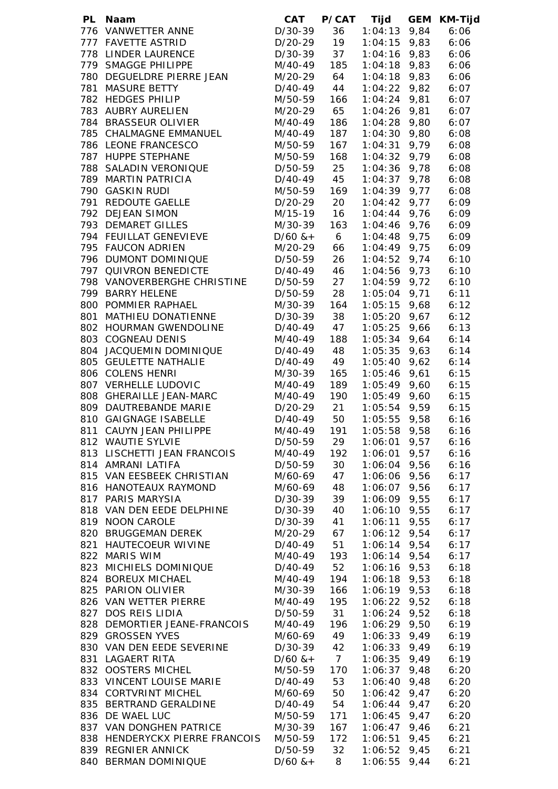| PL Naam                                    | <b>CAT</b>                    | <b>P/CAT</b>    | Tijd                             | <b>GEM</b> | <b>KM-Tijd</b> |
|--------------------------------------------|-------------------------------|-----------------|----------------------------------|------------|----------------|
| 776 VANWETTER ANNE                         | D/30-39                       | 36              | $1:04:13$ 9,84                   |            | 6:06           |
| 777 FAVETTE ASTRID                         | D/30-37<br>D/20-29<br>D/30-39 | 19              | $1:04:15$ 9,83                   |            | 6:06           |
| 778 LINDER LAURENCE                        |                               | 37              | 1:04:16 9,83                     |            | 6:06           |
| 779 SMAGGE PHILIPPE                        | M/40-49                       | 185             | $1:04:18$ 9,83                   |            | 6:06           |
| 780 DEGUELDRE PIERRE JEAN                  | M/20-29                       | 64              | $1:04:18$ 9,83                   |            | 6:06           |
| 781 MASURE BETTY                           | D/40-49                       | 44              | $1:04:22$ 9,82                   |            | 6:07           |
| 782 HEDGES PHILIP                          | M/50-59                       | 166             | $1:04:24$ 9,81                   |            | 6:07           |
| 783 AUBRY AURELIEN                         | M/20-29                       | 65              | 1:04:26 9,81                     |            | 6:07           |
| 784 BRASSEUR OLIVIER                       | M/40-49                       | 186             | $1:04:28$ 9,80                   |            | 6:07           |
| 785 CHALMAGNE EMMANUEL                     | M/40-49                       | 187             | $1:04:30$ 9,80                   |            | 6:08           |
| 786 LEONE FRANCESCO                        | M/50-59                       | 167             | $1:04:31$ 9,79                   |            | 6:08           |
| 787 HUPPE STEPHANE                         | M/50-59                       | 168             | $1:04:32$ 9,79                   |            | 6:08           |
| 788 SALADIN VERONIQUE                      | D/50-59                       | 25              | 1:04:36 9,78                     |            | 6:08           |
| 789 MARTIN PATRICIA                        | D/40-49                       | 45              | $1:04:37$ 9,78                   |            | 6:08           |
| 790 GASKIN RUDI                            | M/50-59                       | 169             | $1:04:39$ 9,77                   |            | 6:08           |
| 791 REDOUTE GAELLE                         | D/20-29                       | 20              | $1:04:42$ 9,77                   |            | 6:09           |
| 792 DEJEAN SIMON                           | M/15-19                       | 16              | $1:04:44$ 9,76                   |            | 6:09           |
| 793 DEMARET GILLES                         | M/30-39                       | 163             | $1:04:46$ 9,76                   |            | 6:09           |
| 794 FEUILLAT GENEVIEVE                     | $D/60$ & +                    | $6\overline{6}$ | $1:04:48$ 9,75                   |            | 6:09           |
| 795 FAUCON ADRIEN                          | M/20-29                       | 66              | $1:04:49$ 9,75                   |            | 6:09           |
| 796 DUMONT DOMINIQUE                       | D/50-59                       | 26              | $1:04:52$ 9,74                   |            | 6:10           |
| 797 QUIVRON BENEDICTE                      | D/40-49                       | 46              | $1:04:56$ 9,73                   |            | 6:10           |
| 798 VANOVERBERGHE CHRISTINE                | D/50-59 27                    |                 | $1:04:59$ 9,72                   |            | 6:10           |
| 799 BARRY HELENE                           | D/50-59 28                    |                 | $1:05:04$ 9,71                   |            | 6:11           |
| 800 POMMIER RAPHAEL                        | M/30-39 164                   |                 | 1:05:15 9,68                     |            | 6:12           |
| 801 MATHIEU DONATIENNE                     | D/30-39                       | 38              | 1:05:20 9,67                     |            | 6:12           |
| 802 HOURMAN GWENDOLINE                     | D/40-49                       | 47              | 1:05:25 9,66                     |            | 6:13           |
| 803 COGNEAU DENIS                          | M/40-49                       | 188             | 1:05:34 9,64                     |            | 6:14           |
| 804 JACQUEMIN DOMINIQUE                    | D/40-49 48                    |                 | $1:05:35$ 9,63                   |            | 6:14           |
| 805 GEULETTE NATHALIE                      | D/40-49 49                    |                 | 1:05:40 9,62                     |            | 6:14           |
| 806 COLENS HENRI                           | M/30-39                       | 165             | 1:05:46 9,61                     |            | 6:15           |
| 807 VERHELLE LUDOVIC                       | M/40-49                       | 189             | $1:05:49$ $9,60$                 |            | 6:15           |
| 808 GHERAILLE JEAN-MARC                    | M/40-49                       | 190             | $1:05:49$ 9,60                   |            | 6:15           |
| 809 DAUTREBANDE MARIE                      | D/20-29 21<br>D/40-49 50      |                 | 1:05:54 9,59                     |            | 6:15           |
| 810 GAIGNAGE ISABELLE                      |                               |                 | $1:05:55$ 9,58                   |            | 6:16           |
| 811 CAUYN JEAN PHILIPPE                    | M/40-49                       | 191             | $1:05:58$ 9,58                   |            | 6:16           |
| 812 WAUTIE SYLVIE                          | D/50-59                       | 29              | $1:06:01$ 9,57                   |            | 6:16           |
| 813 LISCHETTI JEAN FRANCOIS                | M/40-49                       | 192             | $1:06:01$ 9,57                   |            | 6:16           |
| 814 AMRANI LATIFA                          | D/50-59                       | 30              | 1:06:04 9,56                     |            | 6:16           |
| 815 VAN EESBEEK CHRISTIAN                  | M/60-69                       | 47              | $1:06:06$ 9,56                   |            | 6:17           |
| 816 HANOTEAUX RAYMOND                      | M/60-69                       | 48              | $1:06:07$ 9,56                   |            | 6:17           |
| 817 PARIS MARYSIA                          | $D/30-39$                     | 39              | 1:06:09 9,55                     |            | 6:17           |
| 818 VAN DEN EEDE DELPHINE                  | D/30-39                       | 40              | 1:06:10 9,55                     |            | 6:17           |
| 819 NOON CAROLE                            | D/30-39                       | 41              | 1:06:11 9,55                     |            | 6:17           |
| 820 BRUGGEMAN DEREK                        | M/20-29                       | 67              | $1:06:12$ 9,54                   |            | 6:17           |
| 821 HAUTECOEUR WIVINE                      | D/40-49                       | 51              | $1:06:14$ 9,54                   |            | 6:17           |
| 822 MARIS WIM                              | M/40-49                       | 193             | $1:06:14$ 9,54                   |            | 6:17           |
| 823 MICHIELS DOMINIQUE                     | D/40-49                       | 52              | 1:06:16 9,53                     |            | 6:18           |
| 824 BOREUX MICHAEL                         | M/40-49                       | 194             | $1:06:18$ 9,53                   |            | 6:18           |
| 825 PARION OLIVIER                         | M/30-39                       | 166             | $1:06:19$ 9,53                   |            | 6:18           |
| 826 VAN WETTER PIERRE                      | M/40-49                       | 195             | $1:06:22$ 9,52                   |            | 6:18           |
| 827 DOS REIS LIDIA                         | D/50-59                       | 31              | $1:06:24$ 9,52                   |            | 6:18           |
| 828 DEMORTIER JEANE-FRANCOIS               | M/40-49                       | 196             | 1:06:29 9,50                     |            | 6:19           |
| 829 GROSSEN YVES                           | M/60-69                       | 49              | $1:06:33$ 9,49                   |            | 6:19           |
| 830 VAN DEN EEDE SEVERINE                  | D/30-39                       | 42              | $1:06:33$ 9,49                   |            | 6:19           |
| 831 LAGAERT RITA                           | $D/60$ & + 7                  |                 | $1:06:35$ 9,49                   |            | 6:19           |
| 832 OOSTERS MICHEL                         | M/50-59 170                   |                 | $1:06:37$ 9,48                   |            | 6:20           |
| 833 VINCENT LOUISE MARIE                   | D/40-49 53                    |                 | $1:06:40$ 9,48                   |            | 6:20           |
| 834 CORTVRINT MICHEL                       | M/60-69                       | 50              | $1:06:42$ 9,47                   |            | 6:20           |
| 835 BERTRAND GERALDINE                     | D/40-49                       | 54              | $1:06:44$ 9,47                   |            | 6:20           |
| 836 DE WAEL LUC<br>837 VAN DONGHEN PATRICE | M/50-59<br>M/30-39            | 171<br>167      | $1:06:45$ 9,47<br>$1:06:47$ 9,46 |            | 6:20           |
| 838 HENDERYCKX PIERRE FRANCOIS             | M/50-59                       | 172             | $1:06:51$ 9,45                   |            | 6:21<br>6:21   |
| 839 REGNIER ANNICK                         | D/50-59                       | 32              | $1:06:52$ 9,45                   |            | 6:21           |
| 840 BERMAN DOMINIQUE                       | $D/60$ & +                    | 8               | $1:06:55$ 9,44                   |            | 6:21           |
|                                            |                               |                 |                                  |            |                |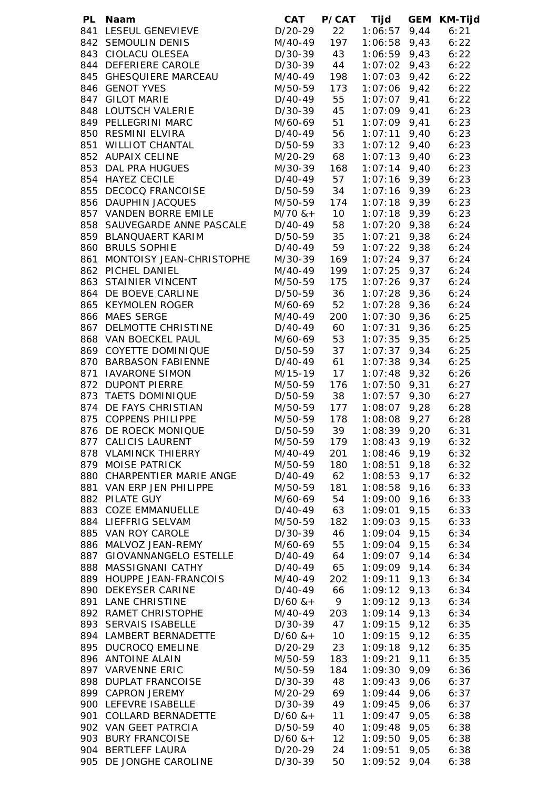| PL Naam                                        |                              |                | CAT P/CAT Tijd          | <b>GEM KM-Tijd</b> |
|------------------------------------------------|------------------------------|----------------|-------------------------|--------------------|
| 841 LESEUL GENEVIEVE                           | D/20-29                      | 22             | $1:06:57$ 9,44          | 6:21               |
| 842 SEMOULIN DENIS                             | M/40-49                      | 197            | $1:06:58$ 9,43          | 6:22               |
| 843 CIOLACU OLESEA                             | $D/30-39$ 43<br>$D/30-39$ 44 |                | 1:06:59 9,43            | 6:22               |
| 844 DEFERIERE CAROLE                           |                              |                | $1:07:02$ 9,43          | 6:22               |
| 845 GHESQUIERE MARCEAU                         | M/40-49                      | 198            | $1:07:03$ 9,42          | 6:22               |
| 846 GENOT YVES                                 | M/50-59                      | 173            | $1:07:06$ 9,42          | 6:22               |
| 847 GILOT MARIE                                | D/40-49                      | 55             | $1:07:07$ 9,41          | 6:22               |
| 848 LOUTSCH VALERIE                            | D/30-39                      | 45             | $1:07:09$ 9,41          | 6:23               |
| 849 PELLEGRINI MARC                            | M/60-69                      | 51             | $1:07:09$ $9,41$        | 6:23               |
| 850 RESMINI ELVIRA                             | D/40-49                      | 56             | $1:07:11$ 9,40          | 6:23               |
| 851 WILLIOT CHANTAL                            | D/50-59                      | 33             | $1:07:12$ 9,40          | 6:23               |
| 852 AUPAIX CELINE                              | M/20-29                      | 68             | $1:07:13$ 9,40          | 6:23               |
| 853 DAL PRA HUGUES                             | M/30-39                      | 168            | $1:07:14$ 9,40          | 6:23               |
| 854 HAYEZ CECILE                               | D/40-49 57                   |                | $1:07:16$ 9,39          | 6:23               |
| 855 DECOCQ FRANCOISE                           | D/50-59 34                   |                | $1:07:16$ 9,39          | 6:23               |
| 856 DAUPHIN JACQUES                            | M/50-59 174                  |                | $1:07:18$ 9,39          | 6:23               |
| 857 VANDEN BORRE EMILE                         | $M/70$ $&+$ 10               |                | 1:07:18 9,39            | 6:23               |
| 858 SAUVEGARDE ANNE PASCALE                    | D/40-49 58                   |                | $1:07:20$ 9,38          | 6:24               |
| 859 BLANQUAERT KARIM                           | D/50-59 35                   |                | $1:07:21$ 9,38          | 6:24               |
| 860 BRULS SOPHIE                               | D/40-49 59                   |                | $1:07:22$ 9,38          | 6:24               |
| 861 MONTOISY JEAN-CHRISTOPHE                   | M/30-39                      | 169            | $1:07:24$ 9,37          | 6:24               |
| 862 PICHEL DANIEL                              | M/40-49                      | 199            | $1:07:25$ 9,37          | 6:24               |
| 863 STAINIER VINCENT                           | M/50-59 175                  |                | $1:07:26$ 9,37          | 6:24               |
| 864 DE BOEVE CARLINE                           | D/50-59 36                   |                | $1:07:28$ 9,36          | 6:24               |
| 865 KEYMOLEN ROGER                             | M/60-69 52                   |                | $1:07:28$ 9,36          | 6:24               |
| 866 MAES SERGE                                 | M/40-49                      | 200            | $1:07:30$ 9,36          | 6:25               |
| 867 DELMOTTE CHRISTINE                         | D/40-49 60                   |                | $1:07:31$ 9,36          | 6:25               |
| 868 VAN BOECKEL PAUL                           | M/60-69                      | 53             | $1:07:35$ 9,35          | 6:25               |
| 869 COYETTE DOMINIQUE                          | D/50-59                      | 37             | $1:07:37$ 9,34          | 6:25               |
| 870 BARBASON FABIENNE                          | $D/40-49$ 61                 |                | 1:07:38 9,34            | 6:25               |
| 871 IAVARONE SIMON                             | M/15-19 17                   |                | $1:07:48$ 9,32 6:26     |                    |
| 872 DUPONT PIERRE                              | M/50-59                      | 176            | $1:07:50$ $9,31$ $6:27$ |                    |
| 873 TAETS DOMINIQUE                            | $D/50-59$ 38                 |                | $1:07:57$ 9,30 6:27     |                    |
| 874 DE FAYS CHRISTIAN                          | M/50-59 177                  |                | 1:08:07 9,28            | 6:28               |
| 875 COPPENS PHILIPPE                           | M/50-59                      | 178            | $1:08:08$ $9,27$ 6:28   |                    |
| 876 DE ROECK MONIQUE                           | D/50-59                      | 39             | $1:08:39$ 9,20          | 6:31               |
| 877 CALICIS LAURENT                            | M/50-59                      | 179            | $1:08:43$ 9,19          | 6:32               |
| 878 VLAMINCK THIERRY                           | M/40-49                      | 201            | $1:08:46$ 9,19          | 6:32               |
| 879 MOISE PATRICK                              | M/50-59                      | 180            | $1:08:51$ 9,18          | 6:32               |
| 880 CHARPENTIER MARIE ANGE                     | D/40-49                      | 62             | $1:08:53$ 9,17          | 6:32               |
| 881 VAN ERP JEN PHILIPPE                       | M/50-59                      | 181            | $1:08:58$ 9,16          | 6:33               |
| 882 PILATE GUY                                 | M/60-69                      | 54             | $1:09:00$ 9,16          | 6:33               |
| 883 COZE EMMANUELLE                            | D/40-49                      | 63             | $1:09:01$ 9,15          | 6:33               |
| 884 LIEFFRIG SELVAM                            | M/50-59                      | 182            | $1:09:03$ 9,15          | 6:33               |
| 885 VAN ROY CAROLE                             | D/30-39                      | 46             | $1:09:04$ 9,15          | 6:34               |
| 886 MALVOZ JEAN-REMY                           | M/60-69                      | 55             | $1:09:04$ 9,15          | 6:34               |
| 887 GIOVANNANGELO ESTELLE D/40-49              |                              | 64             | $1:09:07$ 9,14          | 6:34               |
| 888 MASSIGNANI CATHY                           | $D/40-49$                    | 65             | $1:09:09$ 9,14          | 6:34               |
| 889 HOUPPE JEAN-FRANCOIS                       | M/40-49                      | 202            | $1:09:11$ $9,13$        | 6:34               |
| 890 DEKEYSER CARINE                            | D/40-49                      | 66             | $1:09:12$ $9,13$        | 6:34               |
| 891 LANE CHRISTINE                             | $D/60$ & +                   | $\overline{9}$ | $1:09:12$ 9,13          | 6:34               |
| 892 RAMET CHRISTOPHE                           | M/40-49                      | 203            | $1:09:14$ 9,13          | 6:34               |
| 893 SERVAIS ISABELLE                           | D/30-39 47                   |                | $1:09:15$ 9,12          | 6:35               |
| 894 LAMBERT BERNADETTE                         | $D/60$ & + 10                |                | $1:09:15$ $9,12$        | 6:35               |
| 895 DUCROCQ EMELINE                            | D/20-29                      | 23             | $1:09:18$ 9,12          | 6:35               |
| 896 ANTOINE ALAIN                              | M/50-59                      | 183            | $1:09:21$ 9,11          | 6:35               |
| 897 VARVENNE ERIC                              | M/50-59                      | 184            | $1:09:30$ $9,09$        | 6:36               |
| 898 DUPLAT FRANCOISE                           | D/30-39 48                   |                | $1:09:43$ 9,06          | 6:37               |
| 899 CAPRON JEREMY                              | M/20-29 69                   |                | $1:09:44$ 9,06          | 6:37               |
| 900 LEFEVRE ISABELLE                           | D/30-39                      | 49             | $1:09:45$ 9,06          | 6:37               |
| 901 COLLARD BERNADETTE<br>902 VAN GEET PATRCIA | $D/60$ & +                   | 11             | $1:09:47$ 9,05          | 6:38               |
|                                                | D/50-59                      | 40             | $1:09:48$ 9,05          | 6:38               |
| 903 BURY FRANCOISE                             | $D/60$ & +                   | 12             | $1:09:50$ $9,05$        | 6:38               |
| 904 BERTLEFF LAURA                             | D/20-29                      | 24             | $1:09:51$ 9,05          | 6:38               |
| 905 DE JONGHE CAROLINE                         | $D/30-39$                    | 50             | $1:09:52$ 9,04          | 6:38               |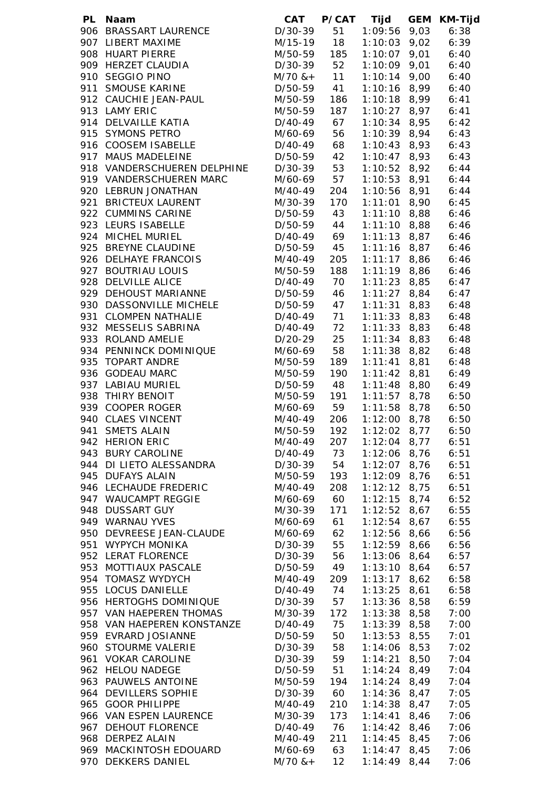| PL | Naam                                        | CAT                          |                 | P/CAT Tijd                       |      | GEM KM-Tijd  |
|----|---------------------------------------------|------------------------------|-----------------|----------------------------------|------|--------------|
|    | 906 BRASSART LAURENCE                       | D/30-39                      | 51              | 1:09:56 9,03                     |      | 6:38         |
|    | 907 LIBERT MAXIME                           | M/15-19 18                   |                 | $1:10:03$ 9,02                   |      | 6:39         |
|    | 908 HUART PIERRE                            | M/50-59                      | 185             | $1:10:07$ 9,01                   |      | 6:40         |
|    | 909 HERZET CLAUDIA                          | D/30-39 52                   |                 | $1:10:09$ $9,01$                 |      | 6:40         |
|    | 910 SEGGIO PINO                             |                              |                 | $1:10:14$ 9,00                   |      | 6:40         |
|    | 911 SMOUSE KARINE                           | $M/70$ $&+$ 11<br>D/50-59 41 |                 | $1:10:16$ 8,99                   |      | 6:40         |
|    | 912 CAUCHIE JEAN-PAUL                       | M/50-59                      | 186             | $1:10:18$ 8,99                   |      | 6:41         |
|    | 913 LAMY ERIC                               | M/50-59                      | 187             | $1:10:27$ 8,97                   |      | 6:41         |
|    | 914 DELVAILLE KATIA                         | D/40-49                      | 67              | $1:10:34$ 8,95                   |      | 6:42         |
|    | 915 SYMONS PETRO                            | M/60-69                      | 56              | $1:10:39$ 8,94                   |      | 6:43         |
|    | 916 COOSEM ISABELLE                         | D/40-49                      | 68              | $1:10:43$ 8,93                   |      | 6:43         |
|    | 917 MAUS MADELEINE                          | D/50-59                      | 42              | $1:10:47$ 8,93                   |      | 6:43         |
|    | 918 VANDERSCHUEREN DELPHINE                 |                              | 53              |                                  |      |              |
|    |                                             | D/30-39                      |                 | $1:10:52$ 8,92                   |      | 6:44         |
|    | 919 VANDERSCHUEREN MARC                     | M/60-69                      | 57              | $1:10:53$ 8,91                   |      | 6:44         |
|    | 920 LEBRUN JONATHAN                         | M/40-49                      | 204             | 1:10:56 8,91                     |      | 6:44         |
|    | 921 BRICTEUX LAURENT                        | M/30-39                      | 170             | $1:11:01$ 8,90                   |      | 6:45         |
|    | 922 CUMMINS CARINE                          | D/50-59                      | 43              | $1:11:10$ 8,88                   |      | 6:46         |
|    | 923 LEURS ISABELLE                          | D/50-59                      | 44              | $1:11:10$ 8,88                   |      | 6:46         |
|    | 924 MICHEL MURIEL                           | D/40-49 69                   |                 | $1:11:13$ 8,87                   |      | 6:46         |
|    | 925 BREYNE CLAUDINE                         | D/50-59 45                   |                 | $1:11:16$ 8,87                   |      | 6:46         |
|    | 926 DELHAYE FRANCOIS                        | M/40-49                      | 205             | $1:11:17$ 8,86                   |      | 6:46         |
|    | 927 BOUTRIAU LOUIS                          | M/50-59                      | 188             | $1:11:19$ 8,86                   |      | 6:46         |
|    | 928 DELVILLE ALICE                          | D/40-49 70                   |                 | $1:11:23$ 8,85                   |      | 6:47         |
|    | 929 DEHOUST MARIANNE                        | D/50-59                      | 46              | $1:11:27$ 8,84                   |      | 6:47         |
|    | 930 DASSONVILLE MICHELE                     | D/50-59                      | 47              | $1:11:31$ 8,83                   |      | 6:48         |
|    | 931 CLOMPEN NATHALIE                        | D/40-49 71                   |                 | $1:11:33$ 8,83                   |      | 6:48         |
|    | 932 MESSELIS SABRINA                        | D/40-49 72                   |                 | $1:11:33$ 8,83                   |      | 6:48         |
|    | 933 ROLAND AMELIE                           | $D/20-29$ 25                 |                 | $1:11:34$ 8,83                   |      | 6:48         |
|    | 934 PENNINCK DOMINIQUE                      | M/60-69 58                   |                 | $1:11:38$ $8,82$                 |      | 6:48         |
|    | 935 TOPART ANDRE                            | M/50-59                      | 189             | $1:11:41$ 8,81                   |      | 6:48         |
|    | 936 GODEAU MARC                             | M/50-59                      | 190             | $1:11:42$ 8,81                   |      | 6:49         |
|    | 937 LABIAU MURIEL                           | D/50-59 48                   |                 | 1:11:48 8,80                     |      | 6:49         |
|    | 938 THIRY BENOIT                            | M/50-59                      | 191             | 1:11:57 8,78 6:50                |      |              |
|    | 939 COOPER ROGER                            | M/60-69 59                   |                 | 1:11:58 8,78 6:50                |      |              |
|    | 940 CLAES VINCENT                           | M/40-49                      | 206             | 1:12:00 8,78 6:50                |      |              |
|    | 941 SMETS ALAIN                             | M/50-59                      | 192             | $1:12:02$ 8,77                   |      | 6:50         |
|    | 942 HERION ERIC                             | M/40-49                      | 207             | $1:12:04$ 8,77                   |      | 6:51         |
|    | 943 BURY CAROLINE                           | D/40-49                      | 73              | $1:12:06$ 8,76                   |      | 6:51         |
|    | 944 DI LIETO ALESSANDRA                     | D/30-39                      | 54              | $1:12:07$ 8,76                   |      | 6:51         |
|    | 945 DUFAYS ALAIN                            | M/50-59                      | 193             | $1:12:09$ 8,76                   |      | 6:51         |
|    | 946 LECHAUDE FREDERIC                       | M/40-49                      | 208             | $1:12:12$ 8,75                   |      | 6:51         |
|    | 947 WAUCAMPT REGGIE                         | M/60-69                      | 60              | $1:12:15$ 8,74                   |      | 6:52         |
|    | 948 DUSSART GUY                             | M/30-39                      | 171             | $1:12:52$ 8,67                   |      | 6:55         |
|    | 949 WARNAU YVES                             | M/60-69                      | 61              | $1:12:54$ 8,67                   |      | 6:55         |
|    | 950 DEVREESE JEAN-CLAUDE                    | M/60-69                      | 62              | $1:12:56$ 8,66                   |      | 6:56         |
|    | 951 WYPYCH MONIKA                           | D/30-39                      | 55              | $1:12:59$ 8,66                   |      | 6:56         |
|    | 952 LERAT FLORENCE                          | D/30-39                      | 56              | 1:13:06                          | 8,64 | 6:57         |
|    | 953 MOTTIAUX PASCALE                        | D/50-59                      | 49              | $1:13:10$ 8,64                   |      | 6:57         |
|    | 954 TOMASZ WYDYCH                           | M/40-49                      | 209             | $1:13:17$ 8,62                   |      | 6:58         |
|    | 955 LOCUS DANIELLE                          | D/40-49                      | 74              | $1:13:25$ 8,61                   |      | 6:58         |
|    | 956 HERTOGHS DOMINIQUE                      | D/30-39                      | 57              | $1:13:36$ 8,58                   |      | 6:59         |
|    | 957 VAN HAEPEREN THOMAS                     | M/30-39                      | 172             | $1:13:38$ 8,58                   |      | 7:00         |
|    | 958 VAN HAEPEREN KONSTANZE                  | D/40-49                      | 75              | $1:13:39$ 8,58                   |      | 7:00         |
|    | 959 EVRARD JOSIANNE                         | D/50-59                      | 50              | $1:13:53$ 8,55                   |      | 7:01         |
|    | 960 STOURME VALERIE                         | D/30-39                      | 58              | $1:14:06$ 8,53                   |      |              |
|    | 961 VOKAR CAROLINE                          | D/30-39                      | 59              | $1:14:21$ 8,50                   |      | 7:02<br>7:04 |
|    |                                             |                              |                 |                                  |      |              |
|    | 962 HELOU NADEGE<br>963 PAUWELS ANTOINE     | D/50-59<br>M/50-59           | 51<br>194       | $1:14:24$ 8,49<br>$1:14:24$ 8,49 |      | 7:04         |
|    |                                             |                              |                 |                                  |      | 7:04         |
|    | 964 DEVILLERS SOPHIE                        | D/30-39                      | 60              | $1:14:36$ 8,47                   |      | 7:05         |
|    | 965 GOOR PHILIPPE<br>966 VAN ESPEN LAURENCE | M/40-49                      | 210             | $1:14:38$ 8,47                   |      | 7:05         |
|    |                                             | M/30-39                      | 173             | $1:14:41$ 8,46                   |      | 7:06         |
|    | 967 DEHOUT FLORENCE                         | D/40-49<br>M/40-49           | 76<br>211       | $1:14:42$ 8,46<br>$1:14:45$ 8,45 |      | 7:06         |
|    | 968 DERPEZ ALAIN<br>969 MACKINTOSH EDOUARD  | M/60-69 63                   |                 | $1:14:47$ 8,45                   |      | 7:06<br>7:06 |
|    | 970 DEKKERS DANIEL                          | $M/70$ & +                   | 12 <sup>2</sup> | 1:14:49                          | 8,44 |              |
|    |                                             |                              |                 |                                  |      | 7:06         |